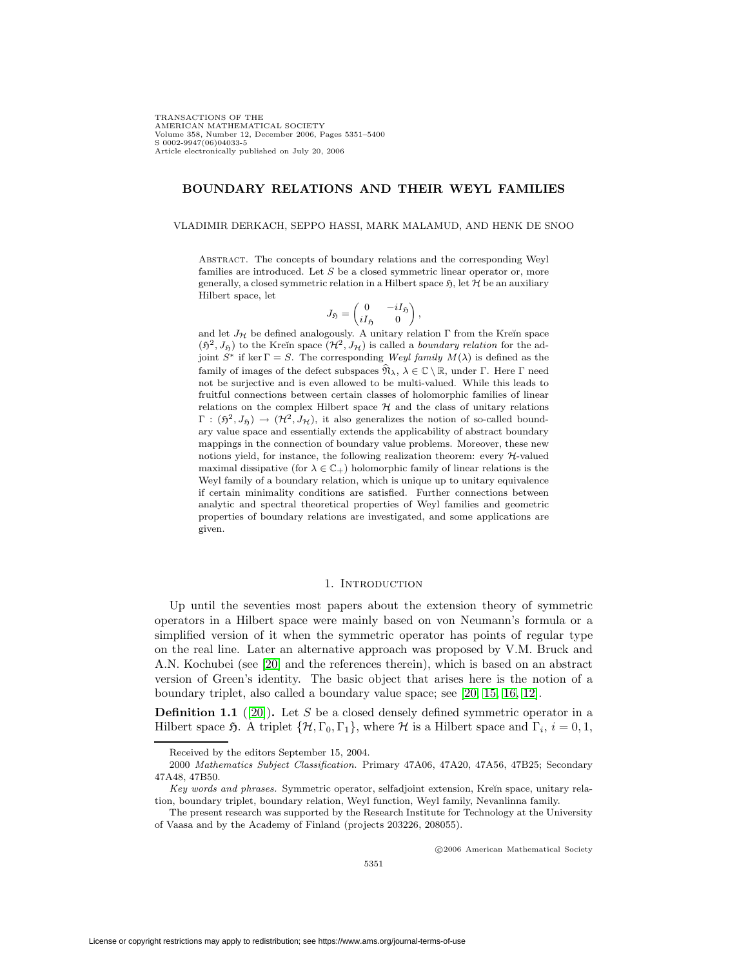TRANSACTIONS OF THE AMERICAN MATHEMATICAL SOCIETY Volume 358, Number 12, December 2006, Pages 5351–5400 S 0002-9947(06)04033-5 Article electronically published on July 20, 2006

## **BOUNDARY RELATIONS AND THEIR WEYL FAMILIES**

VLADIMIR DERKACH, SEPPO HASSI, MARK MALAMUD, AND HENK DE SNOO

Abstract. The concepts of boundary relations and the corresponding Weyl families are introduced. Let  $S$  be a closed symmetric linear operator or, more generally, a closed symmetric relation in a Hilbert space  $\mathfrak{H}$ , let  $\mathcal H$  be an auxiliary Hilbert space, let

$$
J_{\mathfrak{H}} = \begin{pmatrix} 0 & -iI_{\mathfrak{H}} \\ iI_{\mathfrak{H}} & 0 \end{pmatrix},
$$

and let  $J_{\mathcal{H}}$  be defined analogously. A unitary relation  $\Gamma$  from the Kreĭn space  $(\mathfrak{H}^2, J_{\mathfrak{H}})$  to the Kreĭn space  $(\mathcal{H}^2, J_{\mathcal{H}})$  is called a *boundary relation* for the adjoint  $S^*$  if ker  $\Gamma = S$ . The corresponding Weyl family  $M(\lambda)$  is defined as the family of images of the defect subspaces  $\widehat{\mathfrak{N}}_{\lambda}$ ,  $\lambda \in \mathbb{C} \setminus \mathbb{R}$ , under Γ. Here Γ need not be surjective and is even allowed to be multi-valued. While this leads to fruitful connections between certain classes of holomorphic families of linear relations on the complex Hilbert space  $H$  and the class of unitary relations  $\Gamma: (\mathfrak{H}^2, J_{\mathfrak{H}}) \to (\mathcal{H}^2, J_{\mathcal{H}})$ , it also generalizes the notion of so-called boundary value space and essentially extends the applicability of abstract boundary mappings in the connection of boundary value problems. Moreover, these new notions yield, for instance, the following realization theorem: every  $H$ -valued maximal dissipative (for  $\lambda \in \mathbb{C}_+$ ) holomorphic family of linear relations is the Weyl family of a boundary relation, which is unique up to unitary equivalence if certain minimality conditions are satisfied. Further connections between analytic and spectral theoretical properties of Weyl families and geometric properties of boundary relations are investigated, and some applications are given.

## 1. INTRODUCTION

Up until the seventies most papers about the extension theory of symmetric operators in a Hilbert space were mainly based on von Neumann's formula or a simplified version of it when the symmetric operator has points of regular type on the real line. Later an alternative approach was proposed by V.M. Bruck and A.N. Kochubei (see [\[20\]](#page-48-0) and the references therein), which is based on an abstract version of Green's identity. The basic object that arises here is the notion of a boundary triplet, also called a boundary value space; see [\[20,](#page-48-0) [15,](#page-48-1) [16,](#page-48-2) [12\]](#page-48-3).

<span id="page-0-0"></span>**Definition 1.1** ([\[20\]](#page-48-0)). Let S be a closed densely defined symmetric operator in a Hilbert space  $\mathfrak{H}$ . A triplet  $\{\mathcal{H}, \Gamma_0, \Gamma_1\}$ , where  $\mathcal H$  is a Hilbert space and  $\Gamma_i$ ,  $i = 0, 1$ ,

-c 2006 American Mathematical Society

Received by the editors September 15, 2004.

<sup>2000</sup> Mathematics Subject Classification. Primary 47A06, 47A20, 47A56, 47B25; Secondary 47A48, 47B50.

Key words and phrases. Symmetric operator, selfadjoint extension, Kreĭn space, unitary relation, boundary triplet, boundary relation, Weyl function, Weyl family, Nevanlinna family.

The present research was supported by the Research Institute for Technology at the University of Vaasa and by the Academy of Finland (projects 203226, 208055).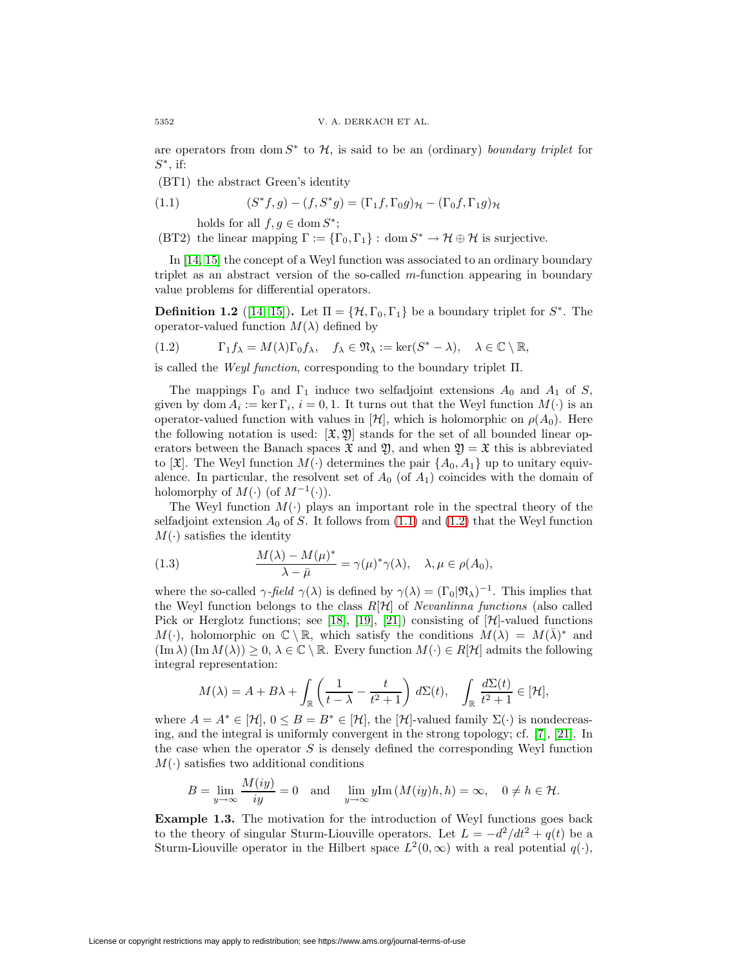are operators from dom  $S^*$  to  $\mathcal{H}$ , is said to be an (ordinary) boundary triplet for  $S^*$ , if:

(BT1) the abstract Green's identity

(1.1) 
$$
(S^*f,g)-(f,S^*g)=(\Gamma_1f,\Gamma_0g)_{\mathcal{H}}-(\Gamma_0f,\Gamma_1g)_{\mathcal{H}}
$$

<span id="page-1-0"></span>holds for all  $f, g \in \text{dom } S^*$ ;

(BT2) the linear mapping  $\Gamma := {\{\Gamma_0, \Gamma_1\}}: dom S^* \to H \oplus H$  is surjective.

In [\[14,](#page-48-4) [15\]](#page-48-1) the concept of a Weyl function was associated to an ordinary boundary triplet as an abstract version of the so-called m-function appearing in boundary value problems for differential operators.

<span id="page-1-4"></span><span id="page-1-1"></span>**Definition 1.2** ([\[14,](#page-48-4) [15\]](#page-48-1))**.** Let  $\Pi = {\mathcal{H}, \Gamma_0, \Gamma_1}$  be a boundary triplet for  $S^*$ . The operator-valued function  $M(\lambda)$  defined by

(1.2) 
$$
\Gamma_1 f_{\lambda} = M(\lambda) \Gamma_0 f_{\lambda}, \quad f_{\lambda} \in \mathfrak{N}_{\lambda} := \ker(S^* - \lambda), \quad \lambda \in \mathbb{C} \setminus \mathbb{R},
$$

is called the *Weyl function*, corresponding to the boundary triplet  $\Pi$ .

The mappings  $\Gamma_0$  and  $\Gamma_1$  induce two selfadjoint extensions  $A_0$  and  $A_1$  of S, given by dom  $A_i := \ker \Gamma_i$ ,  $i = 0, 1$ . It turns out that the Weyl function  $M(\cdot)$  is an operator-valued function with values in  $[\mathcal{H}]$ , which is holomorphic on  $\rho(A_0)$ . Here the following notation is used:  $[\mathfrak{X}, \mathfrak{Y}]$  stands for the set of all bounded linear operators between the Banach spaces  $\mathfrak{X}$  and  $\mathfrak{Y}$ , and when  $\mathfrak{Y} = \mathfrak{X}$  this is abbreviated to  $[\mathfrak{X}]$ . The Weyl function  $M(\cdot)$  determines the pair  $\{A_0, A_1\}$  up to unitary equivalence. In particular, the resolvent set of  $A_0$  (of  $A_1$ ) coincides with the domain of holomorphy of  $M(\cdot)$  (of  $M^{-1}(\cdot)$ ).

The Weyl function  $M(\cdot)$  plays an important role in the spectral theory of the selfadjoint extension  $A_0$  of S. It follows from  $(1.1)$  and  $(1.2)$  that the Weyl function  $M(\cdot)$  satisfies the identity

<span id="page-1-2"></span>(1.3) 
$$
\frac{M(\lambda) - M(\mu)^*}{\lambda - \bar{\mu}} = \gamma(\mu)^* \gamma(\lambda), \quad \lambda, \mu \in \rho(A_0),
$$

where the so-called  $\gamma$ -field  $\gamma(\lambda)$  is defined by  $\gamma(\lambda) = (\Gamma_0|\mathfrak{N}_{\lambda})^{-1}$ . This implies that the Weyl function belongs to the class  $R[\mathcal{H}]$  of *Nevanlinna functions* (also called Pick or Herglotz functions; see [\[18\]](#page-48-5), [\[19\]](#page-48-6), [\[21\]](#page-48-7)) consisting of  $[\mathcal{H}]$ -valued functions  $M(\cdot)$ , holomorphic on  $\mathbb{C} \setminus \mathbb{R}$ , which satisfy the conditions  $M(\lambda) = M(\overline{\lambda})^*$  and  $(\text{Im }\lambda)(\text{Im }M(\lambda)) \geq 0, \lambda \in \mathbb{C} \setminus \mathbb{R}$ . Every function  $M(\cdot) \in R[\mathcal{H}]$  admits the following integral representation:

$$
M(\lambda) = A + B\lambda + \int_{\mathbb{R}} \left( \frac{1}{t - \lambda} - \frac{t}{t^2 + 1} \right) d\Sigma(t), \quad \int_{\mathbb{R}} \frac{d\Sigma(t)}{t^2 + 1} \in [\mathcal{H}],
$$

where  $A = A^* \in [\mathcal{H}], 0 \leq B = B^* \in [\mathcal{H}],$  the  $[\mathcal{H}]$ -valued family  $\Sigma(\cdot)$  is nondecreasing, and the integral is uniformly convergent in the strong topology; cf. [\[7\]](#page-48-8), [\[21\]](#page-48-7). In the case when the operator  $S$  is densely defined the corresponding Weyl function  $M(\cdot)$  satisfies two additional conditions

$$
B = \lim_{y \to \infty} \frac{M(iy)}{iy} = 0 \quad \text{and} \quad \lim_{y \to \infty} y \text{Im}(M(iy)h, h) = \infty, \quad 0 \neq h \in \mathcal{H}.
$$

<span id="page-1-3"></span>**Example 1.3.** The motivation for the introduction of Weyl functions goes back to the theory of singular Sturm-Liouville operators. Let  $L = -d^2/dt^2 + q(t)$  be a Sturm-Liouville operator in the Hilbert space  $L^2(0,\infty)$  with a real potential  $q(\cdot)$ ,

 $\mathbf{R}$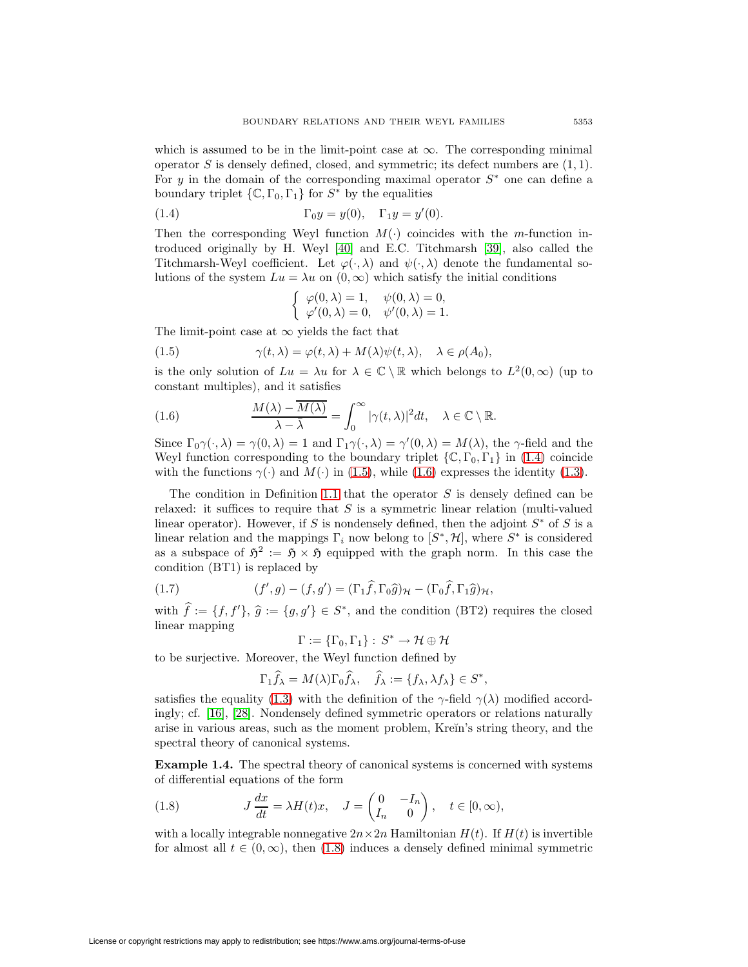which is assumed to be in the limit-point case at  $\infty$ . The corresponding minimal operator S is densely defined, closed, and symmetric; its defect numbers are  $(1, 1)$ . For y in the domain of the corresponding maximal operator  $S^*$  one can define a boundary triplet  $\{\mathbb{C}, \Gamma_0, \Gamma_1\}$  for  $S^*$  by the equalities

(1.4) 
$$
\Gamma_0 y = y(0), \quad \Gamma_1 y = y'(0).
$$

Then the corresponding Weyl function  $M(\cdot)$  coincides with the m-function introduced originally by H. Weyl [\[40\]](#page-49-0) and E.C. Titchmarsh [\[39\]](#page-49-1), also called the Titchmarsh-Weyl coefficient. Let  $\varphi(\cdot,\lambda)$  and  $\psi(\cdot,\lambda)$  denote the fundamental solutions of the system  $Lu = \lambda u$  on  $(0, \infty)$  which satisfy the initial conditions

<span id="page-2-2"></span><span id="page-2-1"></span><span id="page-2-0"></span>
$$
\begin{cases}\n\varphi(0,\lambda) = 1, & \psi(0,\lambda) = 0, \\
\varphi'(0,\lambda) = 0, & \psi'(0,\lambda) = 1.\n\end{cases}
$$

The limit-point case at  $\infty$  yields the fact that

(1.5) 
$$
\gamma(t,\lambda) = \varphi(t,\lambda) + M(\lambda)\psi(t,\lambda), \quad \lambda \in \rho(A_0),
$$

is the only solution of  $Lu = \lambda u$  for  $\lambda \in \mathbb{C} \setminus \mathbb{R}$  which belongs to  $L^2(0, \infty)$  (up to constant multiples), and it satisfies

(1.6) 
$$
\frac{M(\lambda) - \overline{M(\lambda)}}{\lambda - \overline{\lambda}} = \int_0^\infty |\gamma(t, \lambda)|^2 dt, \quad \lambda \in \mathbb{C} \setminus \mathbb{R}.
$$

Since  $\Gamma_0 \gamma(\cdot, \lambda) = \gamma(0, \lambda) = 1$  and  $\Gamma_1 \gamma(\cdot, \lambda) = \gamma'(0, \lambda) = M(\lambda)$ , the  $\gamma$ -field and the Weyl function corresponding to the boundary triplet  $\{C, \Gamma_0, \Gamma_1\}$  in [\(1.4\)](#page-2-0) coincide with the functions  $\gamma(\cdot)$  and  $M(\cdot)$  in [\(1.5\)](#page-2-1), while [\(1.6\)](#page-2-2) expresses the identity [\(1.3\)](#page-1-2).

The condition in Definition [1.1](#page-0-0) that the operator  $S$  is densely defined can be relaxed: it suffices to require that  $S$  is a symmetric linear relation (multi-valued linear operator). However, if S is nondensely defined, then the adjoint  $S^*$  of S is a linear relation and the mappings  $\Gamma_i$  now belong to  $[S^*, \mathcal{H}]$ , where  $S^*$  is considered as a subspace of  $5^2 := 5 \times 5$  equipped with the graph norm. In this case the condition (BT1) is replaced by

<span id="page-2-4"></span>(1.7) 
$$
(f', g) - (f, g') = (\Gamma_1 \hat{f}, \Gamma_0 \hat{g})_{\mathcal{H}} - (\Gamma_0 \hat{f}, \Gamma_1 \hat{g})_{\mathcal{H}},
$$

with  $f := \{f, f'\}, \hat{g} := \{g, g'\} \in S^*$ , and the condition (BT2) requires the closed linear mapping

 $\Gamma := {\{\Gamma_0,\Gamma_1\}} : S^* \to \mathcal{H} \oplus \mathcal{H}$ 

to be surjective. Moreover, the Weyl function defined by

<span id="page-2-3"></span>
$$
\Gamma_1 \widehat{f}_{\lambda} = M(\lambda) \Gamma_0 \widehat{f}_{\lambda}, \quad \widehat{f}_{\lambda} := \{ f_{\lambda}, \lambda f_{\lambda} \} \in S^*,
$$

satisfies the equality [\(1.3\)](#page-1-2) with the definition of the γ-field  $\gamma(\lambda)$  modified accordingly; cf. [\[16\]](#page-48-2), [\[28\]](#page-49-2). Nondensely defined symmetric operators or relations naturally arise in various areas, such as the moment problem, Kre $\tilde{m}$ 's string theory, and the spectral theory of canonical systems.

**Example 1.4.** The spectral theory of canonical systems is concerned with systems of differential equations of the form

(1.8) 
$$
J\frac{dx}{dt} = \lambda H(t)x, \quad J = \begin{pmatrix} 0 & -I_n \\ I_n & 0 \end{pmatrix}, \quad t \in [0, \infty),
$$

with a locally integrable nonnegative  $2n \times 2n$  Hamiltonian  $H(t)$ . If  $H(t)$  is invertible for almost all  $t \in (0, \infty)$ , then [\(1.8\)](#page-2-3) induces a densely defined minimal symmetric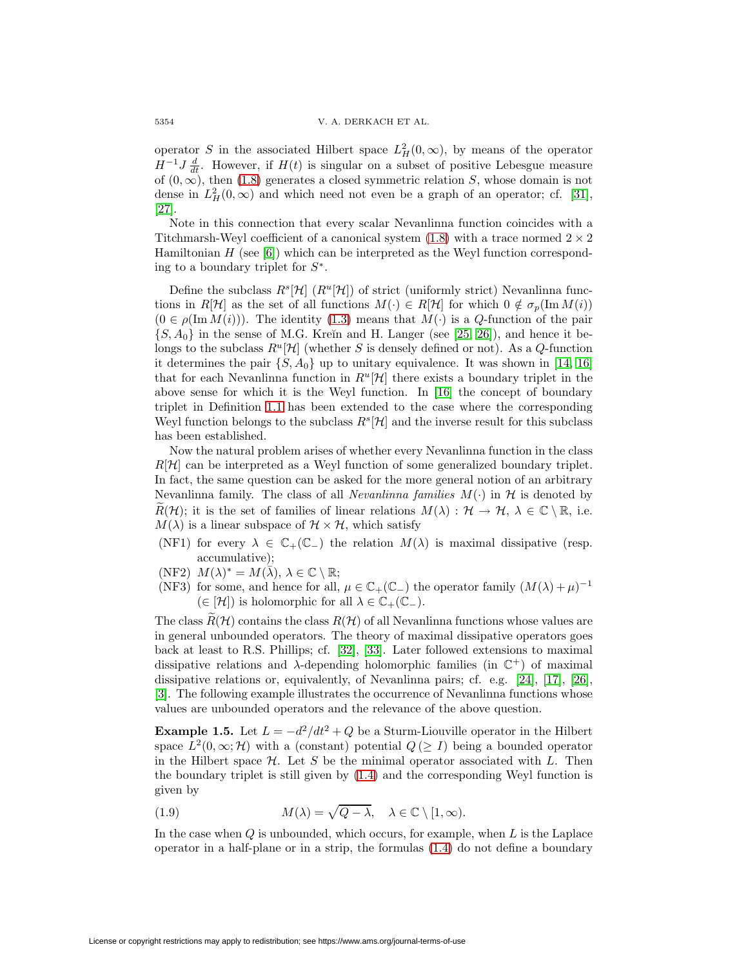operator S in the associated Hilbert space  $L<sup>2</sup><sub>H</sub>(0, \infty)$ , by means of the operator  $H^{-1}J\frac{d}{dt}$ . However, if  $H(t)$  is singular on a subset of positive Lebesgue measure of  $(0, \infty)$ , then  $(1.8)$  generates a closed symmetric relation S, whose domain is not dense in  $L<sup>2</sup><sub>H</sub>(0, \infty)$  and which need not even be a graph of an operator; cf. [\[31\]](#page-49-3), [\[27\]](#page-49-4).

Note in this connection that every scalar Nevanlinna function coincides with a Titchmarsh-Weyl coefficient of a canonical system  $(1.8)$  with a trace normed  $2 \times 2$ Hamiltonian  $H$  (see [\[6\]](#page-48-9)) which can be interpreted as the Weyl function corresponding to a boundary triplet for  $S^*$ .

Define the subclass  $R^s[\mathcal{H}]$   $(R^u[\mathcal{H}])$  of strict (uniformly strict) Nevanlinna functions in R[H] as the set of all functions  $M(\cdot) \in R[H]$  for which  $0 \notin \sigma_p(\text{Im }M(i))$  $(0 \in \rho(\text{Im }M(i)))$ . The identity  $(1.3)$  means that  $M(\cdot)$  is a Q-function of the pair  $\{S, A_0\}$  in the sense of M.G. Kreĭn and H. Langer (see [\[25,](#page-48-10) [26\]](#page-49-5)), and hence it belongs to the subclass  $R^u[\mathcal{H}]$  (whether S is densely defined or not). As a Q-function it determines the pair  $\{S, A_0\}$  up to unitary equivalence. It was shown in [\[14,](#page-48-4) [16\]](#page-48-2) that for each Nevanlinna function in  $R^u[\mathcal{H}]$  there exists a boundary triplet in the above sense for which it is the Weyl function. In [\[16\]](#page-48-2) the concept of boundary triplet in Definition [1.1](#page-0-0) has been extended to the case where the corresponding Weyl function belongs to the subclass  $R^s[\mathcal{H}]$  and the inverse result for this subclass has been established.

Now the natural problem arises of whether every Nevanlinna function in the class  $R[\mathcal{H}]$  can be interpreted as a Weyl function of some generalized boundary triplet. In fact, the same question can be asked for the more general notion of an arbitrary Nevanlinna family. The class of all *Nevanlinna families*  $M(\cdot)$  in  $H$  is denoted by  $R(\mathcal{H})$ ; it is the set of families of linear relations  $M(\lambda): \mathcal{H} \to \mathcal{H}, \lambda \in \mathbb{C} \setminus \mathbb{R}$ , i.e.  $M(\lambda)$  is a linear subspace of  $\mathcal{H} \times \mathcal{H}$ , which satisfy

- (NF1) for every  $\lambda \in \mathbb{C}_+(\mathbb{C}_-)$  the relation  $M(\lambda)$  is maximal dissipative (resp. accumulative);
- (NF2)  $M(\lambda)^* = M(\overline{\lambda}), \lambda \in \mathbb{C} \setminus \mathbb{R};$
- (NF3) for some, and hence for all,  $\mu \in \mathbb{C}_+(\mathbb{C}_-)$  the operator family  $(M(\lambda)+\mu)^{-1}$  $(\in [\mathcal{H}])$  is holomorphic for all  $\lambda \in \mathbb{C}_+(\mathbb{C}_-)$ .

The class  $R(\mathcal{H})$  contains the class  $R(\mathcal{H})$  of all Nevanlinna functions whose values are in general unbounded operators. The theory of maximal dissipative operators goes back at least to R.S. Phillips; cf. [\[32\]](#page-49-6), [\[33\]](#page-49-7). Later followed extensions to maximal dissipative relations and  $\lambda$ -depending holomorphic families (in  $\mathbb{C}^+$ ) of maximal dissipative relations or, equivalently, of Nevanlinna pairs; cf. e.g. [\[24\]](#page-48-11), [\[17\]](#page-48-12), [\[26\]](#page-49-5), [\[3\]](#page-47-0). The following example illustrates the occurrence of Nevanlinna functions whose values are unbounded operators and the relevance of the above question.

<span id="page-3-1"></span>**Example 1.5.** Let  $L = -d^2/dt^2 + Q$  be a Sturm-Liouville operator in the Hilbert space  $L^2(0,\infty;\mathcal{H})$  with a (constant) potential  $Q(\geq I)$  being a bounded operator in the Hilbert space  $\mathcal H$ . Let S be the minimal operator associated with L. Then the boundary triplet is still given by [\(1.4\)](#page-2-0) and the corresponding Weyl function is given by

<span id="page-3-0"></span>(1.9) 
$$
M(\lambda) = \sqrt{Q - \lambda}, \quad \lambda \in \mathbb{C} \setminus [1, \infty).
$$

In the case when  $Q$  is unbounded, which occurs, for example, when  $L$  is the Laplace operator in a half-plane or in a strip, the formulas [\(1.4\)](#page-2-0) do not define a boundary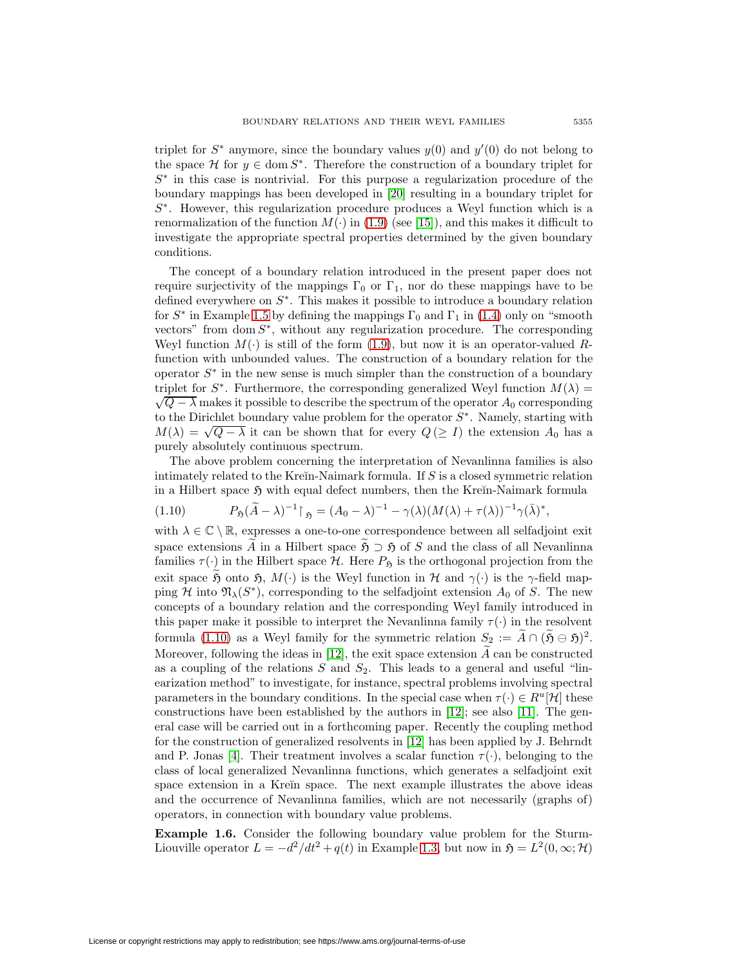triplet for  $S^*$  anymore, since the boundary values  $y(0)$  and  $y'(0)$  do not belong to the space H for  $y \in \text{dom } S^*$ . Therefore the construction of a boundary triplet for S<sup>∗</sup> in this case is nontrivial. For this purpose a regularization procedure of the boundary mappings has been developed in [\[20\]](#page-48-0) resulting in a boundary triplet for  $S<sup>*</sup>$ . However, this regularization procedure produces a Weyl function which is a renormalization of the function  $M(\cdot)$  in [\(1.9\)](#page-3-0) (see [\[15\]](#page-48-1)), and this makes it difficult to investigate the appropriate spectral properties determined by the given boundary conditions.

The concept of a boundary relation introduced in the present paper does not require surjectivity of the mappings  $\Gamma_0$  or  $\Gamma_1$ , nor do these mappings have to be defined everywhere on  $S^*$ . This makes it possible to introduce a boundary relation for  $S^*$  in Example [1.5](#page-3-1) by defining the mappings  $\Gamma_0$  and  $\Gamma_1$  in [\(1.4\)](#page-2-0) only on "smooth vectors" from  $dom S^*$ , without any regularization procedure. The corresponding Weyl function  $M(\cdot)$  is still of the form [\(1.9\)](#page-3-0), but now it is an operator-valued Rfunction with unbounded values. The construction of a boundary relation for the operator  $S^*$  in the new sense is much simpler than the construction of a boundary triplet for  $S^*$ . Furthermore, the corresponding generalized Weyl function  $M(\lambda)$  =  $\sqrt{Q - \lambda}$  makes it possible to describe the spectrum of the operator  $A_0$  corresponding to the Dirichlet boundary value problem for the operator  $S^*$ . Namely, starting with  $M(\lambda) = \sqrt{Q - \lambda}$  it can be shown that for every  $Q(\geq I)$  the extension  $A_0$  has a purely absolutely continuous spectrum.

The above problem concerning the interpretation of Nevanlinna families is also intimately related to the Kre $\overline{n}$ -Naimark formula. If S is a closed symmetric relation in a Hilbert space  $\mathfrak H$  with equal defect numbers, then the Kreĭn-Naimark formula

<span id="page-4-0"></span>
$$
(1.10) \tP_{\mathfrak{H}}(\widetilde{A} - \lambda)^{-1} \upharpoonright_{\mathfrak{H}} = (A_0 - \lambda)^{-1} - \gamma(\lambda)(M(\lambda) + \tau(\lambda))^{-1} \gamma(\overline{\lambda})^*,
$$

with  $\lambda \in \mathbb{C} \setminus \mathbb{R}$ , expresses a one-to-one correspondence between all selfadjoint exit space extensions A in a Hilbert space  $\tilde{\mathfrak{H}} \supset \mathfrak{H}$  of S and the class of all Nevanlinna families  $\tau(\cdot)$  in the Hilbert space  $\mathcal{H}$ . Here  $P_{\mathfrak{H}}$  is the orthogonal projection from the exit space  $\mathfrak H$  onto  $\mathfrak H$ ,  $M(\cdot)$  is the Weyl function in H and  $\gamma(\cdot)$  is the  $\gamma$ -field mapping H into  $\mathfrak{N}_{\lambda}(S^*)$ , corresponding to the selfadjoint extension  $A_0$  of S. The new concepts of a boundary relation and the corresponding Weyl family introduced in this paper make it possible to interpret the Nevanlinna family  $\tau(\cdot)$  in the resolvent formula [\(1.10\)](#page-4-0) as a Weyl family for the symmetric relation  $S_2 := A \cap (\mathfrak{H} \ominus \mathfrak{H})^2$ . Moreover, following the ideas in [\[12\]](#page-48-3), the exit space extension  $\widetilde{A}$  can be constructed as a coupling of the relations  $S$  and  $S_2$ . This leads to a general and useful "linearization method" to investigate, for instance, spectral problems involving spectral parameters in the boundary conditions. In the special case when  $\tau(\cdot) \in R^u[\mathcal{H}]$  these constructions have been established by the authors in [\[12\]](#page-48-3); see also [\[11\]](#page-48-13). The general case will be carried out in a forthcoming paper. Recently the coupling method for the construction of generalized resolvents in [\[12\]](#page-48-3) has been applied by J. Behrndt and P. Jonas [\[4\]](#page-48-14). Their treatment involves a scalar function  $\tau(\cdot)$ , belonging to the class of local generalized Nevanlinna functions, which generates a selfadjoint exit space extension in a Kreĭn space. The next example illustrates the above ideas and the occurrence of Nevanlinna families, which are not necessarily (graphs of) operators, in connection with boundary value problems.

**Example 1.6.** Consider the following boundary value problem for the Sturm-Liouville operator  $L = -d^2/dt^2 + q(t)$  in Example [1.3,](#page-1-3) but now in  $\mathfrak{H} = L^2(0, \infty; \mathcal{H})$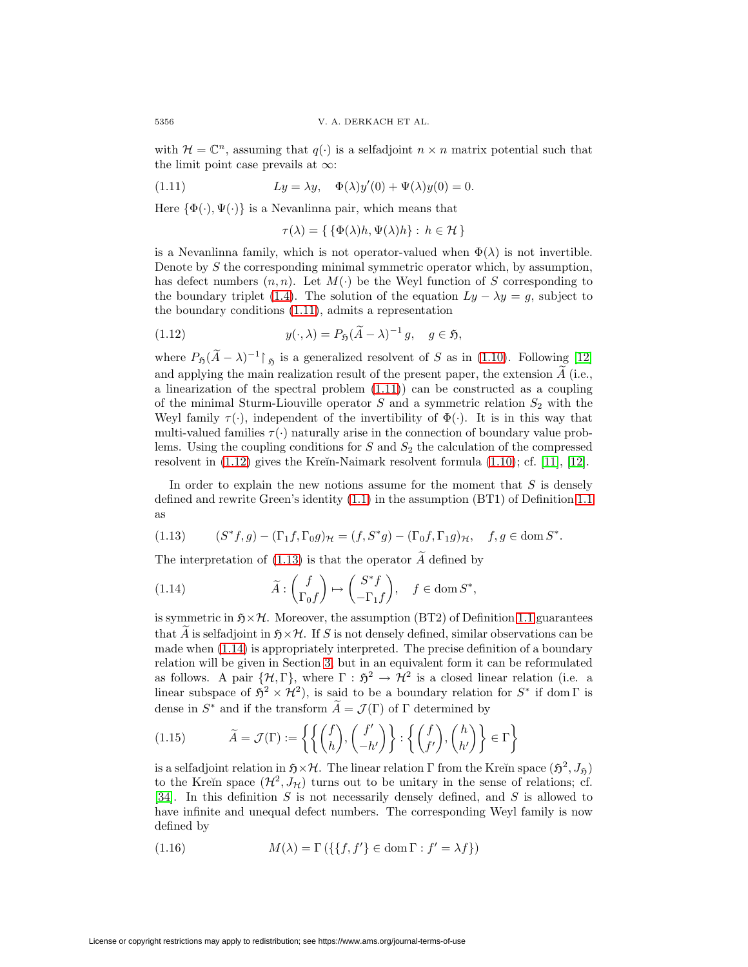with  $\mathcal{H} = \mathbb{C}^n$ , assuming that  $q(\cdot)$  is a selfadjoint  $n \times n$  matrix potential such that the limit point case prevails at  $\infty$ :

(1.11) 
$$
Ly = \lambda y, \quad \Phi(\lambda)y'(0) + \Psi(\lambda)y(0) = 0.
$$

Here  $\{\Phi(\cdot), \Psi(\cdot)\}\$ is a Nevanlinna pair, which means that

<span id="page-5-1"></span><span id="page-5-0"></span>
$$
\tau(\lambda) = \{ \{ \Phi(\lambda)h, \Psi(\lambda)h \} : h \in \mathcal{H} \}
$$

is a Nevanlinna family, which is not operator-valued when  $\Phi(\lambda)$  is not invertible. Denote by S the corresponding minimal symmetric operator which, by assumption, has defect numbers  $(n,n)$ . Let  $M(\cdot)$  be the Weyl function of S corresponding to the boundary triplet [\(1.4\)](#page-2-0). The solution of the equation  $Ly - \lambda y = g$ , subject to the boundary conditions [\(1.11\)](#page-5-0), admits a representation

(1.12) 
$$
y(\cdot, \lambda) = P_{\mathfrak{H}}(\widetilde{A} - \lambda)^{-1} g, \quad g \in \mathfrak{H},
$$

where  $P_{\mathfrak{H}}(\widetilde{A} - \lambda)^{-1}$  is a generalized resolvent of S as in [\(1.10\)](#page-4-0). Following [\[12\]](#page-48-3) and applying the main realization result of the present paper, the extension A (i.e., a linearization of the spectral problem [\(1.11\)](#page-5-0)) can be constructed as a coupling of the minimal Sturm-Liouville operator  $S$  and a symmetric relation  $S_2$  with the Weyl family  $\tau(\cdot)$ , independent of the invertibility of  $\Phi(\cdot)$ . It is in this way that multi-valued families  $\tau(\cdot)$  naturally arise in the connection of boundary value problems. Using the coupling conditions for  $S$  and  $S_2$  the calculation of the compressed resolvent in  $(1.12)$  gives the Kreĭn-Naimark resolvent formula  $(1.10)$ ; cf.  $[11]$ ,  $[12]$ .

In order to explain the new notions assume for the moment that  $S$  is densely defined and rewrite Green's identity [\(1.1\)](#page-1-0) in the assumption (BT1) of Definition [1.1](#page-0-0) as

<span id="page-5-3"></span><span id="page-5-2"></span>
$$
(1.13) \qquad (S^*f,g) - (\Gamma_1 f, \Gamma_0 g)_{\mathcal{H}} = (f, S^*g) - (\Gamma_0 f, \Gamma_1 g)_{\mathcal{H}}, \quad f, g \in \text{dom } S^*.
$$

The interpretation of [\(1.13\)](#page-5-2) is that the operator  $\widetilde{A}$  defined by

(1.14) 
$$
\widetilde{A}: \begin{pmatrix} f \\ \Gamma_0 f \end{pmatrix} \mapsto \begin{pmatrix} S^* f \\ -\Gamma_1 f \end{pmatrix}, \quad f \in \text{dom } S^*,
$$

is symmetric in  $\mathfrak{H} \times \mathcal{H}$ . Moreover, the assumption (BT2) of Definition [1.1](#page-0-0) guarantees that A is selfadjoint in  $\mathfrak{H}\times\mathcal{H}$ . If S is not densely defined, similar observations can be made when [\(1.14\)](#page-5-3) is appropriately interpreted. The precise definition of a boundary relation will be given in Section [3,](#page-17-0) but in an equivalent form it can be reformulated as follows. A pair  $\{\mathcal{H}, \Gamma\}$ , where  $\Gamma : \mathfrak{H}^2 \to \mathcal{H}^2$  is a closed linear relation (i.e. a linear subspace of  $5^2 \times H^2$ ), is said to be a boundary relation for  $S^*$  if dom  $\Gamma$  is dense in  $S^*$  and if the transform  $\widetilde{A} = \mathcal{J}(\Gamma)$  of  $\Gamma$  determined by

<span id="page-5-4"></span>(1.15) 
$$
\widetilde{A} = \mathcal{J}(\Gamma) := \left\{ \left\{ \binom{f}{h}, \binom{f'}{-h'} \right\} : \left\{ \binom{f}{f'}, \binom{h}{h'} \right\} \in \Gamma \right\}
$$

is a selfadjoint relation in  $\mathfrak{H}\times\mathcal{H}$ . The linear relation Γ from the Kreĭn space  $(\mathfrak{H}^2, J_{\mathfrak{H}})$ to the Kreĭn space  $(\mathcal{H}^2, J_{\mathcal{H}})$  turns out to be unitary in the sense of relations; cf. [\[34\]](#page-49-8). In this definition S is not necessarily densely defined, and S is allowed to have infinite and unequal defect numbers. The corresponding Weyl family is now defined by

(1.16) 
$$
M(\lambda) = \Gamma\left(\{\{f, f'\}\in \text{dom}\,\Gamma : f' = \lambda f\}\right)
$$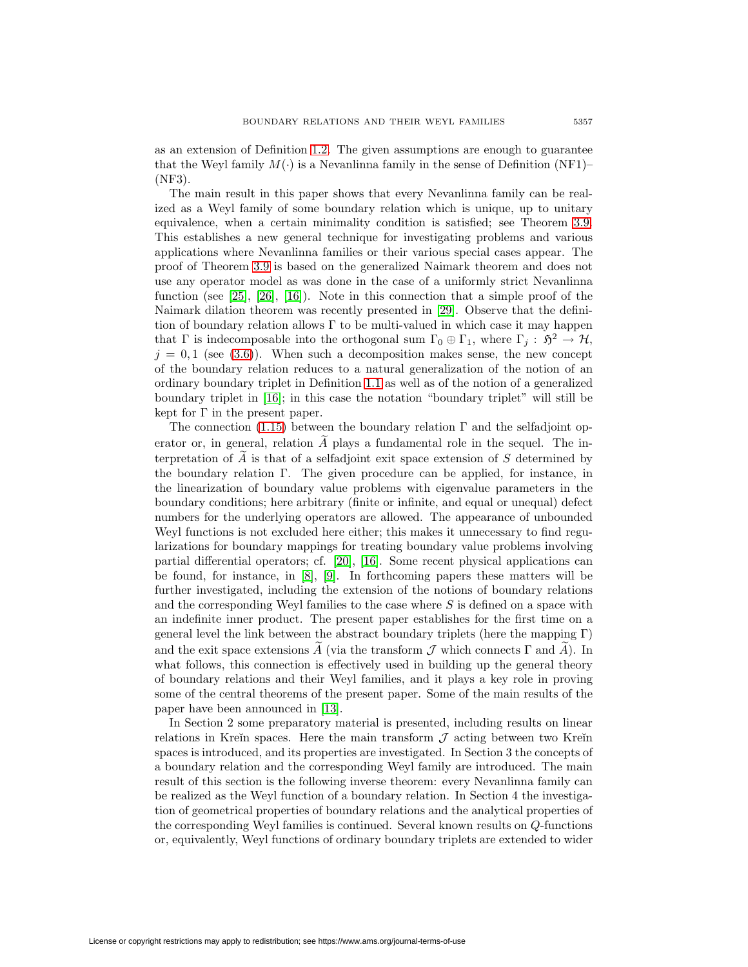as an extension of Definition [1.2.](#page-1-4) The given assumptions are enough to guarantee that the Weyl family  $M(.)$  is a Nevanlinna family in the sense of Definition (NF1)– (NF3).

The main result in this paper shows that every Nevanlinna family can be realized as a Weyl family of some boundary relation which is unique, up to unitary equivalence, when a certain minimality condition is satisfied; see Theorem [3.9.](#page-21-0) This establishes a new general technique for investigating problems and various applications where Nevanlinna families or their various special cases appear. The proof of Theorem [3.9](#page-21-0) is based on the generalized Naimark theorem and does not use any operator model as was done in the case of a uniformly strict Nevanlinna function (see [\[25\]](#page-48-10), [\[26\]](#page-49-5), [\[16\]](#page-48-2)). Note in this connection that a simple proof of the Naimark dilation theorem was recently presented in [\[29\]](#page-49-9). Observe that the definition of boundary relation allows  $\Gamma$  to be multi-valued in which case it may happen that  $\Gamma$  is indecomposable into the orthogonal sum  $\Gamma_0 \oplus \Gamma_1$ , where  $\Gamma_j : \mathfrak{H}^2 \to \mathcal{H}$ ,  $j = 0, 1$  (see [\(3.6\)](#page-19-0)). When such a decomposition makes sense, the new concept of the boundary relation reduces to a natural generalization of the notion of an ordinary boundary triplet in Definition [1.1](#page-0-0) as well as of the notion of a generalized boundary triplet in [\[16\]](#page-48-2); in this case the notation "boundary triplet" will still be kept for Γ in the present paper.

The connection [\(1.15\)](#page-5-4) between the boundary relation  $\Gamma$  and the selfadjoint operator or, in general, relation A plays a fundamental role in the sequel. The interpretation of A is that of a selfadjoint exit space extension of S determined by the boundary relation Γ. The given procedure can be applied, for instance, in the linearization of boundary value problems with eigenvalue parameters in the boundary conditions; here arbitrary (finite or infinite, and equal or unequal) defect numbers for the underlying operators are allowed. The appearance of unbounded Weyl functions is not excluded here either; this makes it unnecessary to find regularizations for boundary mappings for treating boundary value problems involving partial differential operators; cf. [\[20\]](#page-48-0), [\[16\]](#page-48-2). Some recent physical applications can be found, for instance, in [\[8\]](#page-48-15), [\[9\]](#page-48-16). In forthcoming papers these matters will be further investigated, including the extension of the notions of boundary relations and the corresponding Weyl families to the case where S is defined on a space with an indefinite inner product. The present paper establishes for the first time on a general level the link between the abstract boundary triplets (here the mapping  $\Gamma$ ) and the exit space extensions  $\tilde{A}$  (via the transform  $\tilde{J}$  which connects  $\Gamma$  and  $\tilde{A}$ ). In what follows, this connection is effectively used in building up the general theory of boundary relations and their Weyl families, and it plays a key role in proving some of the central theorems of the present paper. Some of the main results of the paper have been announced in [\[13\]](#page-48-17).

In Section 2 some preparatory material is presented, including results on linear relations in Kreĭn spaces. Here the main transform  $\mathcal J$  acting between two Kreĭn spaces is introduced, and its properties are investigated. In Section 3 the concepts of a boundary relation and the corresponding Weyl family are introduced. The main result of this section is the following inverse theorem: every Nevanlinna family can be realized as the Weyl function of a boundary relation. In Section 4 the investigation of geometrical properties of boundary relations and the analytical properties of the corresponding Weyl families is continued. Several known results on Q-functions or, equivalently, Weyl functions of ordinary boundary triplets are extended to wider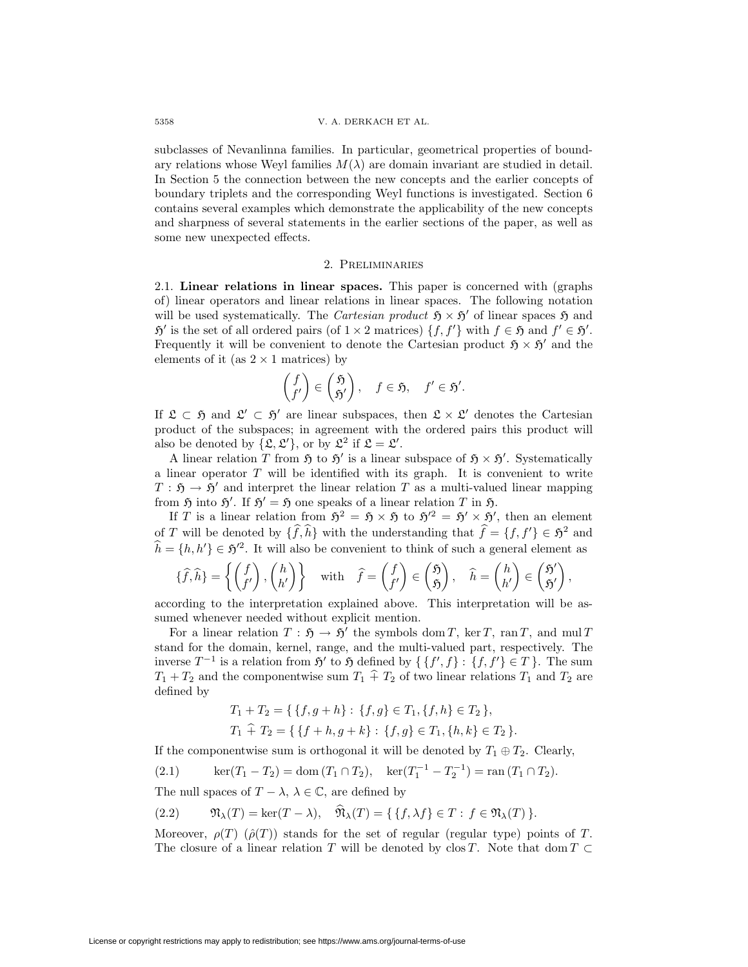subclasses of Nevanlinna families. In particular, geometrical properties of boundary relations whose Weyl families  $M(\lambda)$  are domain invariant are studied in detail. In Section 5 the connection between the new concepts and the earlier concepts of boundary triplets and the corresponding Weyl functions is investigated. Section 6 contains several examples which demonstrate the applicability of the new concepts and sharpness of several statements in the earlier sections of the paper, as well as some new unexpected effects.

## 2. Preliminaries

2.1. **Linear relations in linear spaces.** This paper is concerned with (graphs of) linear operators and linear relations in linear spaces. The following notation will be used systematically. The Cartesian product  $\mathfrak{H} \times \mathfrak{H}'$  of linear spaces  $\mathfrak{H}$  and  $\mathfrak{H}'$  is the set of all ordered pairs (of  $1 \times 2$  matrices)  $\{f, f'\}$  with  $f \in \mathfrak{H}$  and  $f' \in \mathfrak{H}'.$ Frequently it will be convenient to denote the Cartesian product  $\mathfrak{H} \times \mathfrak{H}'$  and the elements of it (as  $2 \times 1$  matrices) by

$$
\begin{pmatrix} f \\ f' \end{pmatrix} \in \begin{pmatrix} \mathfrak{H} \\ \mathfrak{H}' \end{pmatrix}, \quad f \in \mathfrak{H}, \quad f' \in \mathfrak{H}'.
$$

If  $\mathfrak{L} \subset \mathfrak{H}$  and  $\mathfrak{L}' \subset \mathfrak{H}'$  are linear subspaces, then  $\mathfrak{L} \times \mathfrak{L}'$  denotes the Cartesian product of the subspaces; in agreement with the ordered pairs this product will also be denoted by  $\{\mathfrak{L}, \mathfrak{L}'\}$ , or by  $\mathfrak{L}^2$  if  $\mathfrak{L} = \mathfrak{L}'$ .

A linear relation T from  $\mathfrak{H}$  to  $\mathfrak{H}'$  is a linear subspace of  $\mathfrak{H} \times \mathfrak{H}'$ . Systematically a linear operator  $T$  will be identified with its graph. It is convenient to write  $T : \mathfrak{H} \to \mathfrak{H}'$  and interpret the linear relation T as a multi-valued linear mapping from  $\mathfrak H$  into  $\mathfrak H'$ . If  $\mathfrak H' = \mathfrak H$  one speaks of a linear relation T in  $\mathfrak H$ .

If T is a linear relation from  $\mathfrak{H}^2 = \mathfrak{H} \times \mathfrak{H}$  to  $\mathfrak{H}'^2 = \mathfrak{H}' \times \mathfrak{H}'$ , then an element of T will be denoted by  $\{\widehat{f},\widehat{h}\}$  with the understanding that  $\widehat{f} = \{f,f'\} \in \mathfrak{H}^2$  and  $\hat{h} = \{h, h'\} \in \mathfrak{H}^2$ . It will also be convenient to think of such a general element as

$$
\{\widehat{f},\widehat{h}\} = \left\{ \begin{pmatrix} f \\ f' \end{pmatrix}, \begin{pmatrix} h \\ h' \end{pmatrix} \right\} \quad \text{with} \quad \widehat{f} = \begin{pmatrix} f \\ f' \end{pmatrix} \in \begin{pmatrix} \mathfrak{H} \\ \mathfrak{H} \end{pmatrix}, \quad \widehat{h} = \begin{pmatrix} h \\ h' \end{pmatrix} \in \begin{pmatrix} \mathfrak{H}' \\ \mathfrak{H}' \end{pmatrix},
$$

according to the interpretation explained above. This interpretation will be assumed whenever needed without explicit mention.

For a linear relation  $T : \mathfrak{H} \to \mathfrak{H}'$  the symbols dom T, ker T, ran T, and mul T stand for the domain, kernel, range, and the multi-valued part, respectively. The inverse  $T^{-1}$  is a relation from  $\mathfrak{H}'$  to  $\mathfrak{H}$  defined by  $\{f', f\} : \{f, f'\} \in T$ . The sum  $T_1 + T_2$  and the componentwise sum  $T_1 \hat{+} T_2$  of two linear relations  $T_1$  and  $T_2$  are defined by

<span id="page-7-1"></span><span id="page-7-0"></span>
$$
T_1 + T_2 = \{ \{f, g + h\} : \{f, g\} \in T_1, \{f, h\} \in T_2 \},
$$
  

$$
T_1 \hat{+} T_2 = \{ \{f + h, g + k\} : \{f, g\} \in T_1, \{h, k\} \in T_2 \}.
$$

If the componentwise sum is orthogonal it will be denoted by  $T_1 \oplus T_2$ . Clearly,

(2.1) 
$$
\ker(T_1 - T_2) = \text{dom}(T_1 \cap T_2), \quad \ker(T_1^{-1} - T_2^{-1}) = \text{ran}(T_1 \cap T_2).
$$

The null spaces of  $T - \lambda$ ,  $\lambda \in \mathbb{C}$ , are defined by

(2.2) 
$$
\mathfrak{N}_{\lambda}(T) = \ker(T - \lambda), \quad \mathfrak{N}_{\lambda}(T) = \{ \{ f, \lambda f \} \in T : f \in \mathfrak{N}_{\lambda}(T) \}.
$$

Moreover,  $\rho(T)$  ( $\rho(T)$ ) stands for the set of regular (regular type) points of T. The closure of a linear relation T will be denoted by clos T. Note that dom  $T \subset$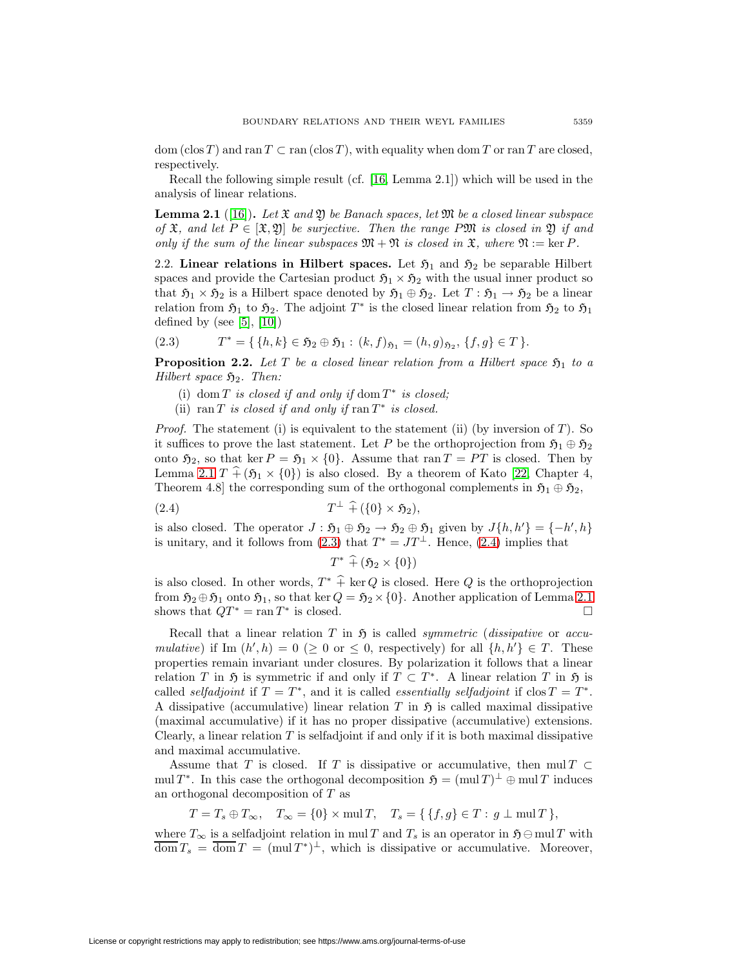dom (clos T) and ran  $T \subset \text{ran}(\text{clos }T)$ , with equality when dom T or ran T are closed, respectively.

<span id="page-8-0"></span>Recall the following simple result (cf. [\[16,](#page-48-2) Lemma 2.1]) which will be used in the analysis of linear relations.

**Lemma 2.1** ([\[16\]](#page-48-2)). Let  $\mathfrak{X}$  and  $\mathfrak{Y}$  be Banach spaces, let  $\mathfrak{M}$  be a closed linear subspace of  $\mathfrak{X}$ , and let  $P \in [\mathfrak{X}, \mathfrak{Y}]$  be surjective. Then the range PM is closed in  $\mathfrak{Y}$  if and only if the sum of the linear subspaces  $\mathfrak{M} + \mathfrak{N}$  is closed in  $\mathfrak{X}$ , where  $\mathfrak{N} := \ker P$ .

2.2. **Linear relations in Hilbert spaces.** Let  $\mathfrak{H}_1$  and  $\mathfrak{H}_2$  be separable Hilbert spaces and provide the Cartesian product  $\mathfrak{H}_1 \times \mathfrak{H}_2$  with the usual inner product so that  $\mathfrak{H}_1 \times \mathfrak{H}_2$  is a Hilbert space denoted by  $\mathfrak{H}_1 \oplus \mathfrak{H}_2$ . Let  $T : \mathfrak{H}_1 \to \mathfrak{H}_2$  be a linear relation from  $\mathfrak{H}_1$  to  $\mathfrak{H}_2$ . The adjoint  $T^*$  is the closed linear relation from  $\mathfrak{H}_2$  to  $\mathfrak{H}_1$ defined by (see  $[5]$ ,  $[10]$ )

<span id="page-8-3"></span><span id="page-8-1"></span>
$$
(2.3) \t T^* = \{ \{h, k\} \in \mathfrak{H}_2 \oplus \mathfrak{H}_1 : (k, f)_{\mathfrak{H}_1} = (h, g)_{\mathfrak{H}_2}, \{f, g\} \in T \}.
$$

**Proposition 2.2.** Let T be a closed linear relation from a Hilbert space  $\mathfrak{H}_1$  to a Hilbert space  $\mathfrak{H}_2$ . Then:

- (i) dom T is closed if and only if dom  $T^*$  is closed;
- (ii) ran T is closed if and only if ran  $T^*$  is closed.

*Proof.* The statement (i) is equivalent to the statement (ii) (by inversion of  $T$ ). So it suffices to prove the last statement. Let P be the orthoprojection from  $\mathfrak{H}_1 \oplus \mathfrak{H}_2$ onto  $\mathfrak{H}_2$ , so that ker  $P = \mathfrak{H}_1 \times \{0\}$ . Assume that ran  $T = PT$  is closed. Then by Lemma [2.1](#page-8-0)  $T \hat{+} (\mathfrak{H}_1 \times \{0\})$  is also closed. By a theorem of Kato [\[22,](#page-48-20) Chapter 4, Theorem 4.8] the corresponding sum of the orthogonal complements in  $\mathfrak{H}_1 \oplus \mathfrak{H}_2$ ,

$$
(2.4) \t\t T^{\perp} \widehat{+} (\{0\} \times \mathfrak{H}_2),
$$

is also closed. The operator  $J : \mathfrak{H}_1 \oplus \mathfrak{H}_2 \to \mathfrak{H}_2 \oplus \mathfrak{H}_1$  given by  $J\{h, h'\} = \{-h', h\}$ is unitary, and it follows from [\(2.3\)](#page-8-1) that  $T^* = JT^{\perp}$ . Hence, [\(2.4\)](#page-8-2) implies that

<span id="page-8-2"></span>
$$
T^* \widehat{+} (\mathfrak{H}_2 \times \{0\})
$$

is also closed. In other words,  $T^* \hat{+}$  ker Q is closed. Here Q is the orthoprojection from  $\mathfrak{H}_2 \oplus \mathfrak{H}_1$  onto  $\mathfrak{H}_1$ , so that ker  $Q = \mathfrak{H}_2 \times \{0\}$ . Another application of Lemma [2.1](#page-8-0) shows that  $QT^* = \text{ran } T^*$  is closed.

Recall that a linear relation T in  $\mathfrak{H}$  is called *symmetric (dissipative* or *accu*mulative) if Im  $(h', h) = 0 \geq 0$  or  $\leq 0$ , respectively) for all  $\{h, h'\} \in T$ . These properties remain invariant under closures. By polarization it follows that a linear relation T in  $\mathfrak H$  is symmetric if and only if  $T \subset T^*$ . A linear relation T in  $\mathfrak H$  is called selfadjoint if  $T = T^*$ , and it is called essentially selfadjoint if clos  $T = T^*$ . A dissipative (accumulative) linear relation T in  $\mathfrak{H}$  is called maximal dissipative (maximal accumulative) if it has no proper dissipative (accumulative) extensions. Clearly, a linear relation  $T$  is selfadjoint if and only if it is both maximal dissipative and maximal accumulative.

Assume that T is closed. If T is dissipative or accumulative, then mul  $T \subset$ mul T<sup>\*</sup>. In this case the orthogonal decomposition  $\mathfrak{H} = (\text{mul }T)^{\perp} \oplus \text{mul }T$  induces an orthogonal decomposition of T as

$$
T = T_s \oplus T_{\infty}, \quad T_{\infty} = \{0\} \times \text{mul } T, \quad T_s = \{ \{f, g\} \in T : g \perp \text{mul } T \},
$$

where  $T_{\infty}$  is a selfadjoint relation in mul T and  $T_s$  is an operator in  $\mathfrak{H} \ominus \text{mul } T$  with  $\overline{\text{dom}} T_s = \overline{\text{dom}} T = (\text{mul } T^*)^{\perp}$ , which is dissipative or accumulative. Moreover,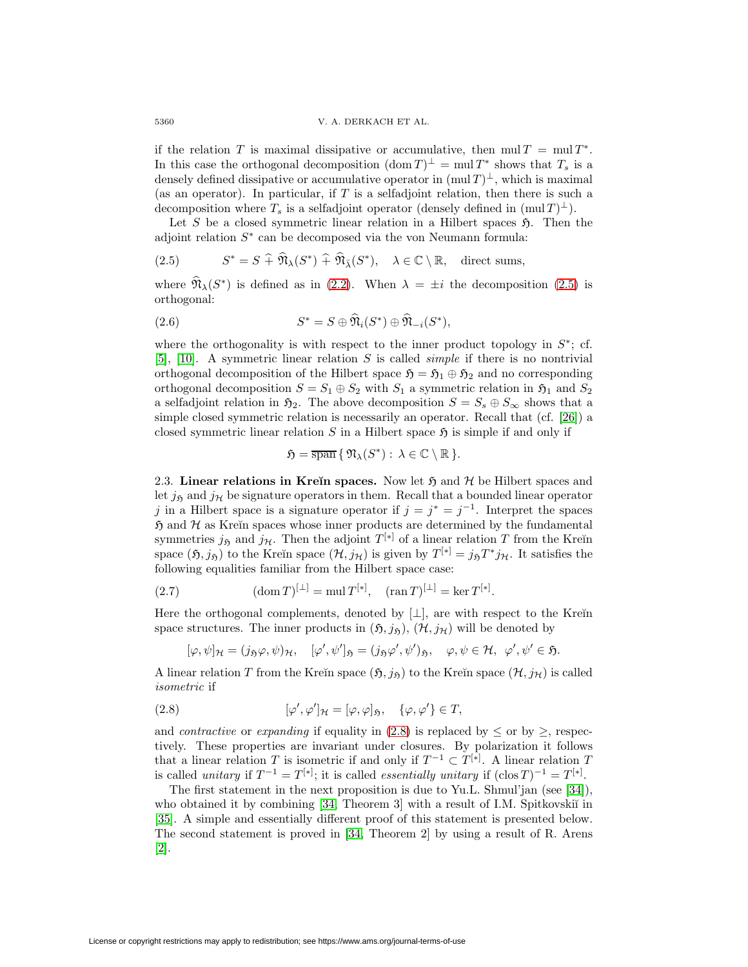5360 V. A. DERKACH ET AL.

if the relation T is maximal dissipative or accumulative, then  $mul T = mul T^*$ . In this case the orthogonal decomposition  $(\text{dom } T)^{\perp} = \text{mul } T^*$  shows that  $T_s$  is a densely defined dissipative or accumulative operator in  $(\text{mul } T)^{\perp}$ , which is maximal (as an operator). In particular, if  $T$  is a selfadjoint relation, then there is such a decomposition where  $T_s$  is a selfadjoint operator (densely defined in  $(\text{mul }T)^{\perp}$ ).

Let S be a closed symmetric linear relation in a Hilbert spaces  $\mathfrak{H}$ . Then the adjoint relation  $S^*$  can be decomposed via the von Neumann formula:

(2.5) 
$$
S^* = S \widehat{+} \widehat{\mathfrak{N}}_{\lambda}(S^*) \widehat{+} \widehat{\mathfrak{N}}_{\overline{\lambda}}(S^*), \quad \lambda \in \mathbb{C} \setminus \mathbb{R}, \quad \text{direct sums,}
$$

<span id="page-9-4"></span>where  $\widehat{\mathfrak{N}}_{\lambda}(S^*)$  is defined as in [\(2.2\)](#page-7-0). When  $\lambda = \pm i$  the decomposition [\(2.5\)](#page-9-0) is orthogonal:

(2.6) 
$$
S^* = S \oplus \widehat{\mathfrak{N}}_i(S^*) \oplus \widehat{\mathfrak{N}}_{-i}(S^*),
$$

where the orthogonality is with respect to the inner product topology in  $S^*$ ; cf. [\[5\]](#page-48-18), [\[10\]](#page-48-19). A symmetric linear relation S is called *simple* if there is no nontrivial orthogonal decomposition of the Hilbert space  $\mathfrak{H} = \mathfrak{H}_1 \oplus \mathfrak{H}_2$  and no corresponding orthogonal decomposition  $S = S_1 \oplus S_2$  with  $S_1$  a symmetric relation in  $\mathfrak{H}_1$  and  $S_2$ a selfadjoint relation in  $\mathfrak{H}_2$ . The above decomposition  $S = S_s \oplus S_\infty$  shows that a simple closed symmetric relation is necessarily an operator. Recall that (cf. [\[26\]](#page-49-5)) a closed symmetric linear relation S in a Hilbert space  $\mathfrak{H}$  is simple if and only if

<span id="page-9-2"></span><span id="page-9-0"></span>
$$
\mathfrak{H} = \overline{\operatorname{span}} \{ \mathfrak{N}_{\lambda}(S^*) : \lambda \in \mathbb{C} \setminus \mathbb{R} \}.
$$

2.3. **Linear relations in Kreĭn spaces.** Now let  $\mathfrak{H}$  and  $\mathcal{H}$  be Hilbert spaces and let  $j_{\mathfrak{H}}$  and  $j_{\mathcal{H}}$  be signature operators in them. Recall that a bounded linear operator j in a Hilbert space is a signature operator if  $j = j^* = j^{-1}$ . Interpret the spaces  $\mathfrak{H}$  and  $\mathcal H$  as Kreĭn spaces whose inner products are determined by the fundamental symmetries  $j_{\mathfrak{H}}$  and  $j_{\mathcal{H}}$ . Then the adjoint  $T^{[*]}$  of a linear relation T from the Kreĭn space  $(\mathfrak{H}, j_{\mathfrak{H}})$  to the Kreĭn space  $(\mathcal{H}, j_{\mathcal{H}})$  is given by  $T^{[*]} = j_{\mathfrak{H}}T^*j_{\mathcal{H}}$ . It satisfies the following equalities familiar from the Hilbert space case:

(2.7) 
$$
(\text{dom } T)^{[\perp]} = \text{mul } T^{[*]}, \quad (\text{ran } T)^{[\perp]} = \text{ker } T^{[*]}.
$$

Here the orthogonal complements, denoted by  $[\perp]$ , are with respect to the Kre $\overline{u}$ space structures. The inner products in  $(\mathfrak{H}, j_{\mathfrak{H}}), (\mathcal{H}, j_{\mathcal{H}})$  will be denoted by

$$
[\varphi,\psi]_{\mathcal{H}}=(j_{\mathfrak{H}}\varphi,\psi)_{\mathcal{H}},\quad [\varphi',\psi']_{\mathfrak{H}}=(j_{\mathfrak{H}}\varphi',\psi')_{\mathfrak{H}},\quad \varphi,\psi\in\mathcal{H},\ \varphi',\psi'\in\mathfrak{H}.
$$

<span id="page-9-1"></span>A linear relation T from the Kreĭn space  $(\mathfrak{H},j_{\mathfrak{H}})$  to the Kreĭn space  $(\mathcal{H},j_{\mathcal{H}})$  is called isometric if

(2.8) 
$$
[\varphi', \varphi']_{\mathcal{H}} = [\varphi, \varphi]_{\mathfrak{H}}, \quad {\varphi, \varphi'} \in T,
$$

and *contractive* or *expanding* if equality in [\(2.8\)](#page-9-1) is replaced by  $\leq$  or by  $\geq$ , respectively. These properties are invariant under closures. By polarization it follows that a linear relation T is isometric if and only if  $T^{-1} \subset T^{[*]}$ . A linear relation T is called unitary if  $T^{-1} = T^{[*]};$  it is called *essentially unitary* if  $(\text{clos } T)^{-1} = T^{[*]}.$ 

<span id="page-9-3"></span>The first statement in the next proposition is due to Yu.L. Shmul'jan (see [\[34\]](#page-49-8)), who obtained it by combining [\[34,](#page-49-8) Theorem 3] with a result of I.M. Spitkovskiı̆ in [\[35\]](#page-49-10). A simple and essentially different proof of this statement is presented below. The second statement is proved in [\[34,](#page-49-8) Theorem 2] by using a result of R. Arens [\[2\]](#page-47-1).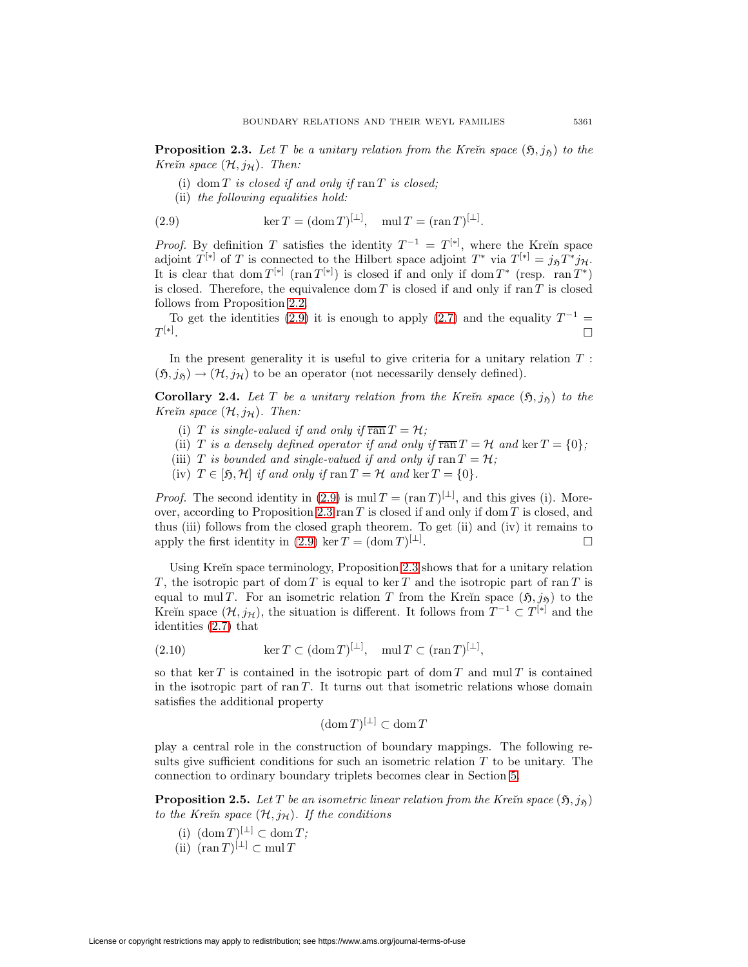**Proposition 2.3.** Let T be a unitary relation from the Kre $\check{\imath}$ n space  $(\mathfrak{H},j_{\mathfrak{H}})$  to the Kreïn space  $(\mathcal{H}, j_{\mathcal{H}})$ . Then:

- (i) dom  $T$  is closed if and only if  $ran T$  is closed;
- <span id="page-10-0"></span>(ii) the following equalities hold:

(2.9) 
$$
\ker T = (\operatorname{dom} T)^{[\perp]}, \quad \operatorname{mul} T = (\operatorname{ran} T)^{[\perp]}.
$$

*Proof.* By definition T satisfies the identity  $T^{-1} = T^{[*]}$ , where the Krein space adjoint  $T^{[*]}$  of T is connected to the Hilbert space adjoint  $T^*$  via  $T^{[*]} = j_{\tilde{p}}T^*j_{\mathcal{H}}$ . It is clear that dom  $T^{[*]}$  (ran  $T^{[*]}$ ) is closed if and only if dom  $T^*$  (resp. ran  $T^*$ ) is closed. Therefore, the equivalence dom  $T$  is closed if and only if ran  $T$  is closed follows from Proposition [2.2.](#page-8-3)

To get the identities [\(2.9\)](#page-10-0) it is enough to apply [\(2.7\)](#page-9-2) and the equality  $T^{-1}$  =  $T^{[*]}.$ . The contract of the contract of the contract of the contract of the contract of  $\Box$ 

In the present generality it is useful to give criteria for a unitary relation  $T$ :  $(\mathfrak{H}, j_{\mathfrak{H}}) \rightarrow (\mathcal{H}, j_{\mathcal{H}})$  to be an operator (not necessarily densely defined).

**Corollary 2.4.** Let T be a unitary relation from the Kre $\check{\mathbf{n}}$  space  $(\mathfrak{H},j_{\mathfrak{H}})$  to the Kreïn space  $(\mathcal{H}, j_{\mathcal{H}})$ . Then:

- (i) T is single-valued if and only if  $\overline{\text{ran}}\,T = \mathcal{H}$ ;
- (ii) T is a densely defined operator if and only if  $\overline{ran} T = H$  and  $\ker T = \{0\}$ ;
- (iii) T is bounded and single-valued if and only if  $\text{ran } T = H$ ;
- (iv)  $T \in [\mathfrak{H}, \mathcal{H}]$  if and only if  $\text{ran } T = \mathcal{H}$  and  $\ker T = \{0\}.$

*Proof.* The second identity in [\(2.9\)](#page-10-0) is mul  $T = (\text{ran } T)^{[\perp]}$ , and this gives (i). More-over, according to Proposition [2.3](#page-9-3)  $\text{ran } T$  is closed if and only if dom T is closed, and thus (iii) follows from the closed graph theorem. To get (ii) and (iv) it remains to apply the first identity in [\(2.9\)](#page-10-0) ker  $T = (\text{dom } T)^{\lfloor \perp \rfloor}$ . .  $\Box$ 

Using Kreĭn space terminology, Proposition [2.3](#page-9-3) shows that for a unitary relation T, the isotropic part of dom T is equal to keen T and the isotropic part of ran T is equal to mul T. For an isometric relation T from the Kreĭn space  $(5, j_5)$  to the Kreĭn space  $(\mathcal{H}, j_{\mathcal{H}})$ , the situation is different. It follows from  $T^{-1} \subset T^{[*]}$  and the identities [\(2.7\)](#page-9-2) that

<span id="page-10-1"></span>(2.10) 
$$
\ker T \subset (\text{dom } T)^{[\perp]}, \quad \text{mul } T \subset (\text{ran } T)^{[\perp]},
$$

so that ker T is contained in the isotropic part of dom T and mul T is contained in the isotropic part of ran  $T$ . It turns out that isometric relations whose domain satisfies the additional property

$$
(\operatorname{dom} T)^{[\perp]} \subset \operatorname{dom} T
$$

play a central role in the construction of boundary mappings. The following results give sufficient conditions for such an isometric relation  $T$  to be unitary. The connection to ordinary boundary triplets becomes clear in Section [5.](#page-38-0)

<span id="page-10-2"></span>**Proposition 2.5.** Let T be an isometric linear relation from the Kre $\check{\imath}$ n space  $(\mathfrak{H},j_{\mathfrak{H}})$ to the Krein space  $(\mathcal{H}, j_{\mathcal{H}})$ . If the conditions

- (i)  $(\text{dom } T)^{[\perp]} \subset \text{dom } T;$
- (ii)  $(\operatorname{ran} T)^{[\perp]} \subset \operatorname{mul} T$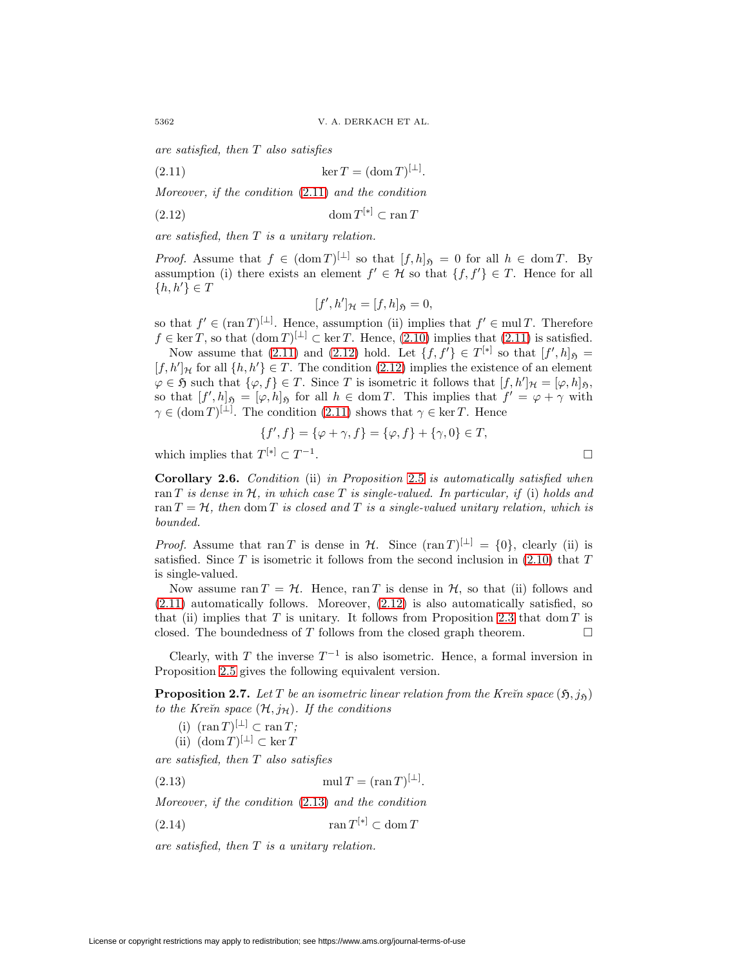<span id="page-11-0"></span>are satisfied, then T also satisfies

(2.11)  $\ker T = (\dim T)^{[\perp]}$ .

Moreover, if the condition [\(2.11\)](#page-11-0) and the condition

$$
(2.12)\qquad \qquad \text{dom}\, T^{[*]}\subset \text{ran}\, T
$$

are satisfied, then T is a unitary relation.

*Proof.* Assume that  $f \in (\text{dom } T)^{[\perp]}$  so that  $[f,h]_{\mathfrak{H}} = 0$  for all  $h \in \text{dom } T$ . By assumption (i) there exists an element  $f' \in \mathcal{H}$  so that  $\{f, f'\} \in T$ . Hence for all  $\{h, h'\} \in T$ 

<span id="page-11-1"></span>
$$
[f',h']_{\mathcal{H}}=[f,h]_{\mathfrak{H}}=0,
$$

so that  $f \in (\tan T)^{[\perp]}$ . Hence, assumption (ii) implies that  $f' \in \text{mul } T$ . Therefore  $f \in \ker T$ , so that  $(\text{dom } T)^{[\perp]} \subset \ker T$ . Hence,  $(2.10)$  implies that  $(2.11)$  is satisfied.

Now assume that [\(2.11\)](#page-11-0) and [\(2.12\)](#page-11-1) hold. Let  $\{f, f'\} \in T^{[*]}$  so that  $[f', h]$   $\mathfrak{h}$  $[f, h']$ <sub>H</sub> for all  $\{h, h'\} \in T$ . The condition [\(2.12\)](#page-11-1) implies the existence of an element  $\varphi \in \mathfrak{H}$  such that  $\{\varphi, f\} \in T$ . Since T is isometric it follows that  $[f, h']_{\mathcal{H}} = [\varphi, h]_{\mathfrak{H}}$ , so that  $[f',h]_{\mathfrak{H}} = [\varphi,h]_{\mathfrak{H}}$  for all  $h \in \text{dom } T$ . This implies that  $f' = \varphi + \gamma$  with  $\gamma \in (\text{dom } T)^{[\perp]}$ . The condition [\(2.11\)](#page-11-0) shows that  $\gamma \in \text{ker } T$ . Hence

$$
\{f', f\} = \{\varphi + \gamma, f\} = \{\varphi, f\} + \{\gamma, 0\} \in T,
$$

<span id="page-11-5"></span>which implies that  $T^{[*]}\subset T^{-1}$ .

**Corollary 2.6.** Condition (ii) in Proposition [2.5](#page-10-2) is automatically satisfied when ran T is dense in H, in which case T is single-valued. In particular, if (i) holds and ran  $T = H$ , then dom T is closed and T is a single-valued unitary relation, which is bounded.

*Proof.* Assume that ran T is dense in H. Since  $(\text{ran } T)^{[\perp]} = \{0\}$ , clearly (ii) is satisfied. Since  $T$  is isometric it follows from the second inclusion in [\(2.10\)](#page-10-1) that  $T$ is single-valued.

Now assume ran  $T = H$ . Hence, ran T is dense in H, so that (ii) follows and  $(2.11)$  automatically follows. Moreover,  $(2.12)$  is also automatically satisfied, so that (ii) implies that  $T$  is unitary. It follows from Proposition [2.3](#page-9-3) that dom  $T$  is closed. The boundedness of T follows from the closed graph theorem.  $\Box$ 

<span id="page-11-3"></span>Clearly, with T the inverse  $T^{-1}$  is also isometric. Hence, a formal inversion in Proposition [2.5](#page-10-2) gives the following equivalent version.

**Proposition 2.7.** Let T be an isometric linear relation from the Kreïn space  $(5, j_5)$ to the Kreïn space  $(\mathcal{H}, j_{\mathcal{H}})$ . If the conditions

(i)  $(\operatorname{ran} T)^{[\perp]} \subset \operatorname{ran} T;$ 

<span id="page-11-4"></span><span id="page-11-2"></span>(ii)  $(\text{dom } T)^{[\perp]} \subset \ker T$ 

are satisfied, then T also satisfies

(2.13) mul  $T = (\tan T)^{[\perp]}$ .

Moreover, if the condition [\(2.13\)](#page-11-2) and the condition

$$
(2.14)\qquad \qquad \tan T^{[*]}\subset \text{dom}\, T
$$

<span id="page-11-6"></span>are satisfied, then T is a unitary relation.

 $\Box$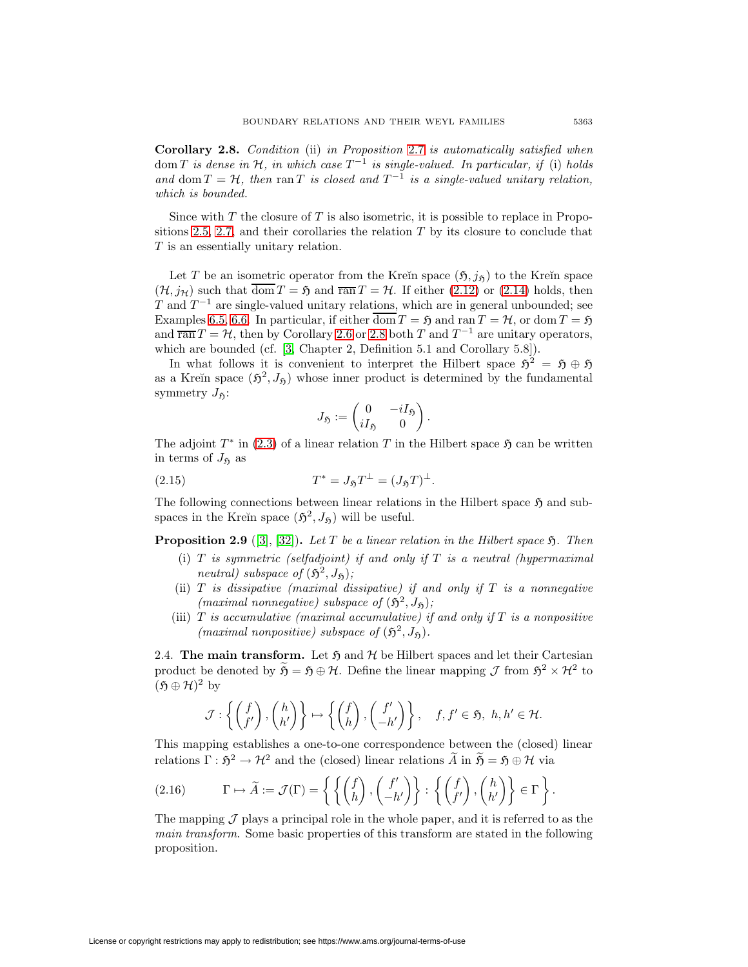**Corollary 2.8.** Condition (ii) in Proposition [2.7](#page-11-3) is automatically satisfied when dom T is dense in H, in which case  $T^{-1}$  is single-valued. In particular, if (i) holds and dom  $T = H$ , then ran T is closed and  $T^{-1}$  is a single-valued unitary relation, which is bounded.

Since with  $T$  the closure of  $T$  is also isometric, it is possible to replace in Propo-sitions [2.5,](#page-10-2) [2.7,](#page-11-3) and their corollaries the relation  $T$  by its closure to conclude that T is an essentially unitary relation.

Let T be an isometric operator from the Kreĭn space  $(5, j_5)$  to the Kreĭn space  $(\mathcal{H}, j_{\mathcal{H}})$  such that  $\overline{\text{dom}} T = \mathfrak{H}$  and  $\overline{\text{ran}} T = \mathcal{H}$ . If either [\(2.12\)](#page-11-1) or [\(2.14\)](#page-11-4) holds, then T and  $T^{-1}$  are single-valued unitary relations, which are in general unbounded; see Examples [6.5,](#page-43-0) [6.6.](#page-44-0) In particular, if either  $\overline{\text{dom}} T = \mathfrak{H}$  and ran  $T = \mathcal{H}$ , or dom  $T = \mathfrak{H}$ and  $\overline{\text{ran}} T = \mathcal{H}$ , then by Corollary [2.6](#page-11-5) or [2.8](#page-11-6) both T and  $T^{-1}$  are unitary operators, which are bounded (cf. [\[3,](#page-47-0) Chapter 2, Definition 5.1 and Corollary 5.8]).

In what follows it is convenient to interpret the Hilbert space  $\mathfrak{H}^2 = \mathfrak{H} \oplus \mathfrak{H}$ as a Kreĭn space  $(\mathfrak{H}^2, J_{\mathfrak{H}})$  whose inner product is determined by the fundamental symmetry  $J_{\mathfrak{H}}$ :

$$
J_{\mathfrak{H}} := \begin{pmatrix} 0 & -iI_{\mathfrak{H}} \\ iI_{\mathfrak{H}} & 0 \end{pmatrix}.
$$

<span id="page-12-1"></span>The adjoint  $T^*$  in [\(2.3\)](#page-8-1) of a linear relation T in the Hilbert space  $\mathfrak{H}$  can be written in terms of  $J_{\mathfrak{H}}$  as

(2.15) 
$$
T^* = J_{\mathfrak{H}} T^{\perp} = (J_{\mathfrak{H}} T)^{\perp}.
$$

The following connections between linear relations in the Hilbert space  $\mathfrak{H}$  and subspaces in the Kreĭn space  $(\mathfrak{H}^2, J_{\mathfrak{H}})$  will be useful.

**Proposition 2.9** ([\[3\]](#page-47-0), [\[32\]](#page-49-6)). Let T be a linear relation in the Hilbert space  $\mathfrak{H}$ . Then

- (i)  $T$  is symmetric (selfadjoint) if and only if  $T$  is a neutral (hypermaximal neutral) subspace of  $(\mathfrak{H}^2, J_{\mathfrak{H}})$ ;
- (ii)  $T$  is dissipative (maximal dissipative) if and only if  $T$  is a nonnegative (maximal nonnegative) subspace of  $(\mathfrak{H}^2, J_{\mathfrak{H}})$ ;
- (iii)  $T$  is accumulative (maximal accumulative) if and only if  $T$  is a nonpositive (maximal nonpositive) subspace of  $(\mathfrak{H}^2, J_{\mathfrak{H}})$ .

<span id="page-12-2"></span>2.4. **The main transform.** Let  $\mathfrak{H}$  and  $\mathcal{H}$  be Hilbert spaces and let their Cartesian product be denoted by  $\widetilde{\mathfrak{H}} = \mathfrak{H} \oplus \mathcal{H}$ . Define the linear mapping  $\mathcal{J}$  from  $\mathfrak{H}^2 \times \mathcal{H}^2$  to  $(5 \oplus \mathcal{H})^2$  by

<span id="page-12-0"></span>
$$
\mathcal{J}: \left\{ \begin{pmatrix} f \\ f' \end{pmatrix}, \begin{pmatrix} h \\ h' \end{pmatrix} \right\} \mapsto \left\{ \begin{pmatrix} f \\ h \end{pmatrix}, \begin{pmatrix} f' \\ -h' \end{pmatrix} \right\}, \quad f, f' \in \mathfrak{H}, \ h, h' \in \mathcal{H}.
$$

This mapping establishes a one-to-one correspondence between the (closed) linear relations  $\Gamma : \mathfrak{H}^2 \to \mathcal{H}^2$  and the (closed) linear relations  $\widetilde{A}$  in  $\widetilde{B} = \mathfrak{H} \oplus \mathcal{H}$  via

(2.16) 
$$
\Gamma \mapsto \widetilde{A} := \mathcal{J}(\Gamma) = \left\{ \left\{ \begin{pmatrix} f \\ h \end{pmatrix}, \begin{pmatrix} f' \\ -h' \end{pmatrix} \right\} : \left\{ \begin{pmatrix} f \\ f' \end{pmatrix}, \begin{pmatrix} h \\ h' \end{pmatrix} \right\} \in \Gamma \right\}.
$$

<span id="page-12-3"></span>The mapping  $\mathcal J$  plays a principal role in the whole paper, and it is referred to as the main transform. Some basic properties of this transform are stated in the following proposition.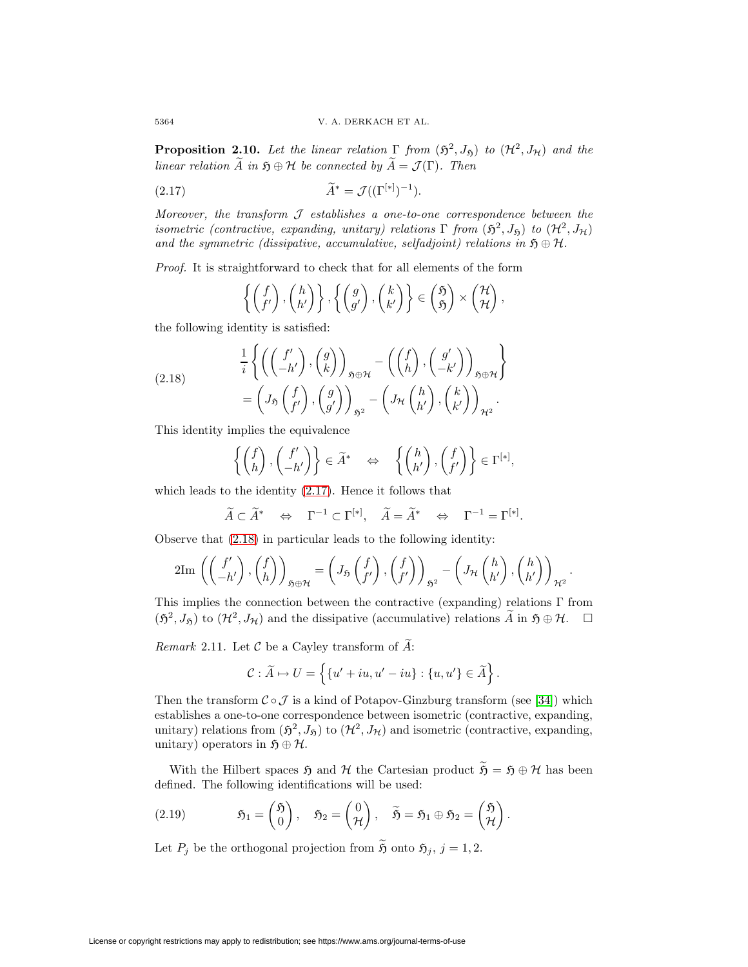**Proposition 2.10.** Let the linear relation  $\Gamma$  from  $(\mathfrak{H}^2, J_{\mathfrak{H}})$  to  $(\mathcal{H}^2, J_{\mathcal{H}})$  and the linear relation  $\widetilde{A}$  in  $\mathfrak{H} \oplus \mathcal{H}$  be connected by  $\widetilde{A} = \mathcal{J}(\Gamma)$ . Then

(2.17) 
$$
\widetilde{A}^* = \mathcal{J}((\Gamma^{[*]})^{-1}).
$$

Moreover, the transform  $J$  establishes a one-to-one correspondence between the isometric (contractive, expanding, unitary) relations  $\Gamma$  from  $(\mathfrak{H}^2, J_{\mathfrak{H}})$  to  $(\mathcal{H}^2, J_{\mathcal{H}})$ and the symmetric (dissipative, accumulative, selfadjoint) relations in  $\mathfrak{H} \oplus \mathcal{H}$ .

Proof. It is straightforward to check that for all elements of the form

<span id="page-13-1"></span><span id="page-13-0"></span>
$$
\left\{ \begin{pmatrix} f \\ f' \end{pmatrix}, \begin{pmatrix} h \\ h' \end{pmatrix} \right\}, \left\{ \begin{pmatrix} g \\ g' \end{pmatrix}, \begin{pmatrix} k \\ k' \end{pmatrix} \right\} \in \begin{pmatrix} \mathfrak{H} \\ \mathfrak{H} \end{pmatrix} \times \begin{pmatrix} \mathcal{H} \\ \mathcal{H} \end{pmatrix},
$$

the following identity is satisfied:

(2.18) 
$$
\frac{1}{i} \left\{ \left( \begin{pmatrix} f' \\ -h' \end{pmatrix}, \begin{pmatrix} g \\ k \end{pmatrix} \right)_{\mathfrak{H}\oplus\mathcal{H}} - \left( \begin{pmatrix} f \\ h \end{pmatrix}, \begin{pmatrix} g' \\ -k' \end{pmatrix} \right)_{\mathfrak{H}\oplus\mathcal{H}} \right\} = \left( J_{\mathfrak{H}} \begin{pmatrix} f \\ f' \end{pmatrix}, \begin{pmatrix} g \\ g' \end{pmatrix} \right)_{\mathfrak{H}^2} - \left( J_{\mathcal{H}} \begin{pmatrix} h \\ h' \end{pmatrix}, \begin{pmatrix} k \\ k' \end{pmatrix} \right)_{\mathcal{H}^2}.
$$

This identity implies the equivalence

$$
\left\{ \begin{pmatrix} f \\ h \end{pmatrix}, \begin{pmatrix} f' \\ -h' \end{pmatrix} \right\} \in \widetilde{A}^* \quad \Leftrightarrow \quad \left\{ \begin{pmatrix} h \\ h' \end{pmatrix}, \begin{pmatrix} f \\ f' \end{pmatrix} \right\} \in \Gamma^{[*]},
$$

which leads to the identity [\(2.17\)](#page-13-0). Hence it follows that

$$
\widetilde{A} \subset \widetilde{A}^* \quad \Leftrightarrow \quad \Gamma^{-1} \subset \Gamma^{[*]}, \quad \widetilde{A} = \widetilde{A}^* \quad \Leftrightarrow \quad \Gamma^{-1} = \Gamma^{[*]}.
$$

Observe that [\(2.18\)](#page-13-1) in particular leads to the following identity:

$$
2\mathrm{Im}\,\left(\begin{pmatrix}f'\\-h'\end{pmatrix},\begin{pmatrix}f\\h\end{pmatrix}\right)_{\mathfrak{H}\oplus\mathcal{H}}=\left(J_{\mathfrak{H}}\begin{pmatrix}f\\f'\end{pmatrix},\begin{pmatrix}f\\f'\end{pmatrix}\right)_{\mathfrak{H}^2}-\left(J_{\mathcal{H}}\begin{pmatrix}h\\h'\end{pmatrix},\begin{pmatrix}h\\h'\end{pmatrix}\right)_{\mathcal{H}^2}.
$$

This implies the connection between the contractive (expanding) relations  $\Gamma$  from  $(\mathfrak{H}^2, J_{\mathfrak{H}})$  to  $(\mathcal{H}^2, J_{\mathcal{H}})$  and the dissipative (accumulative) relations  $\widetilde{A}$  in  $\mathfrak{H} \oplus \mathcal{H}$ .  $\Box$ 

*Remark* 2.11. Let  $\mathcal C$  be a Cayley transform of  $\widetilde{A}$ :

<span id="page-13-2"></span>
$$
\mathcal{C}: \widetilde{A} \mapsto U = \left\{ \{u' + iu, u' - iu\} : \{u, u'\} \in \widetilde{A} \right\}.
$$

Then the transform  $C \circ \mathcal{J}$  is a kind of Potapov-Ginzburg transform (see [\[34\]](#page-49-8)) which establishes a one-to-one correspondence between isometric (contractive, expanding, unitary) relations from  $(\mathfrak{H}^2, J_{\mathfrak{H}})$  to  $(\mathcal{H}^2, J_{\mathcal{H}})$  and isometric (contractive, expanding, unitary) operators in  $\mathfrak{H} \oplus \mathcal{H}$ .

With the Hilbert spaces  $\mathfrak{H}$  and  $\mathcal H$  the Cartesian product  $\widetilde{\mathfrak{H}} = \mathfrak{H} \oplus \mathcal H$  has been defined. The following identifications will be used:

(2.19) 
$$
\mathfrak{H}_1 = \begin{pmatrix} \mathfrak{H} \\ 0 \end{pmatrix}, \quad \mathfrak{H}_2 = \begin{pmatrix} 0 \\ \mathcal{H} \end{pmatrix}, \quad \widetilde{\mathfrak{H}} = \mathfrak{H}_1 \oplus \mathfrak{H}_2 = \begin{pmatrix} \mathfrak{H} \\ \mathcal{H} \end{pmatrix}.
$$

<span id="page-13-3"></span>Let  $P_j$  be the orthogonal projection from  $\widetilde{\mathfrak{H}}$  onto  $\mathfrak{H}_j$ ,  $j = 1, 2$ .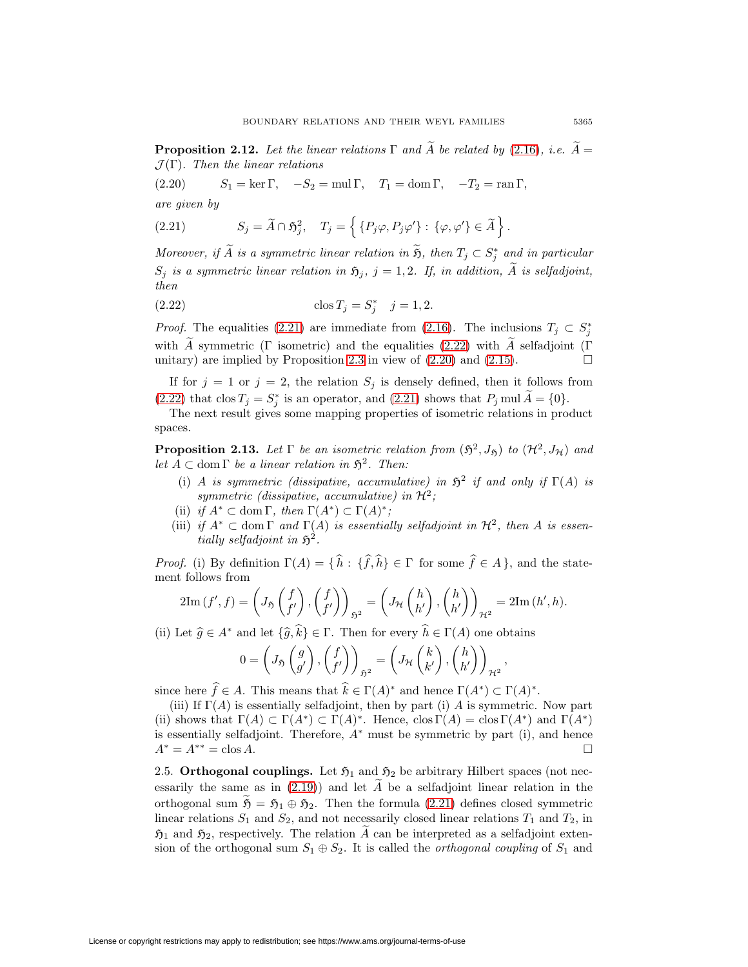<span id="page-14-2"></span>**Proposition 2.12.** Let the linear relations  $\Gamma$  and  $\tilde{A}$  be related by [\(2.16\)](#page-12-0), i.e.  $\tilde{A} =$  $\mathcal{J}(\Gamma)$ . Then the linear relations

(2.20)  $S_1 = \ker \Gamma$ ,  $-S_2 = \operatorname{mul} \Gamma$ ,  $T_1 = \operatorname{dom} \Gamma$ ,  $-T_2 = \operatorname{ran} \Gamma$ , are given by

<span id="page-14-0"></span>(2.21) 
$$
S_j = \widetilde{A} \cap \mathfrak{H}_j^2, \quad T_j = \left\{ \{ P_j \varphi, P_j \varphi' \} : \{ \varphi, \varphi' \} \in \widetilde{A} \right\}.
$$

Moreover, if A is a symmetric linear relation in  $\mathfrak{H}$ , then  $T_j \subset S_j^*$  and in particular  $S_j$  is a symmetric linear relation in  $\mathfrak{H}_j$ ,  $j = 1, 2$ . If, in addition,  $\widetilde{A}$  is selfadjoint, then

<span id="page-14-1"></span>(2.22) 
$$
\cos T_j = S_j^* \quad j = 1, 2.
$$

*Proof.* The equalities [\(2.21\)](#page-14-0) are immediate from [\(2.16\)](#page-12-0). The inclusions  $T_j \,\subset S_j^*$ with  $\tilde{A}$  symmetric (Γ isometric) and the equalities [\(2.22\)](#page-14-1) with  $\tilde{A}$  selfadjoint (Γ unitary) are implied by Proposition 2.3 in view of (2.20) and (2.15) unitary) are implied by Proposition [2.3](#page-9-3) in view of  $(2.20)$  and  $(2.15)$ .

If for  $j = 1$  or  $j = 2$ , the relation  $S_j$  is densely defined, then it follows from [\(2.22\)](#page-14-1) that  $\cos T_j = S_j^*$  is an operator, and [\(2.21\)](#page-14-0) shows that  $P_j$  mul  $A = \{0\}$ .

<span id="page-14-3"></span>The next result gives some mapping properties of isometric relations in product spaces.

**Proposition 2.13.** Let  $\Gamma$  be an isometric relation from  $(\mathfrak{H}^2, J_{\mathfrak{H}})$  to  $(\mathcal{H}^2, J_{\mathcal{H}})$  and let  $A \subset \text{dom }\Gamma$  be a linear relation in  $\mathfrak{H}^2$ . Then:

- (i) A is symmetric (dissipative, accumulative) in  $\mathfrak{H}^2$  if and only if  $\Gamma(A)$  is symmetric (dissipative, accumulative) in  $\mathcal{H}^2$ ;
- (ii) if  $A^* \subset \text{dom }\Gamma$ , then  $\Gamma(A^*) \subset \Gamma(A)^*$ ;
- (iii) if  $A^* \subset \text{dom }\Gamma$  and  $\Gamma(A)$  is essentially selfadjoint in  $\mathcal{H}^2$ , then A is essentially selfadjoint in  $\mathfrak{H}^2$ .

*Proof.* (i) By definition  $\Gamma(A) = \{ h : \{ f, h \} \in \Gamma \text{ for some } f \in A \}$ , and the statement follows from

$$
2\mathrm{Im}\,(f',f) = \left(J_{\mathfrak{H}}\left(\begin{matrix}f\\f'\end{matrix}\right),\left(\begin{matrix}f\\f'\end{matrix}\right)\right)_{\mathfrak{H}^2} = \left(J_{\mathcal{H}}\left(\begin{matrix}h\\h'\end{matrix}\right),\left(\begin{matrix}h\\h'\end{matrix}\right)\right)_{\mathcal{H}^2} = 2\mathrm{Im}\,(h',h).
$$

(ii) Let  $\widehat{g} \in A^*$  and let  $\{\widehat{g}, k\} \in \Gamma$ . Then for every  $h \in \Gamma(A)$  one obtains

$$
0 = \left(J_{\mathfrak{H}}\left(\begin{matrix}g\\g'\end{matrix}\right), \left(\begin{matrix}f\\f'\end{matrix}\right)\right)_{\mathfrak{H}^2} = \left(J_{\mathcal{H}}\left(\begin{matrix}k\\k'\end{matrix}\right), \left(\begin{matrix}h\\h'\end{matrix}\right)\right)_{\mathcal{H}^2},
$$

since here  $f \in A$ . This means that  $k \in \Gamma(A)^*$  and hence  $\Gamma(A^*) \subset \Gamma(A)^*$ .

(iii) If  $\Gamma(A)$  is essentially selfadjoint, then by part (i) A is symmetric. Now part (ii) shows that  $\Gamma(A) \subset \Gamma(A^*) \subset \Gamma(A)^*$ . Hence,  $\text{clos }\Gamma(A) = \text{clos }\Gamma(A^*)$  and  $\Gamma(A^*)$ is essentially selfadjoint. Therefore,  $A^*$  must be symmetric by part (i), and hence  $A^* = A^{**} = \text{clos } A.$ 

2.5. **Orthogonal couplings.** Let  $\mathfrak{H}_1$  and  $\mathfrak{H}_2$  be arbitrary Hilbert spaces (not necessarily the same as in  $(2.19)$  and let  $\ddot{A}$  be a selfadjoint linear relation in the orthogonal sum  $\mathfrak{H} = \mathfrak{H}_1 \oplus \mathfrak{H}_2$ . Then the formula [\(2.21\)](#page-14-0) defines closed symmetric linear relations  $S_1$  and  $S_2$ , and not necessarily closed linear relations  $T_1$  and  $T_2$ , in  $\mathfrak{H}_1$  and  $\mathfrak{H}_2$ , respectively. The relation A can be interpreted as a selfadjoint extension of the orthogonal sum  $S_1 \oplus S_2$ . It is called the *orthogonal coupling* of  $S_1$  and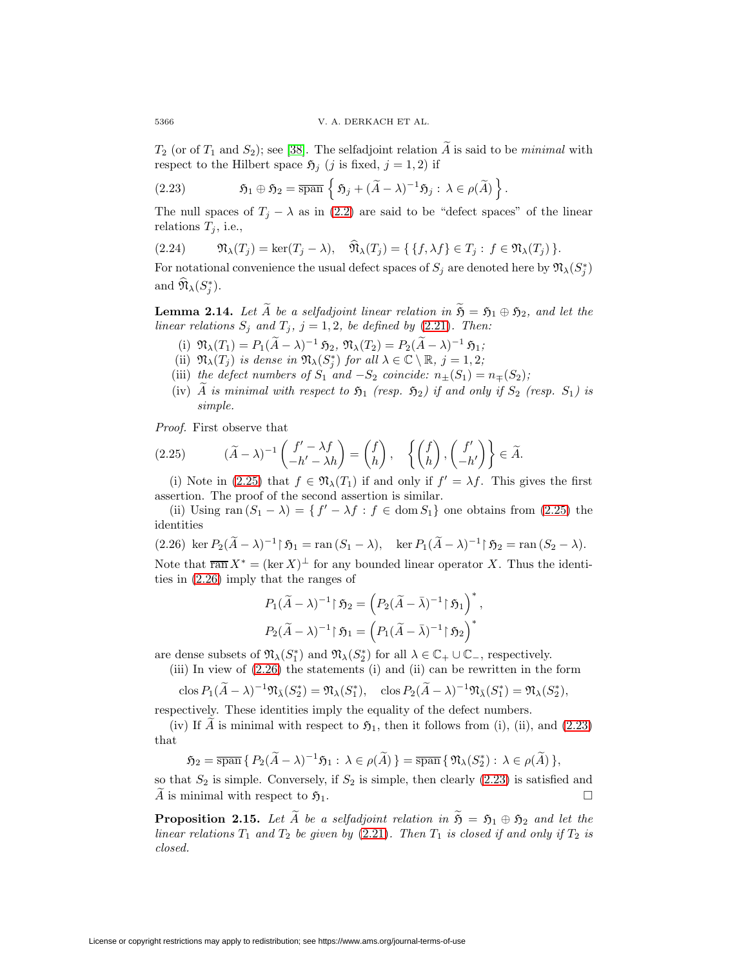<span id="page-15-2"></span> $T_2$  (or of  $T_1$  and  $S_2$ ); see [\[38\]](#page-49-11). The selfadjoint relation  $\tilde{A}$  is said to be *minimal* with respect to the Hilbert space  $\mathfrak{H}_j$  (j is fixed, j = 1, 2) if

(2.23) 
$$
\mathfrak{H}_1 \oplus \mathfrak{H}_2 = \overline{\operatorname{span}} \left\{ \mathfrak{H}_j + (\widetilde{A} - \lambda)^{-1} \mathfrak{H}_j : \lambda \in \rho(\widetilde{A}) \right\}.
$$

<span id="page-15-3"></span>The null spaces of  $T_j - \lambda$  as in [\(2.2\)](#page-7-0) are said to be "defect spaces" of the linear relations  $T_j$ , i.e.,

(2.24) 
$$
\mathfrak{N}_{\lambda}(T_j) = \ker(T_j - \lambda), \quad \widehat{\mathfrak{N}}_{\lambda}(T_j) = \{ \{ f, \lambda f \} \in T_j : f \in \mathfrak{N}_{\lambda}(T_j) \}.
$$

For notational convenience the usual defect spaces of  $S_j$  are denoted here by  $\mathfrak{N}_{\lambda}(S_j^*)$ and  $\mathfrak{N}_{\lambda}(S_j^*)$ .

<span id="page-15-4"></span>**Lemma 2.14.** Let  $\widetilde{A}$  be a selfadjoint linear relation in  $\widetilde{\mathfrak{H}} = \mathfrak{H}_1 \oplus \mathfrak{H}_2$ , and let the linear relations  $S_j$  and  $T_j$ ,  $j = 1, 2$ , be defined by [\(2.21\)](#page-14-0). Then:

- (i)  $\mathfrak{N}_{\lambda}(T_1) = P_1(\widetilde{A} \lambda)^{-1} \mathfrak{H}_2, \mathfrak{N}_{\lambda}(T_2) = P_2(\widetilde{A} \lambda)^{-1} \mathfrak{H}_1;$
- (ii)  $\mathfrak{N}_{\lambda}(T_j)$  is dense in  $\mathfrak{N}_{\lambda}(S_j^*)$  for all  $\lambda \in \mathbb{C} \setminus \mathbb{R}, j = 1, 2;$
- (iii) the defect numbers of  $S_1$  and  $-S_2$  coincide:  $n_{\pm}(S_1) = n_{\mp}(S_2)$ ;
- (iv)  $\widetilde{A}$  is minimal with respect to  $\mathfrak{H}_1$  (resp.  $\mathfrak{H}_2$ ) if and only if  $S_2$  (resp.  $S_1$ ) is simple.

<span id="page-15-0"></span>Proof. First observe that

(2.25) 
$$
(\widetilde{A} - \lambda)^{-1} \begin{pmatrix} f' - \lambda f \\ -h' - \lambda h \end{pmatrix} = \begin{pmatrix} f \\ h \end{pmatrix}, \quad \left\{ \begin{pmatrix} f \\ h \end{pmatrix}, \begin{pmatrix} f' \\ -h' \end{pmatrix} \right\} \in \widetilde{A}.
$$

(i) Note in [\(2.25\)](#page-15-0) that  $f \in \mathfrak{N}_{\lambda}(T_1)$  if and only if  $f' = \lambda f$ . This gives the first assertion. The proof of the second assertion is similar.

<span id="page-15-1"></span>(ii) Using ran  $(S_1 - \lambda) = \{ f' - \lambda f : f \in \text{dom } S_1 \}$  one obtains from [\(2.25\)](#page-15-0) the identities

$$
(2.26)\ \ker P_2(\widetilde{A}-\lambda)^{-1}|\ \mathfrak{H}_1=\operatorname{ran}(S_1-\lambda),\quad \ker P_1(\widetilde{A}-\lambda)^{-1}|\ \mathfrak{H}_2=\operatorname{ran}(S_2-\lambda).
$$

Note that  $\overline{\operatorname{ran}} X^* = (\ker X)^{\perp}$  for any bounded linear operator X. Thus the identities in [\(2.26\)](#page-15-1) imply that the ranges of

$$
P_1(\widetilde{A} - \lambda)^{-1} \upharpoonright \mathfrak{H}_2 = \left( P_2(\widetilde{A} - \overline{\lambda})^{-1} \upharpoonright \mathfrak{H}_1 \right)^*,
$$
  

$$
P_2(\widetilde{A} - \lambda)^{-1} \upharpoonright \mathfrak{H}_1 = \left( P_1(\widetilde{A} - \overline{\lambda})^{-1} \upharpoonright \mathfrak{H}_2 \right)^*
$$

are dense subsets of  $\mathfrak{N}_{\lambda}(S_1^*)$  and  $\mathfrak{N}_{\lambda}(S_2^*)$  for all  $\lambda \in \mathbb{C}_+ \cup \mathbb{C}_-$ , respectively.

(iii) In view of [\(2.26\)](#page-15-1) the statements (i) and (ii) can be rewritten in the form

$$
\operatorname{clos} P_1(\widetilde{A} - \lambda)^{-1} \mathfrak{N}_{\overline{\lambda}}(S_2^*) = \mathfrak{N}_{\lambda}(S_1^*), \quad \operatorname{clos} P_2(\widetilde{A} - \lambda)^{-1} \mathfrak{N}_{\overline{\lambda}}(S_1^*) = \mathfrak{N}_{\lambda}(S_2^*),
$$

respectively. These identities imply the equality of the defect numbers.

(iv) If A is minimal with respect to  $\mathfrak{H}_1$ , then it follows from (i), (ii), and [\(2.23\)](#page-15-2) that

$$
\mathfrak{H}_2 = \overline{\operatorname{span}} \{ P_2(\widetilde{A} - \lambda)^{-1} \mathfrak{H}_1 : \lambda \in \rho(\widetilde{A}) \} = \overline{\operatorname{span}} \{ \mathfrak{N}_\lambda(S_2^*) : \lambda \in \rho(\widetilde{A}) \},
$$

so that  $S_2$  is simple. Conversely, if  $S_2$  is simple, then clearly  $(2.23)$  is satisfied and A is minimal with respect to  $\mathfrak{H}_1$ .  $\Box$ 

**Proposition 2.15.** Let  $\widetilde{A}$  be a selfadjoint relation in  $\widetilde{S} = S_1 \oplus S_2$  and let the linear relations  $T_1$  and  $T_2$  be given by [\(2.21\)](#page-14-0). Then  $T_1$  is closed if and only if  $T_2$  is closed.

License or copyright restrictions may apply to redistribution; see https://www.ams.org/journal-terms-of-use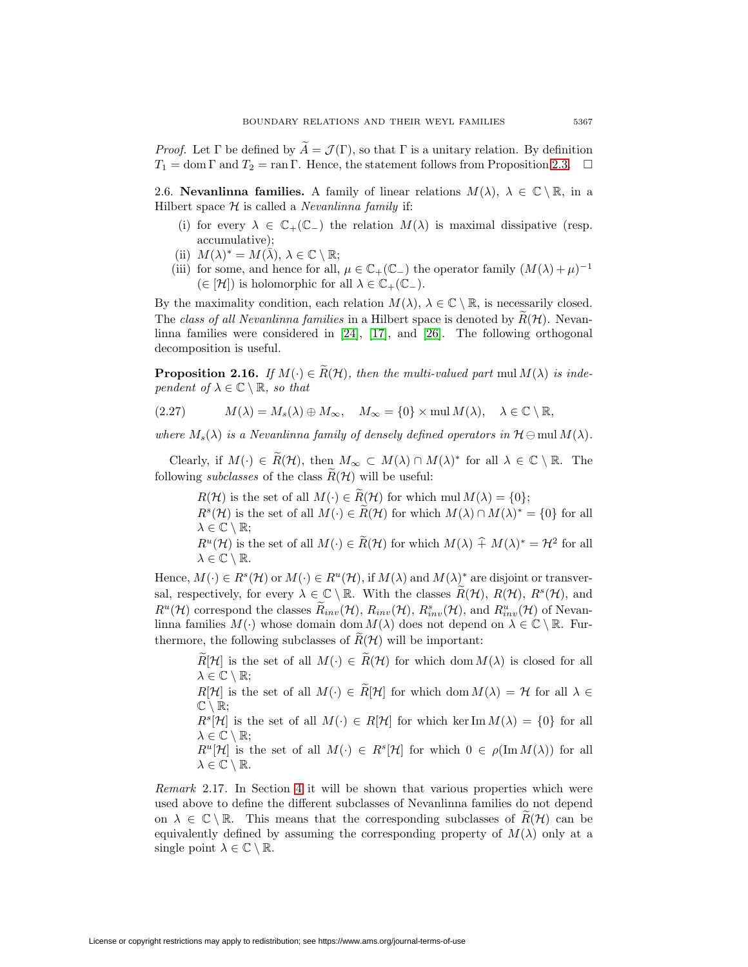*Proof.* Let  $\Gamma$  be defined by  $\tilde{A} = \mathcal{J}(\Gamma)$ , so that  $\Gamma$  is a unitary relation. By definition  $T_1 = \text{dom } \Gamma \text{ and } T_2 = \text{ran } \Gamma.$  Hence, the statement follows from Proposition [2.3.](#page-9-3)  $\Box$ 

2.6. **Nevanlinna families.** A family of linear relations  $M(\lambda)$ ,  $\lambda \in \mathbb{C} \setminus \mathbb{R}$ , in a Hilbert space  $H$  is called a *Nevanlinna family* if:

- (i) for every  $\lambda \in \mathbb{C}_+(\mathbb{C}_-)$  the relation  $M(\lambda)$  is maximal dissipative (resp. accumulative);
- (ii)  $M(\lambda)^* = M(\lambda), \lambda \in \mathbb{C} \setminus \mathbb{R};$
- (iii) for some, and hence for all,  $\mu \in \mathbb{C}_+(\mathbb{C}_-)$  the operator family  $(M(\lambda)+\mu)^{-1}$  $(\in [\mathcal{H}])$  is holomorphic for all  $\lambda \in \mathbb{C}_+(\mathbb{C}_-)$ .

By the maximality condition, each relation  $M(\lambda)$ ,  $\lambda \in \mathbb{C} \setminus \mathbb{R}$ , is necessarily closed. The class of all Nevanlinna families in a Hilbert space is denoted by  $\tilde{R}(\mathcal{H})$ . Nevanlinna families were considered in [\[24\]](#page-48-11), [\[17\]](#page-48-12), and [\[26\]](#page-49-5). The following orthogonal decomposition is useful.

<span id="page-16-0"></span>**Proposition 2.16.** If  $M(\cdot) \in \widetilde{R}(\mathcal{H})$ , then the multi-valued part mul  $M(\lambda)$  is independent of  $\lambda \in \mathbb{C} \setminus \mathbb{R}$ , so that

(2.27) 
$$
M(\lambda) = M_s(\lambda) \oplus M_\infty, \quad M_\infty = \{0\} \times \text{mul } M(\lambda), \quad \lambda \in \mathbb{C} \setminus \mathbb{R},
$$

where  $M_s(\lambda)$  is a Nevanlinna family of densely defined operators in  $\mathcal{H} \ominus \text{mul } M(\lambda)$ .

Clearly, if  $M(\cdot) \in \widetilde{R}(\mathcal{H})$ , then  $M_{\infty} \subset M(\lambda) \cap M(\lambda)^*$  for all  $\lambda \in \mathbb{C} \setminus \mathbb{R}$ . The following *subclasses* of the class  $\widetilde{R}(\mathcal{H})$  will be useful:

 $R(\mathcal{H})$  is the set of all  $M(\cdot) \in \widetilde{R}(\mathcal{H})$  for which mul  $M(\lambda) = \{0\};$ 

 $R^{s}(\mathcal{H})$  is the set of all  $M(\cdot) \in \widetilde{R}(\mathcal{H})$  for which  $M(\lambda) \cap M(\lambda)^{*} = \{0\}$  for all  $\lambda \in \mathbb{C} \setminus \mathbb{R};$ 

 $R^u(\mathcal{H})$  is the set of all  $M(\cdot) \in \widetilde{R}(\mathcal{H})$  for which  $M(\lambda) \hat{+} M(\lambda)^* = \mathcal{H}^2$  for all  $\lambda \in \mathbb{C} \setminus \mathbb{R}$ .

Hence,  $M(\cdot) \in R^s(\mathcal{H})$  or  $M(\cdot) \in R^u(\mathcal{H})$ , if  $M(\lambda)$  and  $M(\lambda)^*$  are disjoint or transversal, respectively, for every  $\lambda \in \mathbb{C} \setminus \mathbb{R}$ . With the classes  $R(\mathcal{H})$ ,  $R(\mathcal{H})$ ,  $R^s(\mathcal{H})$ , and  $R^u(\mathcal{H})$  correspond the classes  $\tilde{R}_{inv}(\mathcal{H}), R_{inv}(\mathcal{H}), R_{inv}^s(\mathcal{H}),$  and  $R_{inv}^u(\mathcal{H})$  of Nevanlinna families  $M(\cdot)$  whose domain dom  $M(\lambda)$  does not depend on  $\lambda \in \mathbb{C} \setminus \mathbb{R}$ . Furthermore, the following subclasses of  $R(\mathcal{H})$  will be important:

 $\widetilde{R}[\mathcal{H}]$  is the set of all  $M(\cdot) \in \widetilde{R}(\mathcal{H})$  for which dom  $M(\lambda)$  is closed for all  $\lambda \in \mathbb{C} \setminus \mathbb{R}$ ;

 $R[\mathcal{H}]$  is the set of all  $M(\cdot) \in \widetilde{R}[\mathcal{H}]$  for which dom  $M(\lambda) = \mathcal{H}$  for all  $\lambda \in$  $\mathbb{C} \setminus \mathbb{R}$ ;

 $R^{s}[\mathcal{H}]$  is the set of all  $M(\cdot) \in R[\mathcal{H}]$  for which ker Im  $M(\lambda) = \{0\}$  for all  $\lambda \in \mathbb{C} \setminus \mathbb{R};$ 

 $R^u[\mathcal{H}]$  is the set of all  $M(\cdot) \in R^s[\mathcal{H}]$  for which  $0 \in \rho(\text{Im }M(\lambda))$  for all  $\lambda \in \mathbb{C} \setminus \mathbb{R}$ .

Remark 2.17. In Section [4](#page-23-0) it will be shown that various properties which were used above to define the different subclasses of Nevanlinna families do not depend on  $\lambda \in \mathbb{C} \setminus \mathbb{R}$ . This means that the corresponding subclasses of  $R(\mathcal{H})$  can be equivalently defined by assuming the corresponding property of  $M(\lambda)$  only at a single point  $\lambda \in \mathbb{C} \setminus \mathbb{R}$ .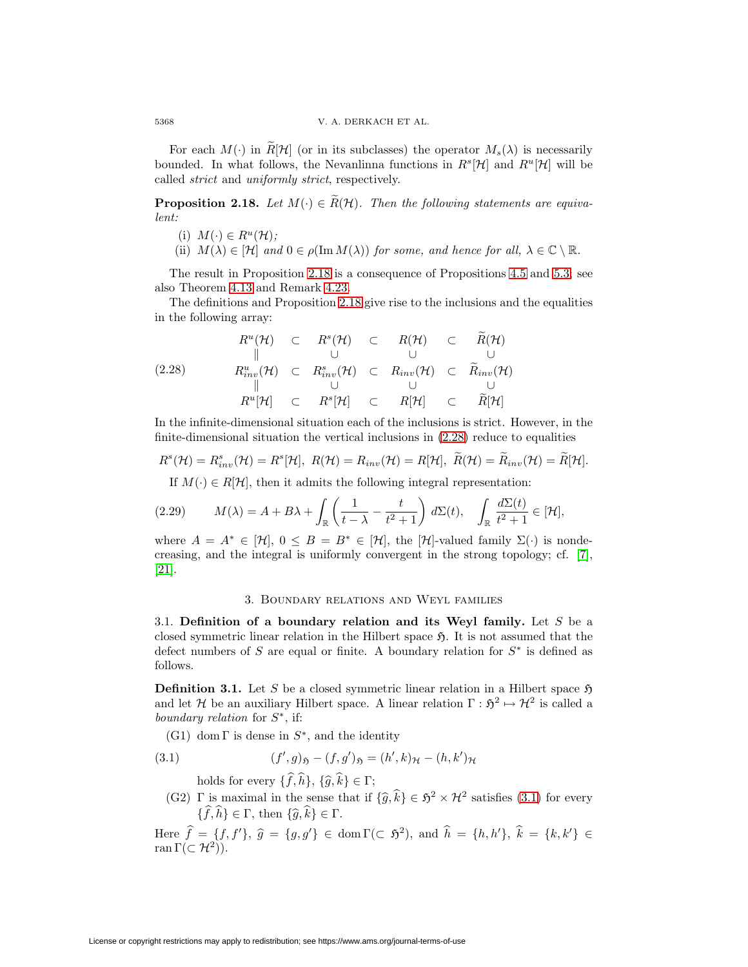For each  $M(\cdot)$  in  $R[\mathcal{H}]$  (or in its subclasses) the operator  $M_s(\lambda)$  is necessarily bounded. In what follows, the Nevanlinna functions in  $R^s[\mathcal{H}]$  and  $R^u[\mathcal{H}]$  will be called strict and uniformly strict, respectively.

<span id="page-17-1"></span>**Proposition 2.18.** Let  $M(\cdot) \in \widetilde{R}(\mathcal{H})$ . Then the following statements are equivalent:

- (i)  $M(\cdot) \in R^u(\mathcal{H});$
- (ii)  $M(\lambda) \in [\mathcal{H}]$  and  $0 \in \rho(\text{Im } M(\lambda))$  for some, and hence for all,  $\lambda \in \mathbb{C} \setminus \mathbb{R}$ .

The result in Proposition [2.18](#page-17-1) is a consequence of Propositions [4.5](#page-25-0) and [5.3;](#page-38-1) see also Theorem [4.13](#page-29-0) and Remark [4.23.](#page-33-0)

<span id="page-17-2"></span>The definitions and Proposition [2.18](#page-17-1) give rise to the inclusions and the equalities in the following array:

(2.28) <sup>R</sup>u(H) <sup>⊂</sup> <sup>R</sup>s(H) <sup>⊂</sup> <sup>R</sup>(H) <sup>⊂</sup> <sup>R</sup>(H) ∪∪∪ R<sup>u</sup> inv(H) ⊂ R<sup>s</sup> inv(H) ⊂ Rinv(H) ⊂ Rinv(H) ∪∪∪ <sup>R</sup>u[H] <sup>⊂</sup> <sup>R</sup>s[H] <sup>⊂</sup> <sup>R</sup>[H] <sup>⊂</sup> <sup>R</sup>[H]

In the infinite-dimensional situation each of the inclusions is strict. However, in the finite-dimensional situation the vertical inclusions in [\(2.28\)](#page-17-2) reduce to equalities

$$
R^{s}(\mathcal{H})=R_{inv}^{s}(\mathcal{H})=R^{s}[\mathcal{H}], R(\mathcal{H})=R_{inv}(\mathcal{H})=R[\mathcal{H}], \widetilde{R}(\mathcal{H})=\widetilde{R}_{inv}(\mathcal{H})=\widetilde{R}[\mathcal{H}].
$$

If  $M(\cdot) \in R[\mathcal{H}]$ , then it admits the following integral representation:

(2.29) 
$$
M(\lambda) = A + B\lambda + \int_{\mathbb{R}} \left( \frac{1}{t - \lambda} - \frac{t}{t^2 + 1} \right) d\Sigma(t), \quad \int_{\mathbb{R}} \frac{d\Sigma(t)}{t^2 + 1} \in [\mathcal{H}],
$$

where  $A = A^* \in [\mathcal{H}], 0 \leq B = B^* \in [\mathcal{H}],$  the  $[\mathcal{H}]$ -valued family  $\Sigma(\cdot)$  is nondecreasing, and the integral is uniformly convergent in the strong topology; cf. [\[7\]](#page-48-8), [\[21\]](#page-48-7).

## <span id="page-17-5"></span>3. Boundary relations and Weyl families

<span id="page-17-0"></span>3.1. **Definition of a boundary relation and its Weyl family.** Let S be a closed symmetric linear relation in the Hilbert space  $\mathfrak{H}$ . It is not assumed that the defect numbers of S are equal or finite. A boundary relation for  $S^*$  is defined as follows.

<span id="page-17-4"></span>**Definition 3.1.** Let S be a closed symmetric linear relation in a Hilbert space  $\mathfrak{H}$ and let H be an auxiliary Hilbert space. A linear relation  $\Gamma : \mathfrak{H}^2 \mapsto \mathcal{H}^2$  is called a boundary relation for  $S^*$ , if:

(G1) dom  $\Gamma$  is dense in  $S^*$ , and the identity

(3.1) 
$$
(f', g)_{\mathfrak{H}} - (f, g')_{\mathfrak{H}} = (h', k)_{\mathcal{H}} - (h, k')_{\mathcal{H}}
$$

<span id="page-17-3"></span>holds for every  $\{f, h\}, \{\widehat{g}, k\} \in \Gamma;$ 

(G2) Γ is maximal in the sense that if  $\{\widehat{g}, \widehat{k}\} \in \mathfrak{H}^2 \times \mathcal{H}^2$  satisfies [\(3.1\)](#page-17-3) for every  $\{f, h\} \in \Gamma$ , then  $\{\widehat{g}, k\} \in \Gamma$ .

Here  $\hat{f} = \{f, f'\}, \hat{g} = \{g, g'\} \in \text{dom}\,\Gamma(\subset \mathfrak{H}^2)$ , and  $\hat{h} = \{h, h'\}, \hat{k} = \{k, k'\} \in \text{dom}\,\Gamma(\subset \mathfrak{H}^2)$ ran  $\Gamma(\subset \mathcal{H}^2)$ ).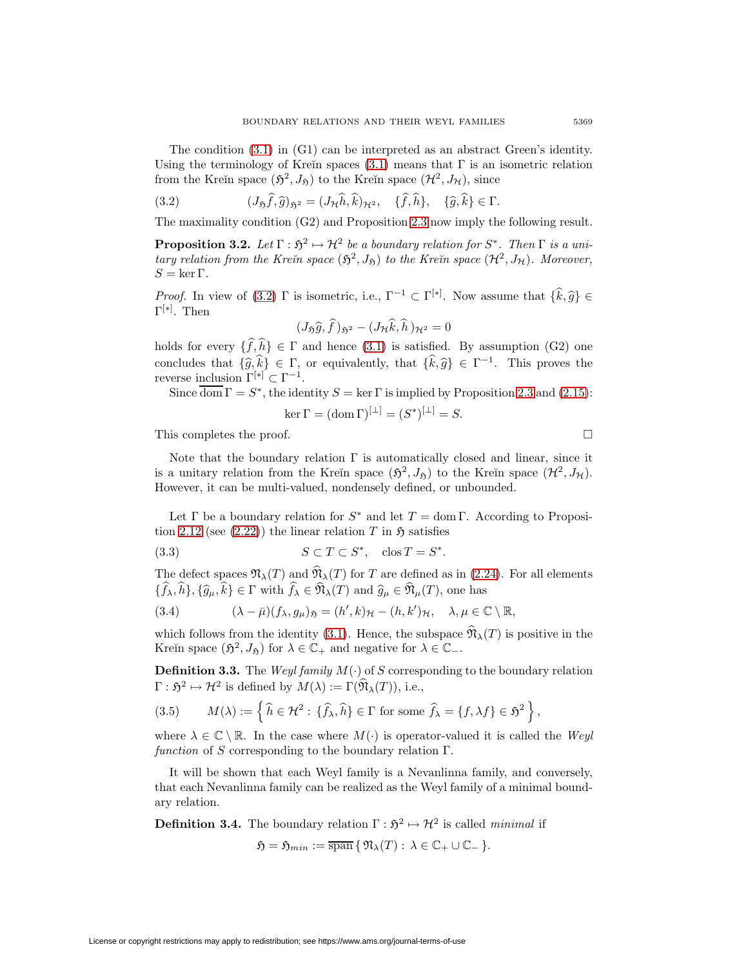The condition [\(3.1\)](#page-17-3) in (G1) can be interpreted as an abstract Green's identity. Using the terminology of Kreĭn spaces [\(3.1\)](#page-17-3) means that  $\Gamma$  is an isometric relation from the Kreĭn space  $(\mathfrak{H}^2, J_{\mathfrak{H}})$  to the Kreĭn space  $(\mathcal{H}^2, J_{\mathcal{H}})$ , since

(3.2) 
$$
(J_{\mathfrak{H}}\hat{f},\hat{g})_{\mathfrak{H}^2}=(J_{\mathcal{H}}\hat{h},\hat{k})_{\mathcal{H}^2},\quad \{\hat{f},\hat{h}\},\quad \{\hat{g},\hat{k}\}\in\Gamma.
$$

<span id="page-18-2"></span>The maximality condition (G2) and Proposition [2.3](#page-9-3) now imply the following result.

**Proposition 3.2.** Let  $\Gamma : \mathfrak{H}^2 \mapsto \mathcal{H}^2$  be a boundary relation for  $S^*$ . Then  $\Gamma$  is a unitary relation from the Kreĭn space  $(\mathfrak{H}^2, J_{\mathfrak{H}})$  to the Kreĭn space  $(\mathcal{H}^2, J_{\mathcal{H}})$ . Moreover,  $S = \ker \Gamma$ .

*Proof.* In view of [\(3.2\)](#page-18-0)  $\Gamma$  is isometric, i.e.,  $\Gamma^{-1} \subset \Gamma^{[*]}$ . Now assume that  $\{\hat{k}, \hat{g}\} \in \Gamma^{[*]}$  $\Gamma^{[*]}$ . Then

<span id="page-18-0"></span>
$$
(J_{\mathfrak{H}}\widehat{g},\widehat{f})_{\mathfrak{H}^2}-(J_{\mathcal{H}}\widehat{k},\widehat{h})_{\mathcal{H}^2}=0
$$

holds for every  $\{f, h\} \in \Gamma$  and hence  $(3.1)$  is satisfied. By assumption  $(G2)$  one concludes that  $\{\hat{g}, \hat{k}\} \in \Gamma$ , or equivalently, that  $\{\hat{k}, \hat{g}\} \in \Gamma^{-1}$ . This proves the reverse inclusion  $\Gamma^{[*]} \subset \Gamma^{-1}$ .

Since  $\overline{\text{dom}} \Gamma = S^*$ , the identity  $S = \ker \Gamma$  is implied by Proposition [2.3](#page-9-3) and [\(2.15\)](#page-12-1):

<span id="page-18-4"></span>
$$
\ker \Gamma = (\operatorname{dom} \Gamma)^{[\perp]} = (S^*)^{[\perp]} = S.
$$

This completes the proof.

Note that the boundary relation  $\Gamma$  is automatically closed and linear, since it is a unitary relation from the Kreĭn space  $(\mathfrak{H}^2, J_{\mathfrak{H}})$  to the Kreĭn space  $(\mathcal{H}^2, J_{\mathcal{H}})$ . However, it can be multi-valued, nondensely defined, or unbounded.

Let  $\Gamma$  be a boundary relation for  $S^*$  and let  $T = \text{dom }\Gamma$ . According to Proposi-tion [2.12](#page-13-3) (see  $(2.22)$ ) the linear relation T in  $\mathfrak{H}$  satisfies

$$
(3.3) \t\t S \subset T \subset S^*, \quad \cos T = S^*.
$$

The defect spaces  $\mathfrak{N}_{\lambda}(T)$  and  $\widehat{\mathfrak{N}}_{\lambda}(T)$  for T are defined as in [\(2.24\)](#page-15-3). For all elements  $\{f_{\lambda}, h\}, \{\hat{g}_{\mu}, k\} \in \Gamma$  with  $f_{\lambda} \in \mathfrak{N}_{\lambda}(T)$  and  $\hat{g}_{\mu} \in \mathfrak{N}_{\mu}(T)$ , one has

(3.4) 
$$
(\lambda - \bar{\mu})(f_{\lambda}, g_{\mu})_{\mathfrak{H}} = (h', k)_{\mathcal{H}} - (h, k')_{\mathcal{H}}, \quad \lambda, \mu \in \mathbb{C} \setminus \mathbb{R},
$$

which follows from the identity [\(3.1\)](#page-17-3). Hence, the subspace  $\widehat{\mathfrak{N}}_{\lambda}(T)$  is positive in the Kreïn space  $(\mathfrak{H}^2, J_{\mathfrak{H}})$  for  $\lambda \in \mathbb{C}_+$  and negative for  $\lambda \in \mathbb{C}_-$ .

**Definition 3.3.** The Weyl family  $M(\cdot)$  of S corresponding to the boundary relation  $\Gamma : \mathfrak{H}^2 \mapsto \mathcal{H}^2$  is defined by  $M(\lambda) := \Gamma(\widehat{\mathfrak{N}}_{\lambda}(T))$ , i.e.,

(3.5) 
$$
M(\lambda) := \left\{ \widehat{h} \in \mathcal{H}^2 : \{ \widehat{f}_\lambda, \widehat{h} \} \in \Gamma \text{ for some } \widehat{f}_\lambda = \{ f, \lambda f \} \in \mathfrak{H}^2 \right\},
$$

where  $\lambda \in \mathbb{C} \setminus \mathbb{R}$ . In the case where  $M(\cdot)$  is operator-valued it is called the Weyl function of S corresponding to the boundary relation  $\Gamma$ .

It will be shown that each Weyl family is a Nevanlinna family, and conversely, that each Nevanlinna family can be realized as the Weyl family of a minimal boundary relation.

<span id="page-18-1"></span>**Definition 3.4.** The boundary relation  $\Gamma : \mathfrak{H}^2 \mapsto \mathcal{H}^2$  is called *minimal* if

<span id="page-18-3"></span>
$$
\mathfrak{H}=\mathfrak{H}_{min}:=\overline{\operatorname{span}}\,\{\,\mathfrak{N}_{\lambda}(T):\,\lambda\in\mathbb{C}_+\cup\mathbb{C}_-\,\}.
$$

$$
\Box
$$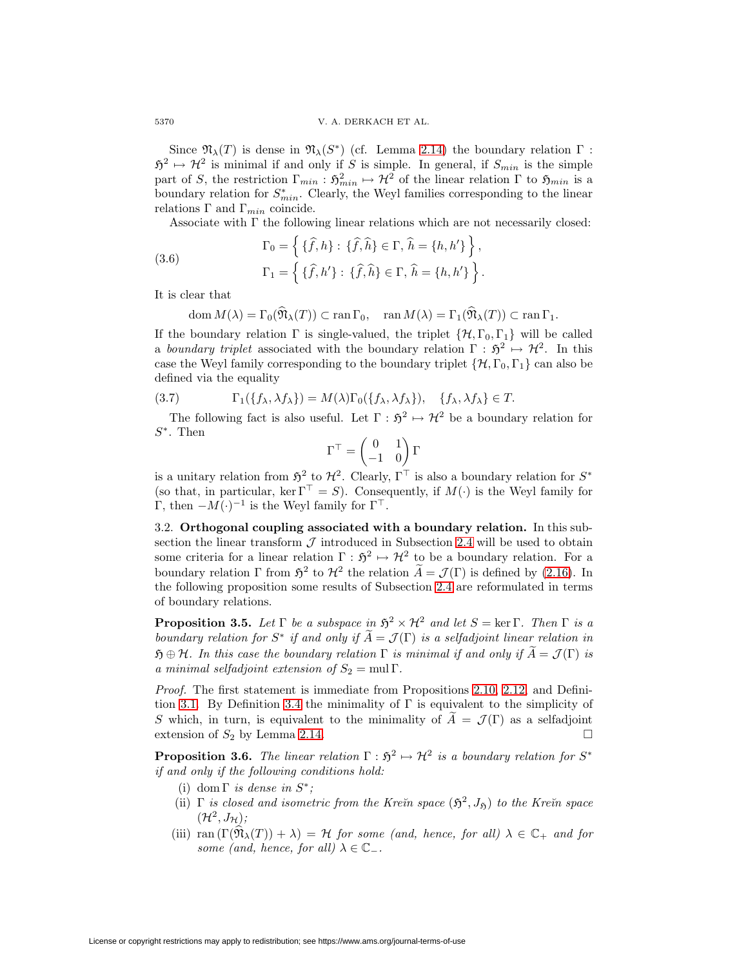Since  $\mathfrak{N}_{\lambda}(T)$  is dense in  $\mathfrak{N}_{\lambda}(S^*)$  (cf. Lemma [2.14\)](#page-15-4) the boundary relation  $\Gamma$ :  $5^2 \mapsto H^2$  is minimal if and only if S is simple. In general, if  $S_{min}$  is the simple part of S, the restriction  $\Gamma_{min}: \mathfrak{H}^2_{min} \mapsto \mathcal{H}^2$  of the linear relation  $\Gamma$  to  $\mathfrak{H}_{min}$  is a boundary relation for  $S_{min}^*$ . Clearly, the Weyl families corresponding to the linear relations Γ and  $Γ_{min}$  coincide.

Associate with  $\Gamma$  the following linear relations which are not necessarily closed:

(3.6) 
$$
\Gamma_0 = \left\{ \{ \hat{f}, h \} : \{ \hat{f}, \hat{h} \} \in \Gamma, \, \hat{h} = \{ h, h' \} \right\}, \n\Gamma_1 = \left\{ \{ \hat{f}, h' \} : \{ \hat{f}, \hat{h} \} \in \Gamma, \, \hat{h} = \{ h, h' \} \right\}.
$$

It is clear that

 $\text{dom } M(\lambda) = \Gamma_0(\widehat{\mathfrak{N}}_{\lambda}(T)) \subset \text{ran } \Gamma_0, \quad \text{ran } M(\lambda) = \Gamma_1(\widehat{\mathfrak{N}}_{\lambda}(T)) \subset \text{ran } \Gamma_1.$ 

If the boundary relation  $\Gamma$  is single-valued, the triplet  $\{\mathcal{H}, \Gamma_0, \Gamma_1\}$  will be called a boundary triplet associated with the boundary relation  $\Gamma : \mathfrak{H}^2 \mapsto \mathcal{H}^2$ . In this case the Weyl family corresponding to the boundary triplet  $\{\mathcal{H}, \Gamma_0, \Gamma_1\}$  can also be defined via the equality

(3.7) 
$$
\Gamma_1(\lbrace f_{\lambda}, \lambda f_{\lambda} \rbrace) = M(\lambda) \Gamma_0(\lbrace f_{\lambda}, \lambda f_{\lambda} \rbrace), \quad \lbrace f_{\lambda}, \lambda f_{\lambda} \rbrace \in T.
$$

The following fact is also useful. Let  $\Gamma : \mathfrak{H}^2 \mapsto \mathcal{H}^2$  be a boundary relation for  $S^*$ . Then

<span id="page-19-0"></span>
$$
\Gamma^{\top} = \begin{pmatrix} 0 & 1 \\ -1 & 0 \end{pmatrix} \Gamma
$$

is a unitary relation from  $\mathfrak{H}^2$  to  $\mathcal{H}^2$ . Clearly,  $\Gamma^{\top}$  is also a boundary relation for  $S^*$ (so that, in particular, ker  $\Gamma^{\top} = S$ ). Consequently, if  $M(\cdot)$  is the Weyl family for Γ, then  $-M(·)^{-1}$  is the Weyl family for Γ<sup>⊤</sup>.

3.2. **Orthogonal coupling associated with a boundary relation.** In this subsection the linear transform  $\mathcal J$  introduced in Subsection [2.4](#page-12-2) will be used to obtain some criteria for a linear relation  $\Gamma : \mathfrak{H}^2 \mapsto \mathcal{H}^2$  to be a boundary relation. For a boundary relation  $\Gamma$  from  $\mathfrak{H}^2$  to  $\mathcal{H}^2$  the relation  $\widetilde{A} = \mathcal{J}(\Gamma)$  is defined by [\(2.16\)](#page-12-0). In the following proposition some results of Subsection [2.4](#page-12-2) are reformulated in terms of boundary relations.

<span id="page-19-1"></span>**Proposition 3.5.** Let  $\Gamma$  be a subspace in  $\mathfrak{H}^2 \times \mathcal{H}^2$  and let  $S = \text{ker } \Gamma$ . Then  $\Gamma$  is a boundary relation for  $S^*$  if and only if  $\widetilde{A} = \mathcal{J}(\Gamma)$  is a selfadjoint linear relation in  $\mathfrak{H} \oplus \mathcal{H}$ . In this case the boundary relation  $\Gamma$  is minimal if and only if  $\widetilde{A} = \mathcal{J}(\Gamma)$  is a minimal selfadjoint extension of  $S_2 = \text{mul }\Gamma$ .

Proof. The first statement is immediate from Propositions [2.10,](#page-12-3) [2.12,](#page-13-3) and Defini-tion [3.1.](#page-17-4) By Definition [3.4](#page-18-1) the minimality of  $\Gamma$  is equivalent to the simplicity of S which, in turn, is equivalent to the minimality of  $\tilde{A} = \mathcal{J}(\Gamma)$  as a selfadjoint extension of  $S_2$  by Lemma 2.14 extension of  $S_2$  by Lemma [2.14.](#page-15-4)

<span id="page-19-2"></span>**Proposition 3.6.** The linear relation  $\Gamma : \mathfrak{H}^2 \to \mathcal{H}^2$  is a boundary relation for  $S^*$ if and only if the following conditions hold:

- (i) dom  $\Gamma$  is dense in  $S^*$ ;
- (ii)  $\Gamma$  is closed and isometric from the Kre $\check{n}$  space  $(\mathfrak{H}^2, J_{\mathfrak{H}})$  to the Kre $\check{n}$  space  $(\mathcal{H}^2, J_{\mathcal{H}});$
- (iii)  $\text{ran}\left(\Gamma(\mathfrak{N}_{\lambda}(T)) + \lambda\right) = \mathcal{H}$  for some (and, hence, for all)  $\lambda \in \mathbb{C}_+$  and for some (and, hence, for all)  $\lambda \in \mathbb{C}_-$ .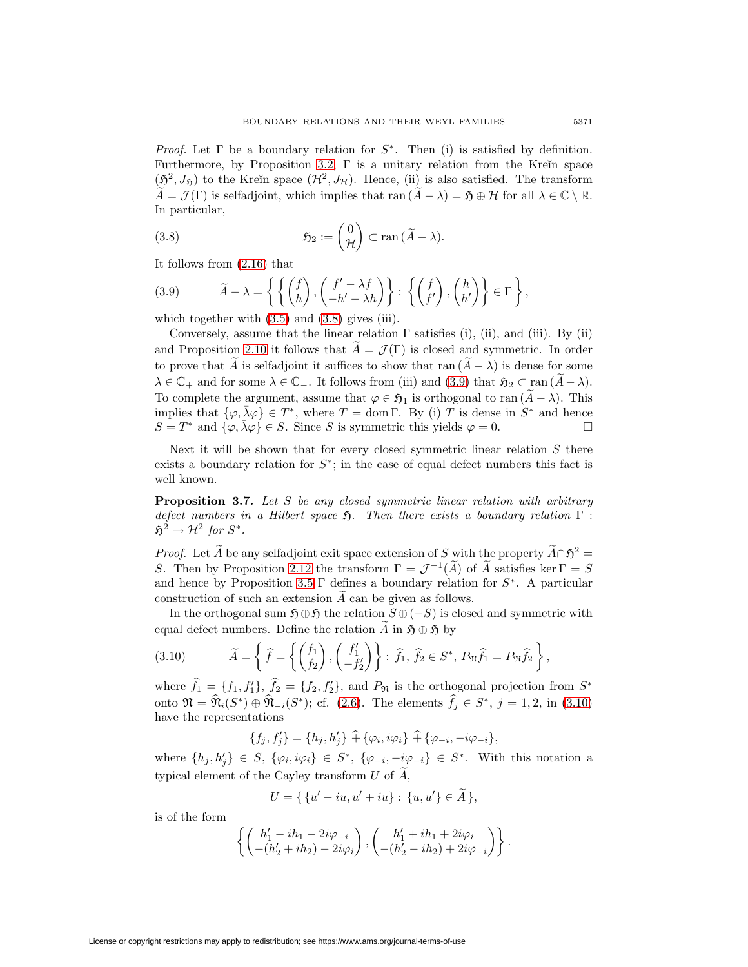*Proof.* Let  $\Gamma$  be a boundary relation for  $S^*$ . Then (i) is satisfied by definition. Furthermore, by Proposition [3.2,](#page-18-2)  $\Gamma$  is a unitary relation from the Krein space  $(\mathfrak{H}^2, J_{\mathfrak{H}})$  to the Kreĭn space  $(\mathcal{H}^2, J_{\mathcal{H}})$ . Hence, (ii) is also satisfied. The transform  $\widetilde{A} = \mathcal{J}(\Gamma)$  is selfadjoint, which implies that ran  $(\widetilde{A} - \lambda) = \mathfrak{H} \oplus \mathcal{H}$  for all  $\lambda \in \mathbb{C} \setminus \mathbb{R}$ . In particular,

<span id="page-20-0"></span>(3.8) 
$$
\mathfrak{H}_2 := \begin{pmatrix} 0 \\ \mathcal{H} \end{pmatrix} \subset \text{ran} \, (\widetilde{A} - \lambda).
$$

<span id="page-20-1"></span>It follows from [\(2.16\)](#page-12-0) that

(3.9) 
$$
\widetilde{A} - \lambda = \left\{ \left\{ \begin{pmatrix} f \\ h \end{pmatrix}, \begin{pmatrix} f' - \lambda f \\ -h' - \lambda h \end{pmatrix} \right\} : \left\{ \begin{pmatrix} f \\ f' \end{pmatrix}, \begin{pmatrix} h \\ h' \end{pmatrix} \right\} \in \Gamma \right\},
$$

which together with  $(3.5)$  and  $(3.8)$  gives (iii).

Conversely, assume that the linear relation  $\Gamma$  satisfies (i), (ii), and (iii). By (ii) and Proposition [2.10](#page-12-3) it follows that  $\tilde{A} = \mathcal{J}(\Gamma)$  is closed and symmetric. In order to prove that A is selfadjoint it suffices to show that ran  $(A - \lambda)$  is dense for some  $\lambda \in \mathbb{C}_+$  and for some  $\lambda \in \mathbb{C}_-$ . It follows from (iii) and [\(3.9\)](#page-20-1) that  $\mathfrak{H}_2 \subset \text{ran } (\widetilde{A}-\lambda)$ . To complete the argument, assume that  $\varphi \in \mathfrak{H}_1$  is orthogonal to ran  $(\widetilde{A} - \lambda)$ . This implies that  $\{\varphi, \bar{\lambda}\varphi\} \in T^*$ , where  $T = \text{dom }\Gamma$ . By (i) T is dense in  $S^*$  and hence  $S = T^*$  and  $\{\varphi, \overline{\lambda}\varphi\} \in S$ . Since S is symmetric this yields  $\varphi = 0$ .

Next it will be shown that for every closed symmetric linear relation  $S$  there exists a boundary relation for  $S^*$ ; in the case of equal defect numbers this fact is well known.

<span id="page-20-3"></span>**Proposition 3.7.** Let S be any closed symmetric linear relation with arbitrary defect numbers in a Hilbert space  $\mathfrak{H}$ . Then there exists a boundary relation  $\Gamma$ :  $\mathfrak{H}^2 \mapsto \mathcal{H}^2$  for  $S^*$ .

*Proof.* Let  $\widetilde{A}$  be any selfadjoint exit space extension of S with the property  $\widetilde{A} \cap \mathfrak{H}^2 =$ S. Then by Proposition [2.12](#page-13-3) the transform  $\Gamma = \mathcal{J}^{-1}(\tilde{A})$  of  $\tilde{A}$  satisfies ker  $\Gamma = S$ and hence by Proposition [3.5](#page-19-1)  $\Gamma$  defines a boundary relation for  $S^*$ . A particular construction of such an extension A can be given as follows.

In the orthogonal sum  $\mathfrak{H} \oplus \mathfrak{H}$  the relation  $S \oplus (-S)$  is closed and symmetric with equal defect numbers. Define the relation  $\widetilde{A}$  in  $\mathfrak{H} \oplus \mathfrak{H}$  by

(3.10) 
$$
\widetilde{A} = \left\{ \widehat{f} = \left\{ \begin{pmatrix} f_1 \\ f_2 \end{pmatrix}, \begin{pmatrix} f'_1 \\ -f'_2 \end{pmatrix} \right\} : \widehat{f}_1, \widehat{f}_2 \in S^*, P_{\mathfrak{N}} \widehat{f}_1 = P_{\mathfrak{N}} \widehat{f}_2 \right\},
$$

where  $f_1 = \{f_1, f_1'\}, f_2 = \{f_2, f_2'\},$  and  $P_{\mathfrak{N}}$  is the orthogonal projection from  $S^*$ onto  $\mathfrak{N} = \mathfrak{N}_i(S^*) \oplus \mathfrak{N}_{-i}(S^*)$ ; cf. [\(2.6\)](#page-9-4). The elements  $f_j \in S^*$ ,  $j = 1, 2$ , in [\(3.10\)](#page-20-2) have the representations

<span id="page-20-2"></span> ${f_j, f'_j} = {h_j, h'_j} + {\varphi_i, i\varphi_i} + {\varphi_{-i}, -i\varphi_{-i}},$ 

where  $\{h_j, h'_j\} \in S$ ,  $\{\varphi_i, i\varphi_i\} \in S^*$ ,  $\{\varphi_{-i}, -i\varphi_{-i}\} \in S^*$ . With this notation a typical element of the Cayley transform  $U$  of  $A$ ,

$$
U = \{ \{u' - iu, u' + iu\} : \{u, u'\} \in A \},\
$$

is of the form

$$
\left\{ \begin{pmatrix} h'_1 - ih_1 - 2i\varphi_{-i} \\ -(h'_2 + ih_2) - 2i\varphi_i \end{pmatrix}, \begin{pmatrix} h'_1 + ih_1 + 2i\varphi_i \\ -(h'_2 - ih_2) + 2i\varphi_{-i} \end{pmatrix} \right\}.
$$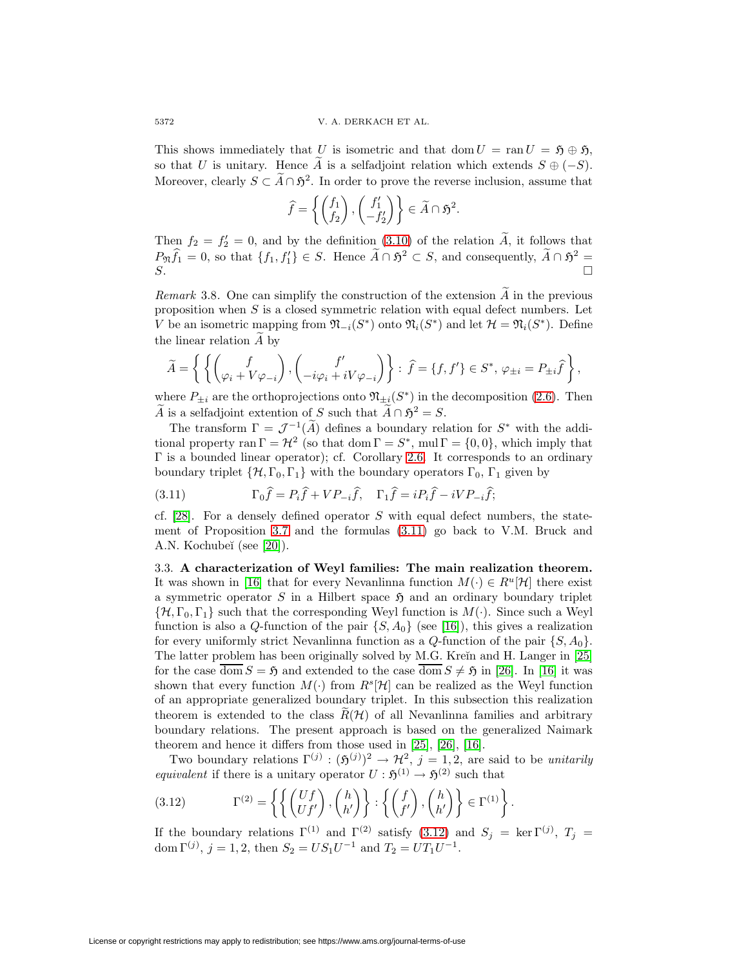This shows immediately that U is isometric and that dom  $U = \text{ran } U = \mathfrak{H} \oplus \mathfrak{H}$ , so that U is unitary. Hence A is a selfadjoint relation which extends  $S \oplus (-S)$ . Moreover, clearly  $S \subset \tilde{A} \cap \mathfrak{H}^2$ . In order to prove the reverse inclusion, assume that

$$
\widehat{f} = \left\{ \begin{pmatrix} f_1 \\ f_2 \end{pmatrix}, \begin{pmatrix} f'_1 \\ -f'_2 \end{pmatrix} \right\} \in \widetilde{A} \cap \mathfrak{H}^2.
$$

Then  $f_2 = f_2' = 0$ , and by the definition [\(3.10\)](#page-20-2) of the relation A, it follows that  $P_{\mathfrak{N}}\hat{f}_1 = 0$ , so that  $\{f_1, f'_1\} \in S$ . Hence  $\tilde{A} \cap \mathfrak{H}^2 \subset S$ , and consequently,  $\tilde{A} \cap \mathfrak{H}^2 =$  $S$ .

Remark 3.8. One can simplify the construction of the extension  $\widetilde{A}$  in the previous proposition when  $S$  is a closed symmetric relation with equal defect numbers. Let V be an isometric mapping from  $\mathfrak{N}_{-i}(S^*)$  onto  $\mathfrak{N}_{i}(S^*)$  and let  $\mathcal{H} = \mathfrak{N}_{i}(S^*)$ . Define the linear relation A by

$$
\widetilde{A} = \left\{ \left\{ \begin{pmatrix} f \\ \varphi_i + V \varphi_{-i} \end{pmatrix}, \begin{pmatrix} f' \\ -i \varphi_i + i V \varphi_{-i} \end{pmatrix} \right\} : \widehat{f} = \{f, f'\} \in S^*, \, \varphi_{\pm i} = P_{\pm i} \widehat{f} \right\},
$$

where  $P_{\pm i}$  are the orthoprojections onto  $\mathfrak{N}_{\pm i}(S^*)$  in the decomposition [\(2.6\)](#page-9-4). Then A is a selfadjoint extention of S such that  $\widetilde{A} \cap \mathfrak{H}^2 = S$ .

The transform  $\Gamma = \mathcal{J}^{-1}(\widetilde{A})$  defines a boundary relation for  $S^*$  with the additional property ran  $\Gamma = \mathcal{H}^2$  (so that dom  $\Gamma = S^*$ , mul  $\Gamma = \{0, 0\}$ , which imply that Γ is a bounded linear operator); cf. Corollary [2.6.](#page-11-5) It corresponds to an ordinary boundary triplet  $\{\mathcal{H}, \Gamma_0, \Gamma_1\}$  with the boundary operators  $\Gamma_0$ ,  $\Gamma_1$  given by

<span id="page-21-1"></span>(3.11) 
$$
\Gamma_0 \hat{f} = P_i \hat{f} + VP_{-i} \hat{f}, \quad \Gamma_1 \hat{f} = i P_i \hat{f} - i VP_{-i} \hat{f};
$$

cf. [\[28\]](#page-49-2). For a densely defined operator  $S$  with equal defect numbers, the statement of Proposition [3.7](#page-20-3) and the formulas [\(3.11\)](#page-21-1) go back to V.M. Bruck and A.N. Kochubeĭ (see [\[20\]](#page-48-0)).

3.3. **A characterization of Weyl families: The main realization theorem.** It was shown in [\[16\]](#page-48-2) that for every Nevanlinna function  $M(\cdot) \in R^u[\mathcal{H}]$  there exist a symmetric operator  $S$  in a Hilbert space  $\mathfrak H$  and an ordinary boundary triplet  $\{\mathcal{H}, \Gamma_0, \Gamma_1\}$  such that the corresponding Weyl function is  $M(\cdot)$ . Since such a Weyl function is also a Q-function of the pair  $\{S, A_0\}$  (see [\[16\]](#page-48-2)), this gives a realization for every uniformly strict Nevanlinna function as a  $Q$ -function of the pair  $\{S, A_0\}$ . The latter problem has been originally solved by M.G. Kreĭn and H. Langer in [\[25\]](#page-48-10) for the case  $\overline{\text{dom}} S = \mathfrak{H}$  and extended to the case  $\overline{\text{dom}} S \neq \mathfrak{H}$  in [\[26\]](#page-49-5). In [\[16\]](#page-48-2) it was shown that every function  $M(\cdot)$  from  $R^s[\mathcal{H}]$  can be realized as the Weyl function of an appropriate generalized boundary triplet. In this subsection this realization theorem is extended to the class  $R(\mathcal{H})$  of all Nevanlinna families and arbitrary boundary relations. The present approach is based on the generalized Naimark theorem and hence it differs from those used in [\[25\]](#page-48-10), [\[26\]](#page-49-5), [\[16\]](#page-48-2).

Two boundary relations  $\Gamma^{(j)} : (\mathfrak{H}^{(j)})^2 \to \mathcal{H}^2$ ,  $j = 1, 2$ , are said to be unitarily equivalent if there is a unitary operator  $U : \mathfrak{H}^{(1)} \to \mathfrak{H}^{(2)}$  such that

<span id="page-21-2"></span>.

(3.12) 
$$
\Gamma^{(2)} = \left\{ \left\{ \begin{pmatrix} Uf \\ Uf' \end{pmatrix}, \begin{pmatrix} h \\ h' \end{pmatrix} \right\} : \left\{ \begin{pmatrix} f \\ f' \end{pmatrix}, \begin{pmatrix} h \\ h' \end{pmatrix} \right\} \in \Gamma^{(1)} \right\}
$$

<span id="page-21-0"></span>If the boundary relations  $\Gamma^{(1)}$  and  $\Gamma^{(2)}$  satisfy [\(3.12\)](#page-21-2) and  $S_j = \text{ker } \Gamma^{(j)}$ ,  $T_j =$ dom  $\Gamma^{(j)}$ ,  $j = 1, 2$ , then  $S_2 = US_1U^{-1}$  and  $T_2 = UT_1U^{-1}$ .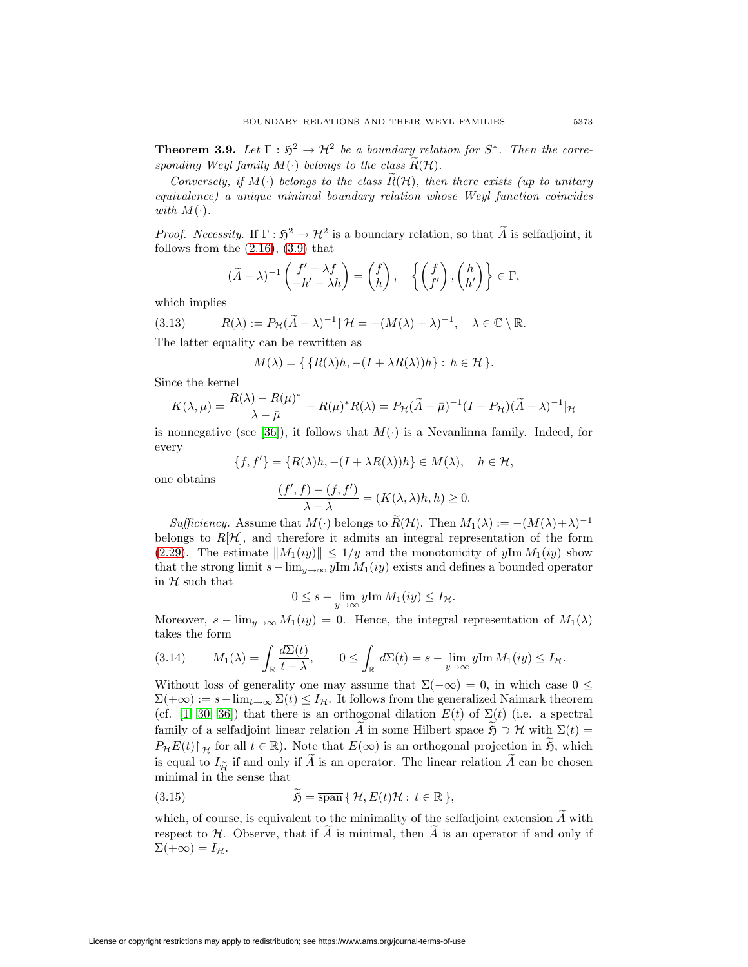**Theorem 3.9.** Let  $\Gamma : \mathfrak{H}^2 \to \mathcal{H}^2$  be a boundary relation for  $S^*$ . Then the corresponding Weyl family  $M(\cdot)$  belongs to the class  $R(\mathcal{H})$ .

Conversely, if  $M(\cdot)$  belongs to the class  $\widetilde{R}(\mathcal{H})$ , then there exists (up to unitary equivalence) a unique minimal boundary relation whose Weyl function coincides with  $M(\cdot)$ .

*Proof.* Necessity. If  $\Gamma : \mathfrak{H}^2 \to \mathcal{H}^2$  is a boundary relation, so that  $\widetilde{A}$  is selfadjoint, it follows from the  $(2.16)$ ,  $(3.9)$  that

$$
(\widetilde{A} - \lambda)^{-1} \begin{pmatrix} f' - \lambda f \\ -h' - \lambda h \end{pmatrix} = \begin{pmatrix} f \\ h \end{pmatrix}, \quad \left\{ \begin{pmatrix} f \\ f' \end{pmatrix}, \begin{pmatrix} h \\ h' \end{pmatrix} \right\} \in \Gamma,
$$

<span id="page-22-2"></span>which implies

(3.13) 
$$
R(\lambda) := P_{\mathcal{H}}(\widetilde{A} - \lambda)^{-1} \upharpoonright \mathcal{H} = -(M(\lambda) + \lambda)^{-1}, \quad \lambda \in \mathbb{C} \setminus \mathbb{R}.
$$

The latter equality can be rewritten as

$$
M(\lambda) = \{ \{ R(\lambda)h, -(I + \lambda R(\lambda))h \} : h \in \mathcal{H} \}.
$$

Since the kernel

$$
K(\lambda, \mu) = \frac{R(\lambda) - R(\mu)^*}{\lambda - \bar{\mu}} - R(\mu)^* R(\lambda) = P_{\mathcal{H}}(\tilde{A} - \bar{\mu})^{-1} (I - P_{\mathcal{H}})(\tilde{A} - \lambda)^{-1} |\mathcal{H}
$$

is nonnegative (see [\[36\]](#page-49-12)), it follows that  $M(\cdot)$  is a Nevanlinna family. Indeed, for every

$$
\{f, f'\} = \{R(\lambda)h, -(I + \lambda R(\lambda))h\} \in M(\lambda), \quad h \in \mathcal{H},
$$

one obtains

$$
\frac{(f',f)-(f,f')}{\lambda-\bar{\lambda}}=(K(\lambda,\lambda)h,h)\geq 0.
$$

Sufficiency. Assume that  $M(\cdot)$  belongs to  $\widetilde{R}(\mathcal{H})$ . Then  $M_1(\lambda) := -(M(\lambda)+\lambda)^{-1}$ belongs to  $R[\mathcal{H}]$ , and therefore it admits an integral representation of the form [\(2.29\)](#page-17-5). The estimate  $||M_1(iy)|| \le 1/y$  and the monotonicity of  $y \text{Im } M_1(iy)$  show that the strong limit  $s-\lim_{y\to\infty}y\operatorname{Im} M_1(iy)$  exists and defines a bounded operator in  $H$  such that

$$
0 \leq s - \lim_{y \to \infty} y \text{Im } M_1(iy) \leq I_{\mathcal{H}}.
$$

<span id="page-22-0"></span>Moreover,  $s - \lim_{y \to \infty} M_1(iy) = 0$ . Hence, the integral representation of  $M_1(\lambda)$ takes the form

$$
(3.14) \tM1(\lambda) = \int_{\mathbb{R}} \frac{d\Sigma(t)}{t - \lambda}, \t0 \le \int_{\mathbb{R}} d\Sigma(t) = s - \lim_{y \to \infty} y \text{Im } M1(iy) \le IH.
$$

Without loss of generality one may assume that  $\Sigma(-\infty) = 0$ , in which case  $0 \leq$  $\Sigma(+\infty) := s-\lim_{t\to\infty}\Sigma(t) \leq I_{\mathcal{H}}$ . It follows from the generalized Naimark theorem (cf. [\[1,](#page-47-2) [30,](#page-49-13) [36\]](#page-49-12)) that there is an orthogonal dilation  $E(t)$  of  $\Sigma(t)$  (i.e. a spectral family of a selfadjoint linear relation A in some Hilbert space  $\mathfrak{H} \supset \mathcal{H}$  with  $\Sigma(t) =$  $P_{\mathcal{H}}E(t)\upharpoonright_{\mathcal{H}}$  for all  $t \in \mathbb{R}$ ). Note that  $E(\infty)$  is an orthogonal projection in  $\tilde{\mathfrak{H}}$ , which is equal to  $I_{\widetilde{\mathcal{H}}}$  if and only if  $\widetilde{A}$  is an operator. The linear relation  $\widetilde{A}$  can be chosen minimal in the sense that

<span id="page-22-1"></span>(3.15) 
$$
\widetilde{\mathfrak{H}} = \overline{\text{span}} \{ \mathcal{H}, E(t) \mathcal{H} : t \in \mathbb{R} \},
$$

which, of course, is equivalent to the minimality of the selfadjoint extension  $\widetilde{A}$  with respect to  $H$ . Observe, that if  $\tilde{A}$  is minimal, then  $\tilde{A}$  is an operator if and only if  $\Sigma(+\infty)=I_{\mathcal{H}}.$ 

License or copyright restrictions may apply to redistribution; see https://www.ams.org/journal-terms-of-use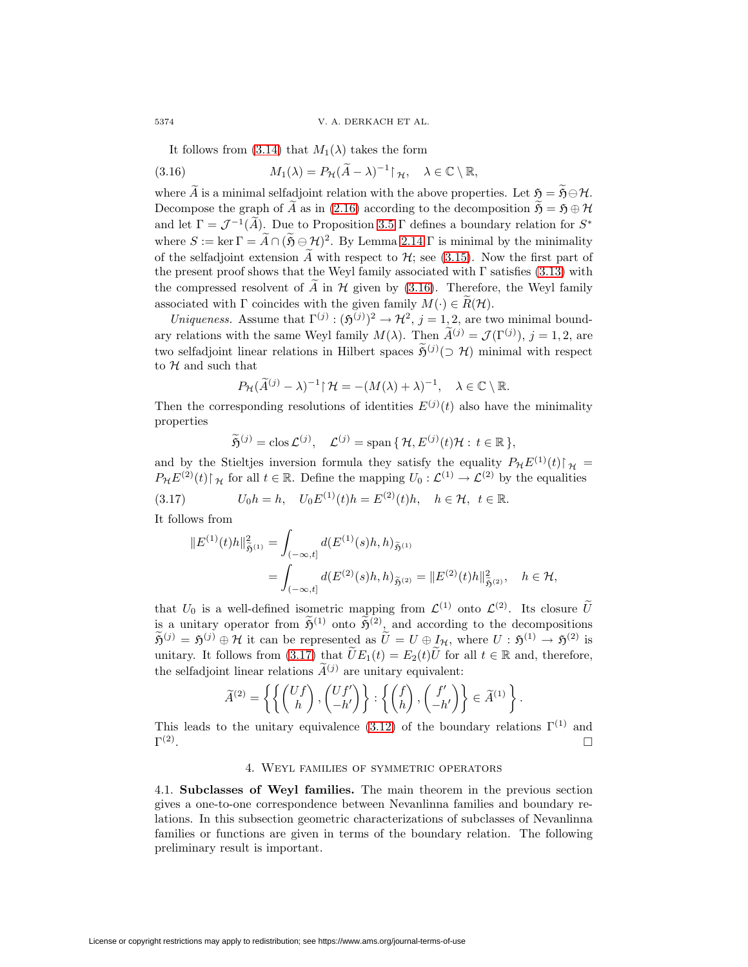<span id="page-23-1"></span>It follows from  $(3.14)$  that  $M_1(\lambda)$  takes the form

(3.16) 
$$
M_1(\lambda) = P_{\mathcal{H}}(\widetilde{A} - \lambda)^{-1} \upharpoonright_{\mathcal{H}}, \quad \lambda \in \mathbb{C} \setminus \mathbb{R},
$$

where  $\widetilde{A}$  is a minimal selfadjoint relation with the above properties. Let  $\mathfrak{H} = \widetilde{\mathfrak{H}} \ominus \mathcal{H}$ . Decompose the graph of  $\widetilde{A}$  as in [\(2.16\)](#page-12-0) according to the decomposition  $\widetilde{\mathfrak{H}} = \mathfrak{H} \oplus \mathcal{H}$ and let  $\Gamma = \mathcal{J}^{-1}(\widetilde{A})$ . Due to Proposition [3.5](#page-19-1)  $\Gamma$  defines a boundary relation for  $S^*$ where  $S := \ker \Gamma = \widetilde{A} \cap (\widetilde{\mathfrak{H}} \ominus \mathcal{H})^2$ . By Lemma [2.14](#page-15-4)  $\Gamma$  is minimal by the minimality of the selfadjoint extension  $\widetilde{A}$  with respect to  $\mathcal{H}$ ; see [\(3.15\)](#page-22-1). Now the first part of the present proof shows that the Weyl family associated with  $\Gamma$  satisfies [\(3.13\)](#page-22-2) with the compressed resolvent of  $\tilde{A}$  in  $\mathcal{H}$  given by [\(3.16\)](#page-23-1). Therefore, the Weyl family associated with  $\Gamma$  coincides with the given family  $M(\cdot) \in \widetilde{R}(\mathcal{H})$ .

Uniqueness. Assume that  $\Gamma^{(j)} : (\mathfrak{H}^{(j)})^2 \to \mathcal{H}^2$ ,  $j = 1, 2$ , are two minimal boundary relations with the same Weyl family  $M(\lambda)$ . Then  $\tilde{A}^{(j)} = \mathcal{J}(\Gamma^{(j)}), j = 1, 2$ , are two selfadjoint linear relations in Hilbert spaces  $\tilde{\mathfrak{H}}^{(j)}(\supset \mathcal{H})$  minimal with respect to  $H$  and such that

$$
P_{\mathcal{H}}(\widetilde{A}^{(j)} - \lambda)^{-1} \upharpoonright \mathcal{H} = -(M(\lambda) + \lambda)^{-1}, \quad \lambda \in \mathbb{C} \setminus \mathbb{R}.
$$

Then the corresponding resolutions of identities  $E^{(j)}(t)$  also have the minimality properties

<span id="page-23-2"></span>
$$
\widetilde{\mathfrak{H}}^{(j)} = \text{clos}\,\mathcal{L}^{(j)}, \quad \mathcal{L}^{(j)} = \text{span}\,\{\,\mathcal{H}, E^{(j)}(t)\mathcal{H} : t \in \mathbb{R}\,\},
$$

and by the Stieltjes inversion formula they satisfy the equality  $P_{\mathcal{H}}E^{(1)}(t)\upharpoonright_{\mathcal{H}}$  $P_{\mathcal{H}}E^{(2)}(t)\upharpoonright_{\mathcal{H}}$  for all  $t \in \mathbb{R}$ . Define the mapping  $U_0: \mathcal{L}^{(1)} \to \mathcal{L}^{(2)}$  by the equalities

(3.17) 
$$
U_0h = h, \quad U_0E^{(1)}(t)h = E^{(2)}(t)h, \quad h \in \mathcal{H}, \ t \in \mathbb{R}.
$$

It follows from

$$
||E^{(1)}(t)h||_{\tilde{\mathfrak{H}}^{(1)}}^2 = \int_{(-\infty,t]} d(E^{(1)}(s)h, h)_{\tilde{\mathfrak{H}}^{(1)}}= \int_{(-\infty,t]} d(E^{(2)}(s)h, h)_{\tilde{\mathfrak{H}}^{(2)}} = ||E^{(2)}(t)h||_{\tilde{\mathfrak{H}}^{(2)}}^2, \quad h \in \mathcal{H},
$$

that  $U_0$  is a well-defined isometric mapping from  $\mathcal{L}^{(1)}$  onto  $\mathcal{L}^{(2)}$ . Its closure  $\tilde{U}$ is a unitary operator from  $\widetilde{\mathfrak{H}}^{(1)}$  onto  $\widetilde{\mathfrak{H}}^{(2)}$ , and according to the decompositions  $\widetilde{\mathfrak{H}}^{(j)} = \mathfrak{H}^{(j)} \oplus \mathcal{H}$  it can be represented as  $\widetilde{U} = U \oplus I_{\mathcal{H}}$ , where  $U : \mathfrak{H}^{(1)} \to \mathfrak{H}^{(2)}$  is unitary. It follows from [\(3.17\)](#page-23-2) that  $\tilde{U}E_1(t) = E_2(t)\tilde{U}$  for all  $t \in \mathbb{R}$  and, therefore, the selfadjoint linear relations  $\tilde{A}^{(j)}$  are unitary equivalent:

$$
\widetilde{A}^{(2)} = \left\{ \left\{ \begin{pmatrix} Uf \\ h \end{pmatrix}, \begin{pmatrix} Uf' \\ -h' \end{pmatrix} \right\} : \left\{ \begin{pmatrix} f \\ h \end{pmatrix}, \begin{pmatrix} f' \\ -h' \end{pmatrix} \right\} \in \widetilde{A}^{(1)} \right\}.
$$

<span id="page-23-0"></span>This leads to the unitary equivalence [\(3.12\)](#page-21-2) of the boundary relations  $\Gamma^{(1)}$  and  $\Gamma^{(2)}$ .  $\Box$ 

## 4. Weyl families of symmetric operators

<span id="page-23-3"></span>4.1. **Subclasses of Weyl families.** The main theorem in the previous section gives a one-to-one correspondence between Nevanlinna families and boundary relations. In this subsection geometric characterizations of subclasses of Nevanlinna families or functions are given in terms of the boundary relation. The following preliminary result is important.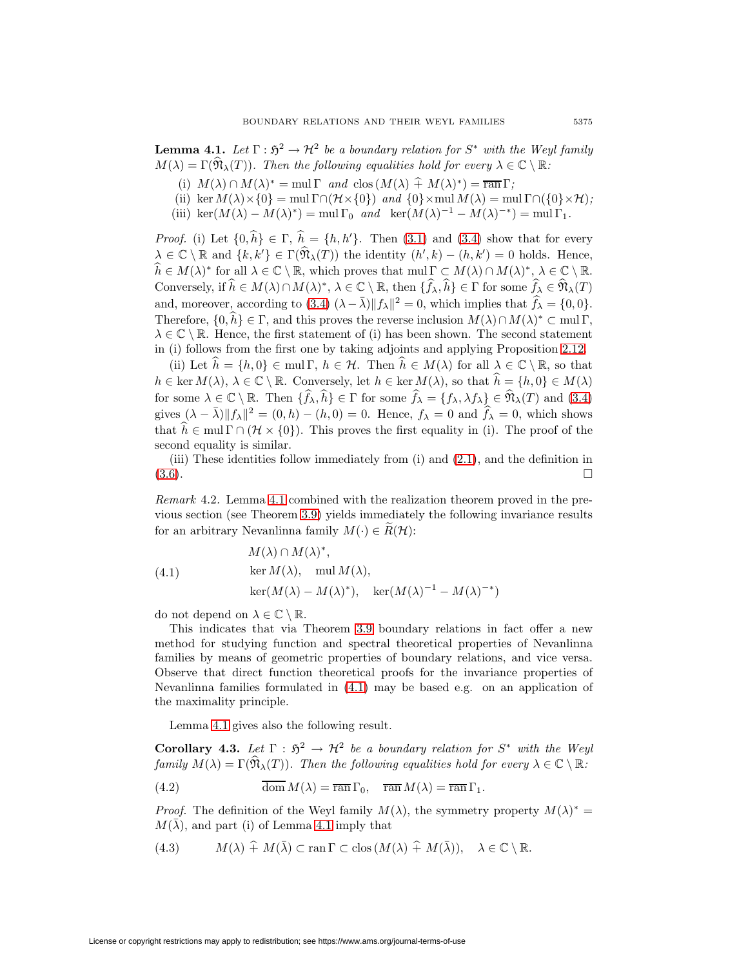**Lemma 4.1.** Let  $\Gamma : \mathfrak{H}^2 \to \mathcal{H}^2$  be a boundary relation for  $S^*$  with the Weyl family  $M(\lambda) = \Gamma(\widehat{\mathfrak{N}}_{\lambda}(T))$ . Then the following equalities hold for every  $\lambda \in \mathbb{C} \setminus \mathbb{R}$ :

- (i)  $M(\lambda) \cap M(\lambda)^* = \text{mul } \Gamma$  and  $\text{clos}(M(\lambda) \hat{+} M(\lambda)^*) = \overline{\text{ran }} \Gamma$ ;
- (ii) ker  $M(\lambda) \times \{0\} = \text{mul }\Gamma \cap (\mathcal{H} \times \{0\})$  and  $\{0\} \times \text{mul } M(\lambda) = \text{mul }\Gamma \cap (\{0\} \times \mathcal{H})$ ;
- (iii) ker $(M(\lambda) M(\lambda)^*) = \text{mul } \Gamma_0$  and ker $(M(\lambda)^{-1} M(\lambda)^{-*}) = \text{mul } \Gamma_1$ .

*Proof.* (i) Let  $\{0, h\} \in \Gamma$ ,  $h = \{h, h'\}$ . Then [\(3.1\)](#page-17-3) and [\(3.4\)](#page-18-4) show that for every  $\lambda \in \mathbb{C} \setminus \mathbb{R}$  and  $\{k, k'\} \in \Gamma(\widehat{\mathfrak{N}}_{\lambda}(T))$  the identity  $(h', k) - (h, k') = 0$  holds. Hence,  $\widehat{h} \in M(\lambda)^*$  for all  $\lambda \in \mathbb{C} \setminus \mathbb{R}$ , which proves that  $\operatorname{mul} \Gamma \subset M(\lambda) \cap M(\lambda)^*, \lambda \in \mathbb{C} \setminus \mathbb{R}$ . Conversely, if  $\widehat{h} \in M(\lambda) \cap M(\lambda)^*, \lambda \in \mathbb{C} \setminus \mathbb{R}$ , then  $\{\widehat{f}_{\lambda}, \widehat{h}\} \in \Gamma$  for some  $\widehat{f}_{\lambda} \in \widehat{\mathfrak{N}}_{\lambda}(T)$ and, moreover, according to [\(3.4\)](#page-18-4)  $(\lambda - \bar{\lambda}) ||f_{\lambda}||^2 = 0$ , which implies that  $\widehat{f}_{\lambda} = \{0, 0\}.$ Therefore,  $\{0, h\} \in \Gamma$ , and this proves the reverse inclusion  $M(\lambda) \cap M(\lambda)^* \subset \text{mul } \Gamma$ ,  $\lambda \in \mathbb{C} \setminus \mathbb{R}$ . Hence, the first statement of (i) has been shown. The second statement in (i) follows from the first one by taking adjoints and applying Proposition [2.12.](#page-13-3)

(ii) Let  $\hat{h} = \{h, 0\} \in \text{mul } \Gamma$ ,  $h \in \mathcal{H}$ . Then  $\hat{h} \in M(\lambda)$  for all  $\lambda \in \mathbb{C} \setminus \mathbb{R}$ , so that  $h \in \text{ker } M(\lambda), \, \lambda \in \mathbb{C} \setminus \mathbb{R}.$  Conversely, let  $h \in \text{ker } M(\lambda)$ , so that  $\widehat{h} = \{h, 0\} \in M(\lambda)$ for some  $\lambda \in \mathbb{C} \setminus \mathbb{R}$ . Then  $\{\widehat{f}_{\lambda}, \widehat{h}\} \in \Gamma$  for some  $\widehat{f}_{\lambda} = \{f_{\lambda}, \lambda f_{\lambda}\}\in \widehat{\mathfrak{N}}_{\lambda}(T)$  and  $(3.4)$ gives  $(\lambda - \overline{\lambda}) ||f_{\lambda}||^2 = (0, h) - (h, 0) = 0$ . Hence,  $f_{\lambda} = 0$  and  $\widehat{f}_{\lambda} = 0$ , which shows that  $h \in \text{mul } \Gamma \cap (\mathcal{H} \times \{0\})$ . This proves the first equality in (i). The proof of the second equality is similar.

(iii) These identities follow immediately from (i) and [\(2.1\)](#page-7-1), and the definition in  $(3.6)$ .

Remark 4.2. Lemma [4.1](#page-23-3) combined with the realization theorem proved in the previous section (see Theorem [3.9\)](#page-21-0) yields immediately the following invariance results for an arbitrary Nevanlinna family  $M(\cdot) \in R(\mathcal{H})$ :

<span id="page-24-0"></span>(4.1) 
$$
M(\lambda) \cap M(\lambda)^{*},
$$

$$
\ker M(\lambda), \quad \text{mul } M(\lambda),
$$

$$
\ker(M(\lambda) - M(\lambda)^{*}), \quad \ker(M(\lambda)^{-1} - M(\lambda)^{-*})
$$

do not depend on  $\lambda \in \mathbb{C} \setminus \mathbb{R}$ .

This indicates that via Theorem [3.9](#page-21-0) boundary relations in fact offer a new method for studying function and spectral theoretical properties of Nevanlinna families by means of geometric properties of boundary relations, and vice versa. Observe that direct function theoretical proofs for the invariance properties of Nevanlinna families formulated in [\(4.1\)](#page-24-0) may be based e.g. on an application of the maximality principle.

<span id="page-24-1"></span>Lemma [4.1](#page-23-3) gives also the following result.

<span id="page-24-3"></span>**Corollary 4.3.** Let  $\Gamma : \mathfrak{H}^2 \to \mathcal{H}^2$  be a boundary relation for  $S^*$  with the Weyl family  $M(\lambda) = \Gamma(\widehat{\mathfrak{N}}_{\lambda}(T))$ . Then the following equalities hold for every  $\lambda \in \mathbb{C} \setminus \mathbb{R}$ .

(4.2) 
$$
\overline{\text{dom}} M(\lambda) = \overline{\text{ran}} \Gamma_0, \quad \overline{\text{ran}} M(\lambda) = \overline{\text{ran}} \Gamma_1.
$$

*Proof.* The definition of the Weyl family  $M(\lambda)$ , the symmetry property  $M(\lambda)^* =$  $M(\lambda)$ , and part (i) of Lemma [4.1](#page-23-3) imply that

<span id="page-24-2"></span>(4.3) 
$$
M(\lambda) \hat{+} M(\bar{\lambda}) \subset \text{ran } \Gamma \subset \text{clos } (M(\lambda) \hat{+} M(\bar{\lambda})), \quad \lambda \in \mathbb{C} \setminus \mathbb{R}.
$$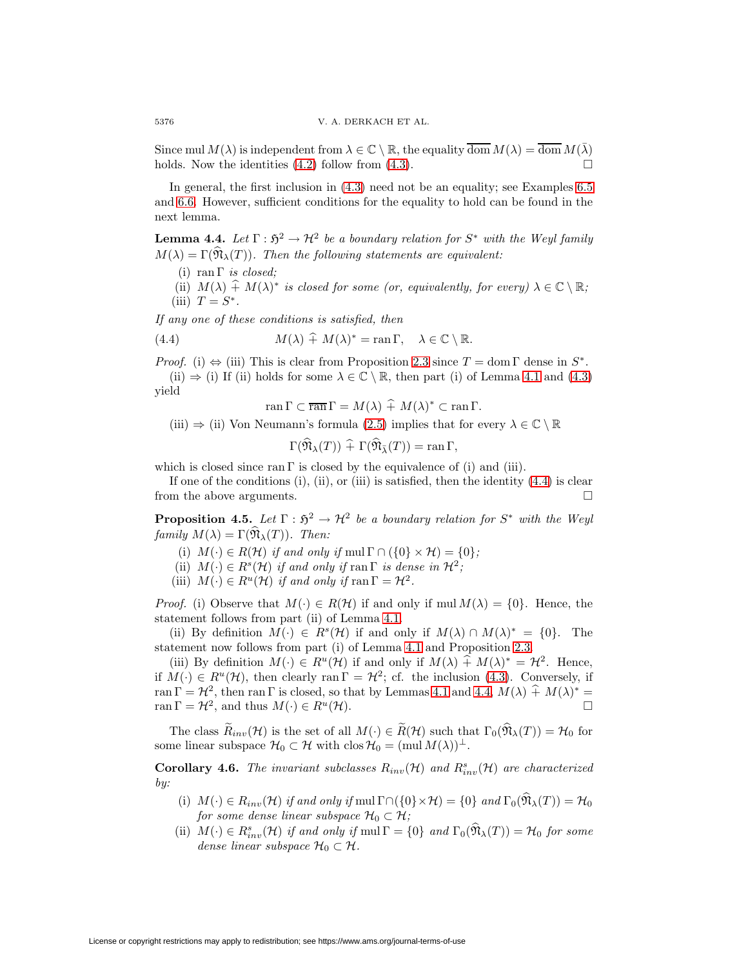Since mul  $M(\lambda)$  is independent from  $\lambda \in \mathbb{C} \setminus \mathbb{R}$ , the equality  $\overline{\text{dom}} M(\lambda) = \overline{\text{dom}} M(\overline{\lambda})$ holds. Now the identities  $(4.2)$  follow from  $(4.3)$ .

In general, the first inclusion in [\(4.3\)](#page-24-2) need not be an equality; see Examples [6.5](#page-43-0) and [6.6.](#page-44-0) However, sufficient conditions for the equality to hold can be found in the next lemma.

<span id="page-25-2"></span>**Lemma 4.4.** Let  $\Gamma : \mathfrak{H}^2 \to \mathcal{H}^2$  be a boundary relation for  $S^*$  with the Weyl family  $M(\lambda) = \Gamma(\widehat{\mathfrak{N}}_{\lambda}(T))$ . Then the following statements are equivalent:

(i) ran  $\Gamma$  *is closed*;

(ii)  $M(\lambda) \hat{+} M(\lambda)^*$  is closed for some (or, equivalently, for every)  $\lambda \in \mathbb{C} \setminus \mathbb{R}$ ; (iii)  $T = S^*$ .

If any one of these conditions is satisfied, then

(4.4) 
$$
M(\lambda) \widehat{+} M(\lambda)^* = \operatorname{ran} \Gamma, \quad \lambda \in \mathbb{C} \setminus \mathbb{R}.
$$

*Proof.* (i)  $\Leftrightarrow$  (iii) This is clear from Proposition [2.3](#page-9-3) since  $T = \text{dom } \Gamma$  dense in  $S^*$ .

(ii)  $\Rightarrow$  (i) If (ii) holds for some  $\lambda \in \mathbb{C} \setminus \mathbb{R}$ , then part (i) of Lemma [4.1](#page-23-3) and [\(4.3\)](#page-24-2) yield

<span id="page-25-1"></span>
$$
\operatorname{ran}\Gamma\subset\overline{\operatorname{ran}}\Gamma=M(\lambda)\stackrel{\sim}{+}M(\lambda)^*\subset\operatorname{ran}\Gamma.
$$

(iii)  $\Rightarrow$  (ii) Von Neumann's formula [\(2.5\)](#page-9-0) implies that for every  $\lambda \in \mathbb{C} \setminus \mathbb{R}$ 

$$
\Gamma(\mathfrak{N}_{\lambda}(T)) \widehat{+} \Gamma(\mathfrak{N}_{\bar{\lambda}}(T)) = \operatorname{ran} \Gamma,
$$

which is closed since ran Γ is closed by the equivalence of (i) and (iii).

If one of the conditions  $(i)$ ,  $(ii)$ , or  $(iii)$  is satisfied, then the identity  $(4.4)$  is clear from the above arguments.  $\Box$ 

<span id="page-25-0"></span>**Proposition 4.5.** Let  $\Gamma : \mathfrak{H}^2 \to \mathcal{H}^2$  be a boundary relation for  $S^*$  with the Weyl family  $M(\lambda) = \Gamma(\widehat{\mathfrak{N}}_{\lambda}(T))$ . Then:

- (i)  $M(\cdot) \in R(\mathcal{H})$  if and only if mul  $\Gamma \cap (\{0\} \times \mathcal{H}) = \{0\};$
- (ii)  $M(\cdot) \in R^s(\mathcal{H})$  if and only if ran  $\Gamma$  is dense in  $\mathcal{H}^2$ ;
- (iii)  $M(\cdot) \in R^u(\mathcal{H})$  if and only if ran  $\Gamma = \mathcal{H}^2$ .

*Proof.* (i) Observe that  $M(\cdot) \in R(H)$  if and only if mul  $M(\lambda) = \{0\}$ . Hence, the statement follows from part (ii) of Lemma [4.1.](#page-23-3)

(ii) By definition  $M(\cdot) \in R^{s}(\mathcal{H})$  if and only if  $M(\lambda) \cap M(\lambda)^{*} = \{0\}$ . The statement now follows from part (i) of Lemma [4.1](#page-23-3) and Proposition [2.3.](#page-9-3)

(iii) By definition  $M(\cdot) \in R^u(\mathcal{H})$  if and only if  $M(\lambda) \hat{+} M(\lambda)^* = \mathcal{H}^2$ . Hence, if  $M(\cdot) \in R^u(\mathcal{H})$ , then clearly ran  $\Gamma = \mathcal{H}^2$ ; cf. the inclusion [\(4.3\)](#page-24-2). Conversely, if ran  $\Gamma = \mathcal{H}^2$ , then ran  $\Gamma$  is closed, so that by Lemmas [4.1](#page-23-3) and [4.4,](#page-25-2)  $M(\lambda) \hat{+} M(\lambda)^* =$ ran  $\Gamma = \mathcal{H}^2$ , and thus  $M(\cdot) \in R^u(\mathcal{H})$ .

The class  $\widetilde{R}_{inv}(\mathcal{H})$  is the set of all  $M(\cdot) \in \widetilde{R}(\mathcal{H})$  such that  $\Gamma_0(\widehat{\mathfrak{N}}_{\lambda}(T)) = \mathcal{H}_0$  for some linear subspace  $\mathcal{H}_0 \subset \mathcal{H}$  with  $\text{clos } \mathcal{H}_0 = (\text{mul } M(\lambda))^{\perp}$ .

**Corollary 4.6.** The invariant subclasses  $R_{inv}(\mathcal{H})$  and  $R_{inv}^s(\mathcal{H})$  are characterized by:

- (i)  $M(\cdot) \in R_{inv}(\mathcal{H})$  if and only if mul  $\Gamma \cap (\{0\} \times \mathcal{H}) = \{0\}$  and  $\Gamma_0(\widehat{\mathfrak{N}}_{\lambda}(T)) = \mathcal{H}_0$ for some dense linear subspace  $\mathcal{H}_0 \subset \mathcal{H}$ ;
- <span id="page-25-3"></span>(ii)  $M(\cdot) \in R_{inv}^s(\mathcal{H})$  if and only if  $mul \Gamma = \{0\}$  and  $\Gamma_0(\hat{\mathfrak{N}}_{\lambda}(T)) = \mathcal{H}_0$  for some dense linear subspace  $\mathcal{H}_0 \subset \mathcal{H}$ .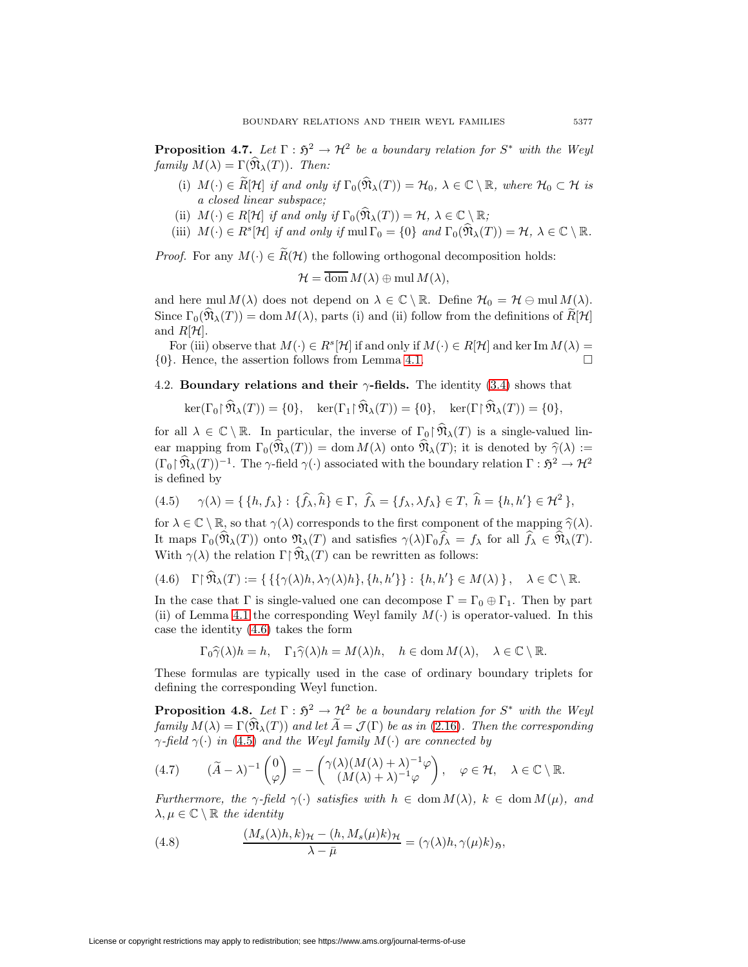**Proposition 4.7.** Let  $\Gamma : \mathfrak{H}^2 \to \mathcal{H}^2$  be a boundary relation for  $S^*$  with the Weyl family  $M(\lambda) = \Gamma(\widehat{\mathfrak{N}}_{\lambda}(T))$ . Then:

- (i)  $M(\cdot) \in \widetilde{R}[\mathcal{H}]$  if and only if  $\Gamma_0(\widehat{\mathfrak{N}}_{\lambda}(T)) = \mathcal{H}_0$ ,  $\lambda \in \mathbb{C} \setminus \mathbb{R}$ , where  $\mathcal{H}_0 \subset \mathcal{H}$  is a closed linear subspace;
- (ii)  $M(\cdot) \in R[\mathcal{H}]$  if and only if  $\Gamma_0(\widehat{\mathfrak{N}}_{\lambda}(T)) = \mathcal{H}, \ \lambda \in \mathbb{C} \setminus \mathbb{R};$
- (iii)  $M(\cdot) \in R^s[\mathcal{H}]$  if and only if  $mul \Gamma_0 = \{0\}$  and  $\Gamma_0(\widehat{\mathfrak{N}}_{\lambda}(T)) = \mathcal{H}, \lambda \in \mathbb{C} \setminus \mathbb{R}.$

*Proof.* For any  $M(\cdot) \in \widetilde{R}(\mathcal{H})$  the following orthogonal decomposition holds:

$$
\mathcal{H} = \overline{\text{dom}} \, M(\lambda) \oplus \text{mul} \, M(\lambda),
$$

and here mul  $M(\lambda)$  does not depend on  $\lambda \in \mathbb{C} \setminus \mathbb{R}$ . Define  $\mathcal{H}_0 = \mathcal{H} \oplus \text{mul } M(\lambda)$ . Since  $\Gamma_0(\widehat{\mathfrak{N}}_{\lambda}(T)) = \text{dom } M(\lambda)$ , parts (i) and (ii) follow from the definitions of  $\widetilde{R}[\mathcal{H}]$ and  $R[\mathcal{H}]$ .

For (iii) observe that  $M(\cdot) \in R^s[\mathcal{H}]$  if and only if  $M(\cdot) \in R[\mathcal{H}]$  and ker Im  $M(\lambda) =$  $\{0\}$ . Hence, the assertion follows from Lemma [4.1.](#page-23-3)  $\Box$ 

# 4.2. **Boundary relations and their**  $\gamma$ **-fields.** The identity [\(3.4\)](#page-18-4) shows that

$$
\ker(\Gamma_0 \upharpoonright \mathfrak{N}_{\lambda}(T)) = \{0\}, \quad \ker(\Gamma_1 \upharpoonright \mathfrak{N}_{\lambda}(T)) = \{0\}, \quad \ker(\Gamma \upharpoonright \mathfrak{N}_{\lambda}(T)) = \{0\},
$$

for all  $\lambda \in \mathbb{C} \setminus \mathbb{R}$ . In particular, the inverse of  $\Gamma_0 \upharpoonright \widehat{\mathfrak{N}}_{\lambda}(T)$  is a single-valued linear mapping from  $\Gamma_0(\widehat{\mathfrak{N}}_{\lambda}(T)) = \text{dom } M(\lambda)$  onto  $\widehat{\mathfrak{N}}_{\lambda}(T)$ ; it is denoted by  $\widehat{\gamma}(\lambda) :=$  $(\Gamma_0 \upharpoonright \widehat{\mathfrak{N}}_{\lambda}(T))^{-1}$ . The γ-field  $\gamma(\cdot)$  associated with the boundary relation  $\Gamma : \mathfrak{H}^2 \to \mathcal{H}^2$ is defined by

<span id="page-26-1"></span>
$$
(4.5) \quad \gamma(\lambda) = \{ \{ h, f_{\lambda} \} : \{\widehat{f}_{\lambda}, \widehat{h} \} \in \Gamma, \ \widehat{f}_{\lambda} = \{ f_{\lambda}, \lambda f_{\lambda} \} \in T, \ \widehat{h} = \{ h, h' \} \in \mathcal{H}^2 \},
$$

for  $\lambda \in \mathbb{C} \setminus \mathbb{R}$ , so that  $\gamma(\lambda)$  corresponds to the first component of the mapping  $\hat{\gamma}(\lambda)$ . It maps  $\Gamma_0(\mathfrak{N}_\lambda(T))$  onto  $\mathfrak{N}_\lambda(T)$  and satisfies  $\gamma(\lambda)\Gamma_0 f_\lambda = f_\lambda$  for all  $f_\lambda \in \mathfrak{N}_\lambda(T)$ . With  $\gamma(\lambda)$  the relation  $\Gamma \upharpoonright \widehat{\mathfrak{N}}_{\lambda}(T)$  can be rewritten as follows:

$$
(4.6)\quad \Gamma\upharpoonright \widehat{\mathfrak{N}}_{\lambda}(T):=\{\{\{\gamma(\lambda)h,\lambda\gamma(\lambda)h\},\{h,h'\}\}:\,\{h,h'\}\in M(\lambda)\,\}\,,\quad \lambda\in\mathbb{C}\setminus\mathbb{R}.
$$

In the case that Γ is single-valued one can decompose  $\Gamma = \Gamma_0 \oplus \Gamma_1$ . Then by part (ii) of Lemma [4.1](#page-23-3) the corresponding Weyl family  $M(\cdot)$  is operator-valued. In this case the identity [\(4.6\)](#page-26-0) takes the form

<span id="page-26-2"></span><span id="page-26-0"></span>
$$
\Gamma_0 \hat{\gamma}(\lambda) h = h, \quad \Gamma_1 \hat{\gamma}(\lambda) h = M(\lambda) h, \quad h \in \text{dom } M(\lambda), \quad \lambda \in \mathbb{C} \setminus \mathbb{R}.
$$

These formulas are typically used in the case of ordinary boundary triplets for defining the corresponding Weyl function.

**Proposition 4.8.** Let  $\Gamma : \mathfrak{H}^2 \to \mathcal{H}^2$  be a boundary relation for  $S^*$  with the Weyl family  $M(\lambda) = \Gamma(\widehat{\mathfrak{N}}_{\lambda}(T))$  and let  $\widetilde{A} = \mathcal{J}(\Gamma)$  be as in [\(2.16\)](#page-12-0). Then the corresponding  $\gamma$ -field  $\gamma(\cdot)$  in [\(4.5\)](#page-26-1) and the Weyl family  $M(\cdot)$  are connected by

$$
(4.7) \qquad (\widetilde{A} - \lambda)^{-1} \begin{pmatrix} 0 \\ \varphi \end{pmatrix} = - \begin{pmatrix} \gamma(\lambda)(M(\lambda) + \lambda)^{-1} \varphi \\ (M(\lambda) + \lambda)^{-1} \varphi \end{pmatrix}, \quad \varphi \in \mathcal{H}, \quad \lambda \in \mathbb{C} \setminus \mathbb{R}.
$$

<span id="page-26-3"></span>Furthermore, the  $\gamma$ -field  $\gamma(\cdot)$  satisfies with  $h \in \text{dom } M(\lambda)$ ,  $k \in \text{dom } M(\mu)$ , and  $\lambda, \mu \in \mathbb{C} \setminus \mathbb{R}$  the identity

(4.8) 
$$
\frac{(M_s(\lambda)h, k)_{\mathcal{H}} - (h, M_s(\mu)k)_{\mathcal{H}}}{\lambda - \bar{\mu}} = (\gamma(\lambda)h, \gamma(\mu)k)_{\mathfrak{H}},
$$

License or copyright restrictions may apply to redistribution; see https://www.ams.org/journal-terms-of-use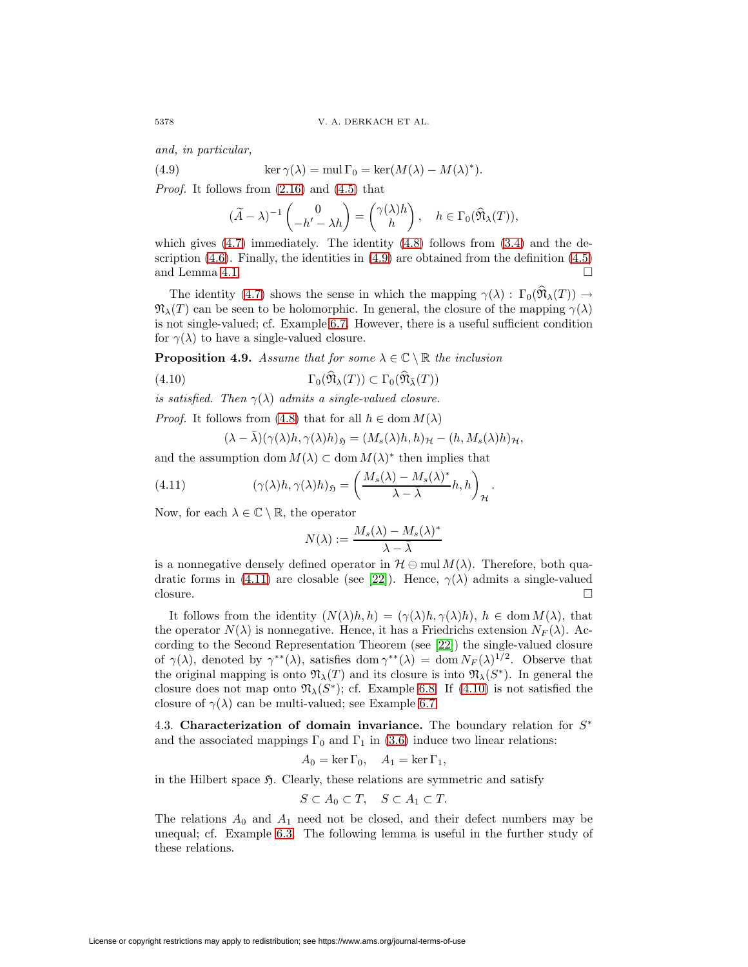<span id="page-27-0"></span>and, in particular,

(4.9) 
$$
\ker \gamma(\lambda) = \text{mul } \Gamma_0 = \ker(M(\lambda) - M(\lambda)^*).
$$

Proof. It follows from [\(2.16\)](#page-12-0) and [\(4.5\)](#page-26-1) that

$$
(\widetilde{A} - \lambda)^{-1} \begin{pmatrix} 0 \\ -h' - \lambda h \end{pmatrix} = \begin{pmatrix} \gamma(\lambda)h \\ h \end{pmatrix}, \quad h \in \Gamma_0(\widehat{\mathfrak{N}}_{\lambda}(T)),
$$

which gives  $(4.7)$  immediately. The identity  $(4.8)$  follows from  $(3.4)$  and the description  $(4.6)$ . Finally, the identities in  $(4.9)$  are obtained from the definition  $(4.5)$ and Lemma [4.1.](#page-23-3)  $\Box$ 

The identity [\(4.7\)](#page-26-2) shows the sense in which the mapping  $\gamma(\lambda): \Gamma_0(\hat{\mathfrak{N}}_{\lambda}(T)) \to$  $\mathfrak{N}_{\lambda}(T)$  can be seen to be holomorphic. In general, the closure of the mapping  $\gamma(\lambda)$ is not single-valued; cf. Example [6.7.](#page-45-0) However, there is a useful sufficient condition for  $\gamma(\lambda)$  to have a single-valued closure.

<span id="page-27-4"></span>**Proposition 4.9.** Assume that for some  $\lambda \in \mathbb{C} \setminus \mathbb{R}$  the inclusion

(4.10) 
$$
\Gamma_0(\widehat{\mathfrak{N}}_{\lambda}(T)) \subset \Gamma_0(\widehat{\mathfrak{N}}_{\bar{\lambda}}(T))
$$

is satisfied. Then  $\gamma(\lambda)$  admits a single-valued closure.

*Proof.* It follows from [\(4.8\)](#page-26-3) that for all  $h \in \text{dom } M(\lambda)$ 

$$
(\lambda - \bar{\lambda})(\gamma(\lambda)h, \gamma(\lambda)h)_{\mathfrak{H}} = (M_s(\lambda)h, h)_{\mathcal{H}} - (h, M_s(\lambda)h)_{\mathcal{H}},
$$

and the assumption dom  $M(\lambda) \subset \text{dom } M(\lambda)^*$  then implies that

(4.11) 
$$
(\gamma(\lambda)h, \gamma(\lambda)h)_{\mathfrak{H}} = \left(\frac{M_s(\lambda) - M_s(\lambda)^*}{\lambda - \bar{\lambda}}h, h\right)_{\mathcal{H}}.
$$

Now, for each  $\lambda \in \mathbb{C} \setminus \mathbb{R}$ , the operator

<span id="page-27-2"></span><span id="page-27-1"></span>
$$
N(\lambda) := \frac{M_s(\lambda) - M_s(\lambda)^*}{\lambda - \overline{\lambda}}
$$

is a nonnegative densely defined operator in  $\mathcal{H} \ominus \text{mul } M(\lambda)$ . Therefore, both qua-dratic forms in [\(4.11\)](#page-27-1) are closable (see [\[22\]](#page-48-20)). Hence,  $\gamma(\lambda)$  admits a single-valued closure.  $\Box$ 

It follows from the identity  $(N(\lambda)h,h)=(\gamma(\lambda)h,\gamma(\lambda)h), h \in \text{dom }M(\lambda)$ , that the operator  $N(\lambda)$  is nonnegative. Hence, it has a Friedrichs extension  $N_F(\lambda)$ . According to the Second Representation Theorem (see [\[22\]](#page-48-20)) the single-valued closure of  $\gamma(\lambda)$ , denoted by  $\gamma^{**}(\lambda)$ , satisfies dom  $\gamma^{**}(\lambda) = \text{dom } N_F(\lambda)^{1/2}$ . Observe that the original mapping is onto  $\mathfrak{N}_{\lambda}(T)$  and its closure is into  $\mathfrak{N}_{\lambda}(S^*)$ . In general the closure does not map onto  $\mathfrak{N}_{\lambda}(S^*)$ ; cf. Example [6.8.](#page-46-0) If [\(4.10\)](#page-27-2) is not satisfied the closure of  $\gamma(\lambda)$  can be multi-valued; see Example [6.7.](#page-45-0)

4.3. **Characterization of domain invariance.** The boundary relation for S<sup>∗</sup> and the associated mappings  $\Gamma_0$  and  $\Gamma_1$  in [\(3.6\)](#page-19-0) induce two linear relations:

$$
A_0 = \ker \Gamma_0, \quad A_1 = \ker \Gamma_1,
$$

in the Hilbert space  $\mathfrak{H}$ . Clearly, these relations are symmetric and satisfy

$$
S \subset A_0 \subset T, \quad S \subset A_1 \subset T.
$$

<span id="page-27-3"></span>The relations  $A_0$  and  $A_1$  need not be closed, and their defect numbers may be unequal; cf. Example [6.3.](#page-42-0) The following lemma is useful in the further study of these relations.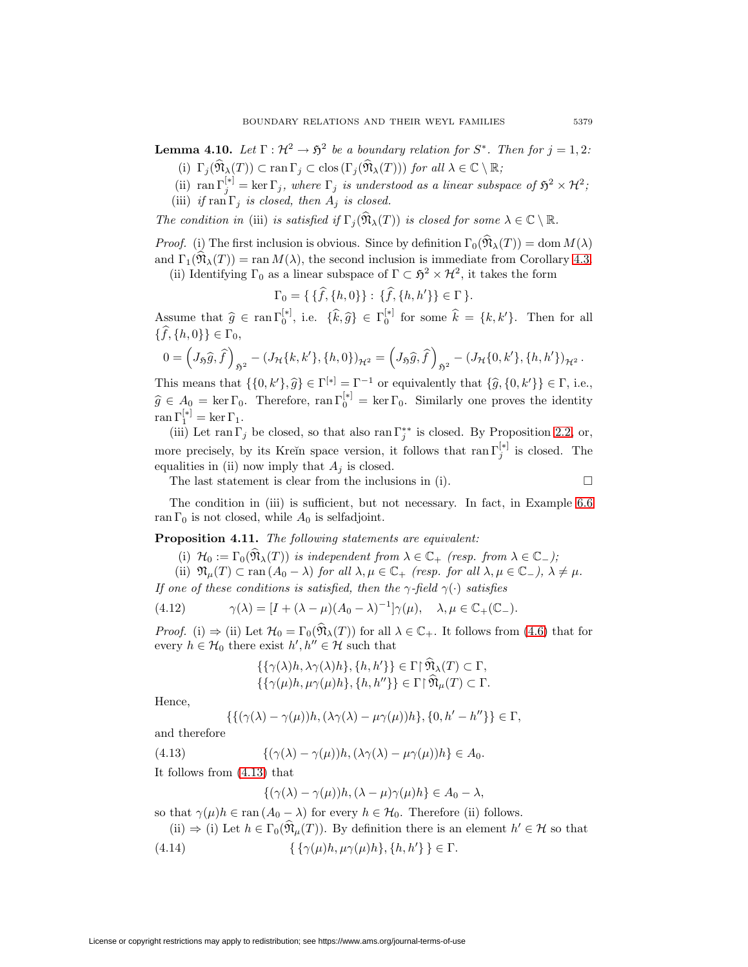**Lemma 4.10.** Let  $\Gamma : \mathcal{H}^2 \to \mathfrak{H}^2$  be a boundary relation for  $S^*$ . Then for  $j = 1, 2$ :

- (i)  $\Gamma_i(\widehat{\mathfrak{N}}_{\lambda}(T)) \subset \text{ran }\Gamma_i \subset \text{clos}(\Gamma_i(\widehat{\mathfrak{N}}_{\lambda}(T)))$  for all  $\lambda \in \mathbb{C} \setminus \mathbb{R}$ ;
- (ii)  $\text{ran } \Gamma_j^{[*]} = \text{ker } \Gamma_j$ , where  $\Gamma_j$  is understood as a linear subspace of  $\mathfrak{H}^2 \times \mathcal{H}^2$ ;
- (iii) if  $\text{ran } \Gamma_j$  is closed, then  $A_j$  is closed.

The condition in (iii) is satisfied if  $\Gamma_i(\widehat{\mathfrak{N}}_{\lambda}(T))$  is closed for some  $\lambda \in \mathbb{C} \setminus \mathbb{R}$ .

*Proof.* (i) The first inclusion is obvious. Since by definition  $\Gamma_0(\widehat{\mathfrak{N}}_{\lambda}(T)) = \text{dom } M(\lambda)$ and  $\Gamma_1(\mathfrak{N}_{\lambda}(T)) = \text{ran } M(\lambda)$ , the second inclusion is immediate from Corollary [4.3.](#page-24-3)

(ii) Identifying  $\Gamma_0$  as a linear subspace of  $\Gamma \subset \mathfrak{H}^2 \times \mathcal{H}^2$ , it takes the form

$$
\Gamma_0 = \{ \{\hat{f}, \{h, 0\}\} : \{\hat{f}, \{h, h'\}\} \in \Gamma \}.
$$

Assume that  $\hat{g} \in \text{ran }\Gamma_0^{[*]}$ , i.e.  $\{\hat{k}, \hat{g}\}\in \Gamma_0^{[*]}$  for some  $\hat{k} = \{k, k'\}$ . Then for all  $\{\widehat{f}, \{h, 0\}\}\in \Gamma_0$ ,

$$
0 = \left(J_{\mathfrak{H}}\widehat{g}, \widehat{f}\right)_{\mathfrak{H}^2} - \left(J_{\mathcal{H}}\{k, k'\}, \{h, 0\}\right)_{\mathcal{H}^2} = \left(J_{\mathfrak{H}}\widehat{g}, \widehat{f}\right)_{\mathfrak{H}^2} - \left(J_{\mathcal{H}}\{0, k'\}, \{h, h'\}\right)_{\mathcal{H}^2}.
$$

This means that  $\{\{0, k'\}, \hat{g}\} \in \Gamma^{[*]} = \Gamma^{-1}$  or equivalently that  $\{\hat{g}, \{0, k'\}\} \in \Gamma$ , i.e.,  $\widehat{g} \in A_0 = \ker \Gamma_0$ . Therefore,  $\text{ran } \Gamma_0^{[*]} = \ker \Gamma_0$ . Similarly one proves the identity  $\text{ran }\Gamma_1^{[*]} = \text{ker }\Gamma_1.$ 

(iii) Let ran  $\Gamma_j$  be closed, so that also ran  $\Gamma_j^{**}$  is closed. By Proposition [2.2,](#page-8-3) or, more precisely, by its Kreĭn space version, it follows that  $\text{ran } \Gamma_j^{[*]}$  is closed. The equalities in (ii) now imply that  $A_i$  is closed.

The last statement is clear from the inclusions in (i).

$$
\qquad \qquad \Box
$$

<span id="page-28-3"></span>The condition in (iii) is sufficient, but not necessary. In fact, in Example [6.6](#page-44-0) ran  $\Gamma_0$  is not closed, while  $A_0$  is selfadjoint.

**Proposition 4.11.** The following statements are equivalent:

(i)  $\mathcal{H}_0 := \Gamma_0(\widehat{\mathfrak{N}}_{\lambda}(T))$  is independent from  $\lambda \in \mathbb{C}_+$  (resp. from  $\lambda \in \mathbb{C}_-$ );

(ii)  $\mathfrak{N}_{\mu}(T) \subset \text{ran} (A_0 - \lambda)$  for all  $\lambda, \mu \in \mathbb{C}_+$  (resp. for all  $\lambda, \mu \in \mathbb{C}_-$ ),  $\lambda \neq \mu$ .

If one of these conditions is satisfied, then the  $\gamma$ -field  $\gamma(\cdot)$  satisfies

(4.12) 
$$
\gamma(\lambda) = [I + (\lambda - \mu)(A_0 - \lambda)^{-1}]\gamma(\mu), \quad \lambda, \mu \in \mathbb{C}_+(\mathbb{C}_-).
$$

*Proof.* (i)  $\Rightarrow$  (ii) Let  $\mathcal{H}_0 = \Gamma_0(\widehat{\mathfrak{N}}_{\lambda}(T))$  for all  $\lambda \in \mathbb{C}_+$ . It follows from [\(4.6\)](#page-26-0) that for every  $h \in \mathcal{H}_0$  there exist  $h', h'' \in \mathcal{H}$  such that

<span id="page-28-2"></span>
$$
\{\{\gamma(\lambda)h, \lambda\gamma(\lambda)h\}, \{h, h'\}\}\in \Gamma[\hat{\mathfrak{N}}_{\lambda}(T)\subset \Gamma, \{\{\gamma(\mu)h, \mu\gamma(\mu)h\}, \{h, h''\}\}\in \Gamma[\hat{\mathfrak{N}}_{\mu}(T)\subset \Gamma.
$$

Hence,

$$
\{\{(\gamma(\lambda)-\gamma(\mu))h,(\lambda\gamma(\lambda)-\mu\gamma(\mu))h\},\{0,h'-h''\}\}\in\Gamma,
$$

<span id="page-28-0"></span>and therefore

(4.13)  $\{(\gamma(\lambda) - \gamma(\mu))h, (\lambda \gamma(\lambda) - \mu \gamma(\mu))h\} \in A_0.$ 

It follows from [\(4.13\)](#page-28-0) that

<span id="page-28-1"></span>
$$
\{(\gamma(\lambda) - \gamma(\mu))h, (\lambda - \mu)\gamma(\mu)h\} \in A_0 - \lambda,
$$

so that  $\gamma(\mu)h \in \text{ran}(A_0 - \lambda)$  for every  $h \in \mathcal{H}_0$ . Therefore (ii) follows.

(ii)  $\Rightarrow$  (i) Let  $h \in \Gamma_0(\mathfrak{N}_u(T))$ . By definition there is an element  $h' \in \mathcal{H}$  so that

(4.14) 
$$
\{\{\gamma(\mu)h, \mu\gamma(\mu)h\}, \{h, h'\}\}\in \Gamma.
$$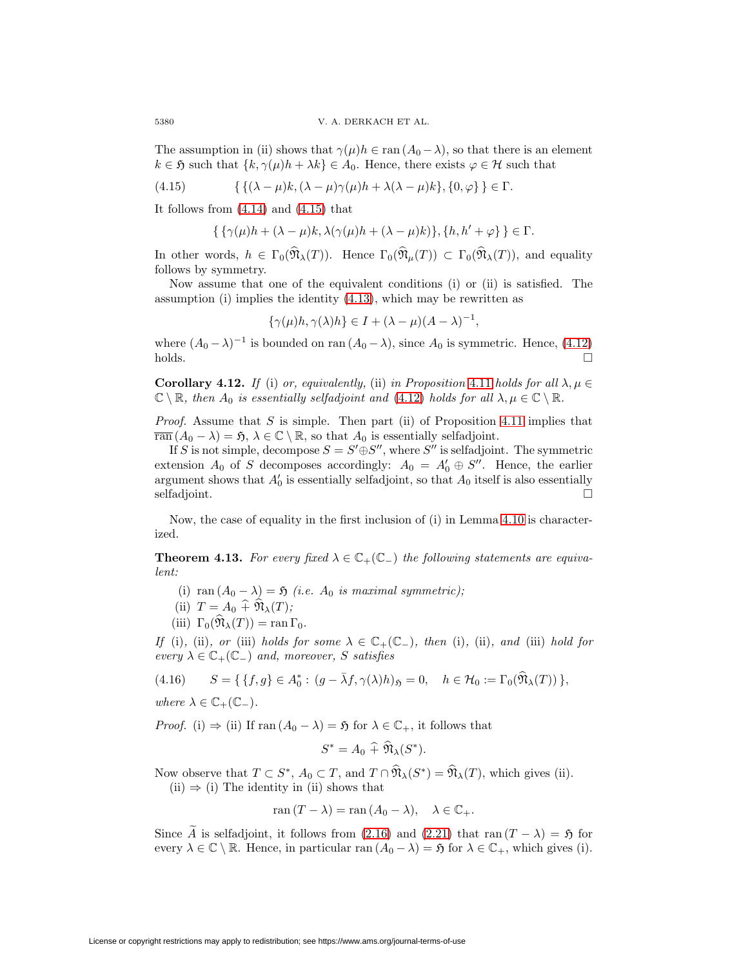The assumption in (ii) shows that  $\gamma(\mu)h \in \text{ran}(A_0 - \lambda)$ , so that there is an element  $k \in \mathfrak{H}$  such that  $\{k, \gamma(\mu)h + \lambda k\} \in A_0$ . Hence, there exists  $\varphi \in \mathcal{H}$  such that

(4.15) 
$$
\left\{ \{ (\lambda - \mu)k, (\lambda - \mu)\gamma(\mu)h + \lambda(\lambda - \mu)k \}, \{0, \varphi\} \right\} \in \Gamma.
$$

It follows from [\(4.14\)](#page-28-1) and [\(4.15\)](#page-29-1) that

$$
\{\{\gamma(\mu)h+(\lambda-\mu)k,\lambda(\gamma(\mu)h+(\lambda-\mu)k)\},\{h,h'+\varphi\}\}\in\Gamma.
$$

In other words,  $h \in \Gamma_0(\widehat{\mathfrak{N}}_{\lambda}(T))$ . Hence  $\Gamma_0(\widehat{\mathfrak{N}}_{\mu}(T)) \subset \Gamma_0(\widehat{\mathfrak{N}}_{\lambda}(T))$ , and equality follows by symmetry.

Now assume that one of the equivalent conditions (i) or (ii) is satisfied. The assumption (i) implies the identity [\(4.13\)](#page-28-0), which may be rewritten as

<span id="page-29-1"></span>
$$
\{\gamma(\mu)h, \gamma(\lambda)h\} \in I + (\lambda - \mu)(A - \lambda)^{-1},
$$

where  $(A_0 - \lambda)^{-1}$  is bounded on ran  $(A_0 - \lambda)$ , since  $A_0$  is symmetric. Hence, [\(4.12\)](#page-28-2)  $\Box$ 

<span id="page-29-3"></span>**Corollary 4.12.** If (i) or, equivalently, (ii) in Proposition [4.11](#page-28-3) holds for all  $\lambda, \mu \in$  $\mathbb{C} \setminus \mathbb{R}$ , then  $A_0$  is essentially selfadjoint and [\(4.12\)](#page-28-2) holds for all  $\lambda, \mu \in \mathbb{C} \setminus \mathbb{R}$ .

*Proof.* Assume that S is simple. Then part (ii) of Proposition [4.11](#page-28-3) implies that  $\overline{\operatorname{ran}} (A_0 - \lambda) = \mathfrak{H}, \lambda \in \mathbb{C} \setminus \mathbb{R}$ , so that  $A_0$  is essentially selfadjoint.

If S is not simple, decompose  $S = S' \oplus S''$ , where S'' is selfadjoint. The symmetric extension  $A_0$  of S decomposes accordingly:  $A_0 = A'_0 \oplus S''$ . Hence, the earlier argument shows that  $A'_0$  is essentially selfadjoint, so that  $A_0$  itself is also essentially selfadjoint.  $\square$ 

<span id="page-29-0"></span>Now, the case of equality in the first inclusion of (i) in Lemma [4.10](#page-27-3) is characterized.

**Theorem 4.13.** For every fixed  $\lambda \in \mathbb{C}_+(\mathbb{C}_-)$  the following statements are equivalent:

- (i) ran  $(A_0 \lambda) = \mathfrak{H}$  (i.e.  $A_0$  is maximal symmetric);
- (ii)  $T = A_0 \hat{+} \hat{\mathfrak{N}}_{\lambda}(T);$
- (iii)  $\Gamma_0(\mathfrak{N}_\lambda(T)) = \operatorname{ran} \Gamma_0$ .

If (i), (ii), or (iii) holds for some  $\lambda \in \mathbb{C}_+(\mathbb{C}_-)$ , then (i), (ii), and (iii) hold for every  $\lambda \in \mathbb{C}_+(\mathbb{C}_-)$  and, moreover, S satisfies

(4.16) 
$$
S = \{ \{f, g\} \in A_0^* : (g - \bar{\lambda}f, \gamma(\lambda)h)_{\mathfrak{H}} = 0, \quad h \in \mathcal{H}_0 := \Gamma_0(\widehat{\mathfrak{N}}_{\lambda}(T)) \},
$$

where  $\lambda \in \mathbb{C}_+(\mathbb{C}_-)$ .

*Proof.* (i)  $\Rightarrow$  (ii) If ran  $(A_0 - \lambda) = \mathfrak{H}$  for  $\lambda \in \mathbb{C}_+$ , it follows that

<span id="page-29-2"></span>
$$
S^* = A_0 \widehat{+} \mathfrak{N}_{\lambda}(S^*).
$$

Now observe that  $T \subset S^*$ ,  $A_0 \subset T$ , and  $T \cap \widehat{\mathfrak{N}}_{\lambda}(S^*) = \widehat{\mathfrak{N}}_{\lambda}(T)$ , which gives (ii).  $(ii) \Rightarrow (i)$  The identity in (ii) shows that

$$
ran(T - \lambda) = ran(A_0 - \lambda), \quad \lambda \in \mathbb{C}_+.
$$

Since A is selfadjoint, it follows from [\(2.16\)](#page-12-0) and [\(2.21\)](#page-14-0) that ran  $(T - \lambda) = \mathfrak{H}$  for every  $\lambda \in \mathbb{C} \setminus \mathbb{R}$ . Hence, in particular ran  $(A_0 - \lambda) = \mathfrak{H}$  for  $\lambda \in \mathbb{C}_+$ , which gives (i).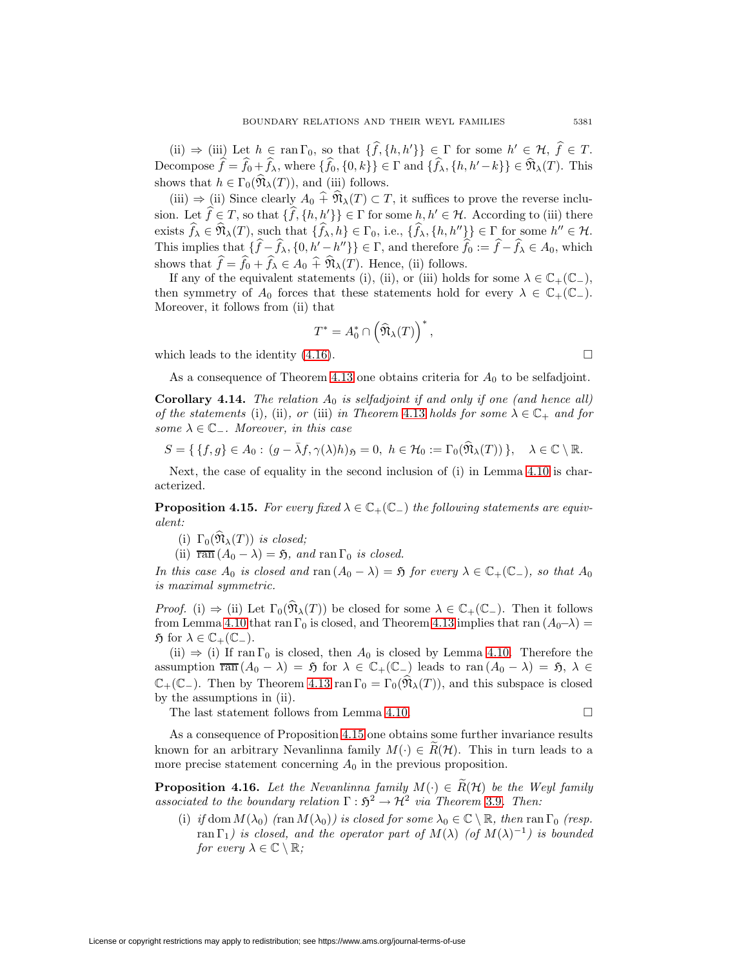(ii)  $\Rightarrow$  (iii) Let  $h \in \text{ran } \Gamma_0$ , so that  $\{f, \{h, h'\}\}\in \Gamma$  for some  $h' \in \mathcal{H}, f \in T$ . Decompose  $f = f_0 + f_\lambda$ , where  $\{f_0, \{0, k\}\}\in \Gamma$  and  $\{f_\lambda, \{h, h'-k\}\}\in \mathfrak{N}_\lambda(T)$ . This shows that  $h \in \Gamma_0(\widehat{\mathfrak{N}}_{\lambda}(T))$ , and (iii) follows.

(iii)  $\Rightarrow$  (ii) Since clearly  $A_0 \hat{+} \hat{\mathfrak{N}}_{\lambda}(T) \subset T$ , it suffices to prove the reverse inclusion. Let  $f \in T$ , so that  $\{f, \{h, h'\}\}\in \Gamma$  for some  $h, h' \in \mathcal{H}$ . According to (iii) there exists  $f_{\lambda} \in \mathfrak{N}_{\lambda}(T)$ , such that  $\{f_{\lambda}, h\} \in \Gamma_0$ , i.e.,  $\{f_{\lambda}, \{h, h''\}\}\in \Gamma$  for some  $h'' \in \mathcal{H}$ . This implies that  $\{f - f_\lambda, \{0, h' - h''\}\}\in \Gamma$ , and therefore  $f_0 := f - f_\lambda \in A_0$ , which shows that  $f = f_0 + f_\lambda \in A_0 + \mathfrak{N}_\lambda(T)$ . Hence, (ii) follows.

If any of the equivalent statements (i), (ii), or (iii) holds for some  $\lambda \in \mathbb{C}_+(\mathbb{C}_-)$ , then symmetry of  $A_0$  forces that these statements hold for every  $\lambda \in \mathbb{C}_+(\mathbb{C}_-)$ . Moreover, it follows from (ii) that

$$
T^* = A_0^* \cap \left(\widehat{\mathfrak{N}}_{\lambda}(T)\right)^*,
$$

which leads to the identity  $(4.16)$ .

$$
\mathbf{L}^{\mathbf{r}}
$$

As a consequence of Theorem [4.13](#page-29-0) one obtains criteria for  $A_0$  to be selfadjoint.

<span id="page-30-2"></span>**Corollary 4.14.** The relation  $A_0$  is selfadjoint if and only if one (and hence all) of the statements (i), (ii), or (iii) in Theorem [4.13](#page-29-0) holds for some  $\lambda \in \mathbb{C}_+$  and for some  $\lambda \in \mathbb{C}_-$ . Moreover, in this case

$$
S = \{ \{f, g\} \in A_0 : (g - \bar{\lambda}f, \gamma(\lambda)h)_{\mathfrak{H}} = 0, \ h \in \mathcal{H}_0 := \Gamma_0(\widehat{\mathfrak{N}}_{\lambda}(T)) \}, \quad \lambda \in \mathbb{C} \setminus \mathbb{R}.
$$

<span id="page-30-0"></span>Next, the case of equality in the second inclusion of (i) in Lemma [4.10](#page-27-3) is characterized.

**Proposition 4.15.** For every fixed  $\lambda \in \mathbb{C}_+(\mathbb{C}_-)$  the following statements are equivalent:

(i)  $\Gamma_0(\widehat{\mathfrak{N}}_{\lambda}(T))$  is closed;

(ii)  $\overline{\text{ran}} (A_0 - \lambda) = \mathfrak{H}$ , and  $\text{ran } \Gamma_0$  is closed.

In this case  $A_0$  is closed and ran  $(A_0 - \lambda) = \mathfrak{H}$  for every  $\lambda \in \mathbb{C}_+(\mathbb{C}_-)$ , so that  $A_0$ is maximal symmetric.

*Proof.* (i)  $\Rightarrow$  (ii) Let  $\Gamma_0(\widehat{\mathfrak{N}}_{\lambda}(T))$  be closed for some  $\lambda \in \mathbb{C}_+(\mathbb{C}_-)$ . Then it follows from Lemma [4.10](#page-27-3) that ran  $\Gamma_0$  is closed, and Theorem [4.13](#page-29-0) implies that ran  $(A_0-\lambda)$  =  $\mathfrak{H}$  for  $\lambda \in \mathbb{C}_+(\mathbb{C}_-)$ .

(ii)  $\Rightarrow$  (i) If ran  $\Gamma_0$  is closed, then  $A_0$  is closed by Lemma [4.10.](#page-27-3) Therefore the assumption  $\overline{\text{ran}} (A_0 - \lambda) = \mathfrak{H}$  for  $\lambda \in \mathbb{C}_+(\mathbb{C}_-)$  leads to  $\text{ran}(A_0 - \lambda) = \mathfrak{H}, \lambda \in$  $\mathbb{C}_+(\mathbb{C}_-)$ . Then by Theorem [4.13](#page-29-0) ran  $\Gamma_0 = \Gamma_0(\mathfrak{N}_\lambda(T))$ , and this subspace is closed by the assumptions in (ii).

The last statement follows from Lemma [4.10.](#page-27-3)  $\Box$ 

As a consequence of Proposition [4.15](#page-30-0) one obtains some further invariance results known for an arbitrary Nevanlinna family  $M(\cdot) \in R(H)$ . This in turn leads to a more precise statement concerning  $A_0$  in the previous proposition.

<span id="page-30-1"></span>**Proposition 4.16.** Let the Nevanlinna family  $M(\cdot) \in R(H)$  be the Weyl family associated to the boundary relation  $\Gamma : \mathfrak{H}^2 \to \mathcal{H}^2$  via Theorem [3.9](#page-21-0). Then:

(i) if dom  $M(\lambda_0)$  (ran  $M(\lambda_0)$ ) is closed for some  $\lambda_0 \in \mathbb{C} \setminus \mathbb{R}$ , then ran  $\Gamma_0$  (resp. ran  $\Gamma_1$ ) is closed, and the operator part of  $M(\lambda)$  (of  $M(\lambda)^{-1}$ ) is bounded for every  $\lambda \in \mathbb{C} \setminus \mathbb{R}$ ;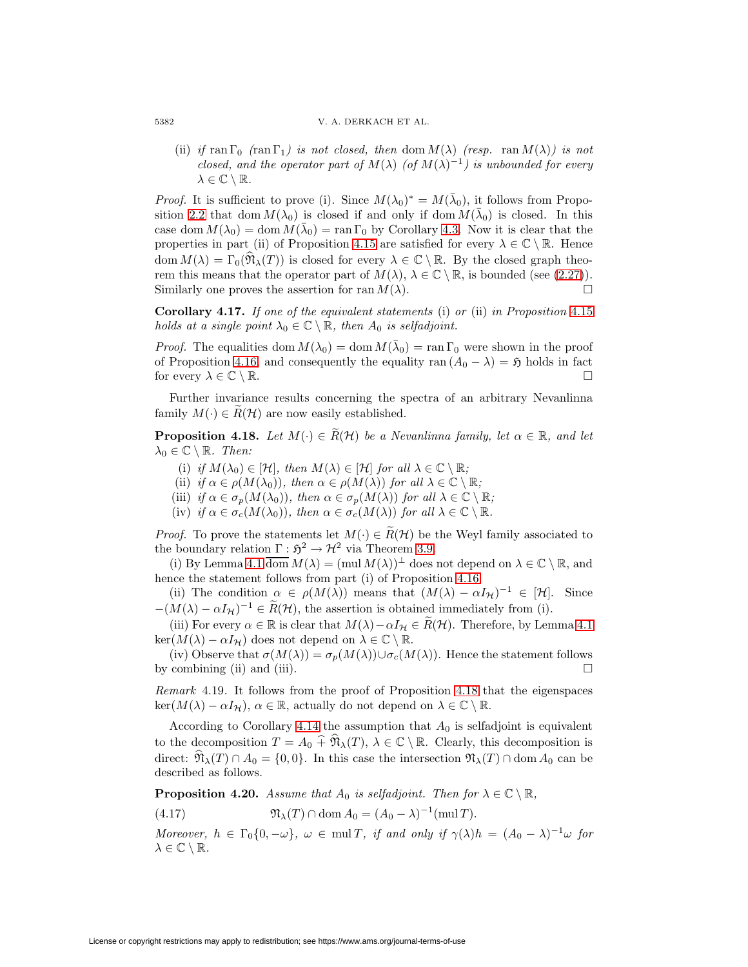(ii) if ran  $\Gamma_0$  (ran  $\Gamma_1$ ) is not closed, then dom  $M(\lambda)$  (resp. ran  $M(\lambda)$ ) is not closed, and the operator part of  $M(\lambda)$  (of  $M(\lambda)^{-1}$ ) is unbounded for every  $\lambda \in \mathbb{C} \setminus \mathbb{R}$ .

*Proof.* It is sufficient to prove (i). Since  $M(\lambda_0)^* = M(\bar{\lambda}_0)$ , it follows from Propo-sition [2.2](#page-8-3) that dom  $M(\lambda_0)$  is closed if and only if dom  $M(\bar{\lambda}_0)$  is closed. In this case dom  $M(\lambda_0) = \text{dom } M(\bar{\lambda}_0) = \text{ran } \Gamma_0$  by Corollary [4.3.](#page-24-3) Now it is clear that the properties in part (ii) of Proposition [4.15](#page-30-0) are satisfied for every  $\lambda \in \mathbb{C} \setminus \mathbb{R}$ . Hence dom  $M(\lambda) = \Gamma_0(\mathfrak{N}_\lambda(T))$  is closed for every  $\lambda \in \mathbb{C} \setminus \mathbb{R}$ . By the closed graph theorem this means that the operator part of  $M(\lambda)$ ,  $\lambda \in \mathbb{C} \setminus \mathbb{R}$ , is bounded (see [\(2.27\)](#page-16-0)). Similarly one proves the assertion for ran  $M(\lambda)$ .  $\Box$ 

<span id="page-31-3"></span>**Corollary 4.17.** If one of the equivalent statements (i) or (ii) in Proposition [4.15](#page-30-0) holds at a single point  $\lambda_0 \in \mathbb{C} \setminus \mathbb{R}$ , then  $A_0$  is selfadjoint.

*Proof.* The equalities dom  $M(\lambda_0) = \text{dom } M(\bar{\lambda}_0) = \text{ran } \Gamma_0$  were shown in the proof of Proposition [4.16,](#page-30-1) and consequently the equality ran  $(A_0 - \lambda) = \mathfrak{H}$  holds in fact for every  $\lambda \in \mathbb{C} \setminus \mathbb{R}$ .

<span id="page-31-0"></span>Further invariance results concerning the spectra of an arbitrary Nevanlinna family  $M(\cdot) \in R(H)$  are now easily established.

**Proposition 4.18.** Let  $M(\cdot) \in \widetilde{R}(\mathcal{H})$  be a Nevanlinna family, let  $\alpha \in \mathbb{R}$ , and let  $\lambda_0 \in \mathbb{C} \setminus \mathbb{R}$ . Then:

- (i) if  $M(\lambda_0) \in [\mathcal{H}]$ , then  $M(\lambda) \in [\mathcal{H}]$  for all  $\lambda \in \mathbb{C} \setminus \mathbb{R}$ ;
- (ii) if  $\alpha \in \rho(M(\lambda_0))$ , then  $\alpha \in \rho(M(\lambda))$  for all  $\lambda \in \mathbb{C} \setminus \mathbb{R}$ ;
- (iii) if  $\alpha \in \sigma_p(M(\lambda_0))$ , then  $\alpha \in \sigma_p(M(\lambda))$  for all  $\lambda \in \mathbb{C} \setminus \mathbb{R}$ ;
- (iv) if  $\alpha \in \sigma_c(M(\lambda_0))$ , then  $\alpha \in \sigma_c(M(\lambda))$  for all  $\lambda \in \mathbb{C} \setminus \mathbb{R}$ .

*Proof.* To prove the statements let  $M(\cdot) \in R(H)$  be the Weyl family associated to the boundary relation  $\Gamma : \mathfrak{H}^2 \to \mathcal{H}^2$  via Theorem [3.9.](#page-21-0)

(i) By Lemma [4.1](#page-23-3)  $\overline{\text{dom}} M(\lambda) = (\text{mul } M(\lambda))^{\perp}$  does not depend on  $\lambda \in \mathbb{C} \setminus \mathbb{R}$ , and hence the statement follows from part (i) of Proposition [4.16.](#page-30-1)

(ii) The condition  $\alpha \in \rho(M(\lambda))$  means that  $(M(\lambda) - \alpha I_{\mathcal{H}})^{-1} \in [\mathcal{H}]$ . Since  $-(M(\lambda) - \alpha I_{\mathcal{H}})^{-1} \in \widetilde{R}(\mathcal{H})$ , the assertion is obtained immediately from (i).

(iii) For every  $\alpha \in \mathbb{R}$  is clear that  $M(\lambda) - \alpha I_{\mathcal{H}} \in R(\mathcal{H})$ . Therefore, by Lemma [4.1](#page-23-3)  $\ker(M(\lambda) - \alpha I_{\mathcal{H}})$  does not depend on  $\lambda \in \mathbb{C} \setminus \mathbb{R}$ .

(iv) Observe that  $\sigma(M(\lambda)) = \sigma_p(M(\lambda)) \cup \sigma_c(M(\lambda))$ . Hence the statement follows by combining (ii) and (iii).  $\Box$ 

Remark 4.19. It follows from the proof of Proposition [4.18](#page-31-0) that the eigenspaces  $\ker(M(\lambda) - \alpha I_{\mathcal{H}}), \alpha \in \mathbb{R}$ , actually do not depend on  $\lambda \in \mathbb{C} \setminus \mathbb{R}$ .

According to Corollary [4.14](#page-30-2) the assumption that  $A_0$  is selfadjoint is equivalent to the decomposition  $T = A_0 \widehat{+} \mathfrak{N}_{\lambda}(T), \lambda \in \mathbb{C} \setminus \mathbb{R}$ . Clearly, this decomposition is direct:  $\widehat{\mathfrak{N}}_{\lambda}(T) \cap A_0 = \{0,0\}$ . In this case the intersection  $\mathfrak{N}_{\lambda}(T) \cap \text{dom } A_0$  can be described as follows.

<span id="page-31-2"></span><span id="page-31-1"></span>**Proposition 4.20.** Assume that  $A_0$  is selfadjoint. Then for  $\lambda \in \mathbb{C} \setminus \mathbb{R}$ ,

(4.17) 
$$
\mathfrak{N}_{\lambda}(T) \cap \text{dom}\, A_0 = (A_0 - \lambda)^{-1}(\text{mul}\, T).
$$

Moreover,  $h \in \Gamma_0\{0, -\omega\}$ ,  $\omega \in \text{mul } T$ , if and only if  $\gamma(\lambda)h = (A_0 - \lambda)^{-1}\omega$  for  $\lambda \in \mathbb{C} \setminus \mathbb{R}$ .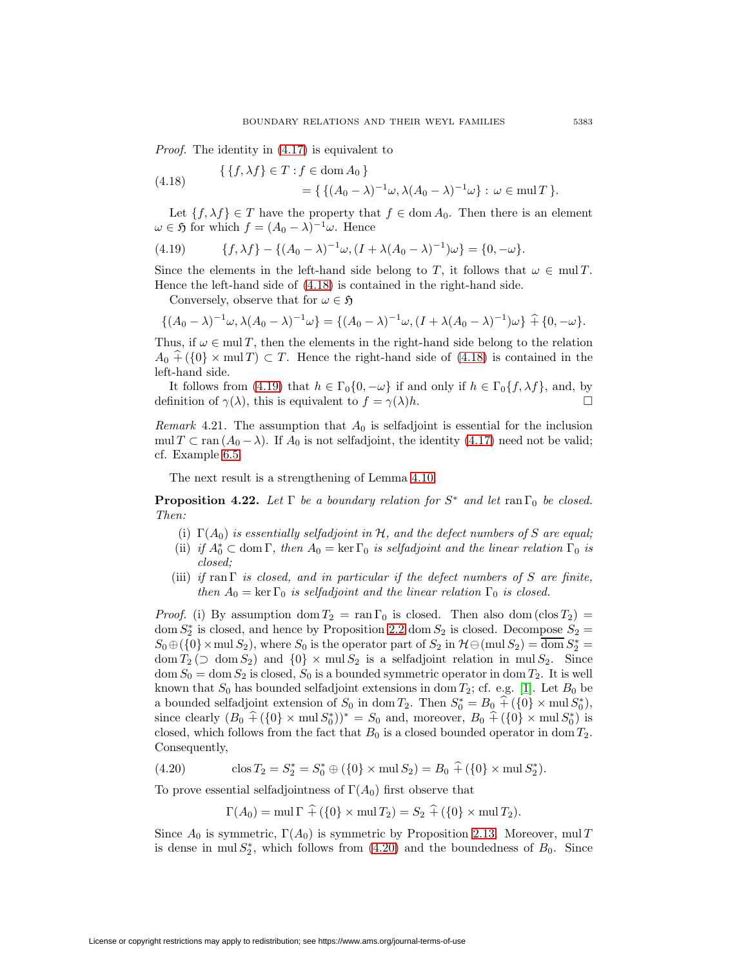<span id="page-32-0"></span>Proof. The identity in [\(4.17\)](#page-31-1) is equivalent to

(4.18) 
$$
\{ \{f, \lambda f\} \in T : f \in \text{dom } A_0 \} = \{ \{ (A_0 - \lambda)^{-1} \omega, \lambda (A_0 - \lambda)^{-1} \omega \} : \omega \in \text{mul } T \}.
$$

<span id="page-32-1"></span>Let  $\{f, \lambda f\} \in T$  have the property that  $f \in \text{dom } A_0$ . Then there is an element  $\omega \in \mathfrak{H}$  for which  $f = (A_0 - \lambda)^{-1} \omega$ . Hence

(4.19) 
$$
\{f, \lambda f\} - \{ (A_0 - \lambda)^{-1} \omega, (I + \lambda (A_0 - \lambda)^{-1}) \omega \} = \{0, -\omega\}.
$$

Since the elements in the left-hand side belong to T, it follows that  $\omega \in \text{mul } T$ . Hence the left-hand side of [\(4.18\)](#page-32-0) is contained in the right-hand side.

Conversely, observe that for  $\omega \in \mathfrak{H}$ 

$$
\{(A_0 - \lambda)^{-1} \omega, \lambda (A_0 - \lambda)^{-1} \omega\} = \{(A_0 - \lambda)^{-1} \omega, (I + \lambda (A_0 - \lambda)^{-1}) \omega\} \hat{+} \{0, -\omega\}.
$$

Thus, if  $\omega \in \text{mul } T$ , then the elements in the right-hand side belong to the relation  $A_0 + (\{0\} \times \text{mul } T) \subset T$ . Hence the right-hand side of [\(4.18\)](#page-32-0) is contained in the left-hand side.

It follows from [\(4.19\)](#page-32-1) that  $h \in \Gamma_0\{0, -\omega\}$  if and only if  $h \in \Gamma_0\{f, \lambda f\}$ , and, by definition of  $\gamma(\lambda)$ , this is equivalent to  $f = \gamma(\lambda)h$ .

Remark 4.21. The assumption that  $A_0$  is selfadjoint is essential for the inclusion mul  $T \subset \text{ran} (A_0 - \lambda)$ . If  $A_0$  is not selfadjoint, the identity [\(4.17\)](#page-31-1) need not be valid; cf. Example [6.5.](#page-43-0)

The next result is a strengthening of Lemma [4.10.](#page-27-3)

<span id="page-32-3"></span>**Proposition 4.22.** Let  $\Gamma$  be a boundary relation for  $S^*$  and let ran  $\Gamma_0$  be closed. Then:

- (i)  $\Gamma(A_0)$  is essentially selfadjoint in H, and the defect numbers of S are equal;
- (ii) if  $A_0^* \subset \text{dom } \Gamma$ , then  $A_0 = \ker \Gamma_0$  is selfadjoint and the linear relation  $\Gamma_0$  is closed;
- (iii) if ran  $\Gamma$  is closed, and in particular if the defect numbers of S are finite, then  $A_0 = \ker \Gamma_0$  is selfadjoint and the linear relation  $\Gamma_0$  is closed.

*Proof.* (i) By assumption dom  $T_2 = \text{ran } \Gamma_0$  is closed. Then also dom (clos  $T_2$ ) = dom  $S_2^*$  is closed, and hence by Proposition [2.2](#page-8-3) dom  $S_2$  is closed. Decompose  $S_2 =$  $S_0 \oplus (\{0\} \times \text{mul } S_2)$ , where  $S_0$  is the operator part of  $S_2$  in  $\mathcal{H} \ominus (\text{mul } S_2) = \text{dom } S_2^* =$ dom  $T_2$  ( $\supset$  dom  $S_2$ ) and  $\{0\} \times$  mul  $S_2$  is a selfadjoint relation in mul  $S_2$ . Since  $dom S_0 = dom S_2$  is closed,  $S_0$  is a bounded symmetric operator in dom  $T_2$ . It is well known that  $S_0$  has bounded selfadjoint extensions in dom  $T_2$ ; cf. e.g. [\[1\]](#page-47-2). Let  $B_0$  be a bounded selfadjoint extension of  $S_0$  in dom  $T_2$ . Then  $S_0^* = B_0 + (\{0\} \times \text{mul } S_0^*),$ since clearly  $(B_0 + (\{0\} \times \text{mul } S_0^*))^* = S_0$  and, moreover,  $B_0 + (\{0\} \times \text{mul } S_0^*)$  is closed, which follows from the fact that  $B_0$  is a closed bounded operator in dom  $T_2$ . Consequently,

<span id="page-32-2"></span>(4.20) 
$$
\cos T_2 = S_2^* = S_0^* \oplus (\{0\} \times \text{mul } S_2) = B_0 \hat{+} (\{0\} \times \text{mul } S_2^*).
$$

To prove essential selfadjointness of  $\Gamma(A_0)$  first observe that

$$
\Gamma(A_0) = \text{mul } \Gamma \widehat{+} (\{0\} \times \text{mul } T_2) = S_2 \widehat{+} (\{0\} \times \text{mul } T_2).
$$

Since  $A_0$  is symmetric,  $\Gamma(A_0)$  is symmetric by Proposition [2.13.](#page-14-3) Moreover, mul T is dense in mul  $S_2^*$ , which follows from [\(4.20\)](#page-32-2) and the boundedness of  $B_0$ . Since

License or copyright restrictions may apply to redistribution; see https://www.ams.org/journal-terms-of-use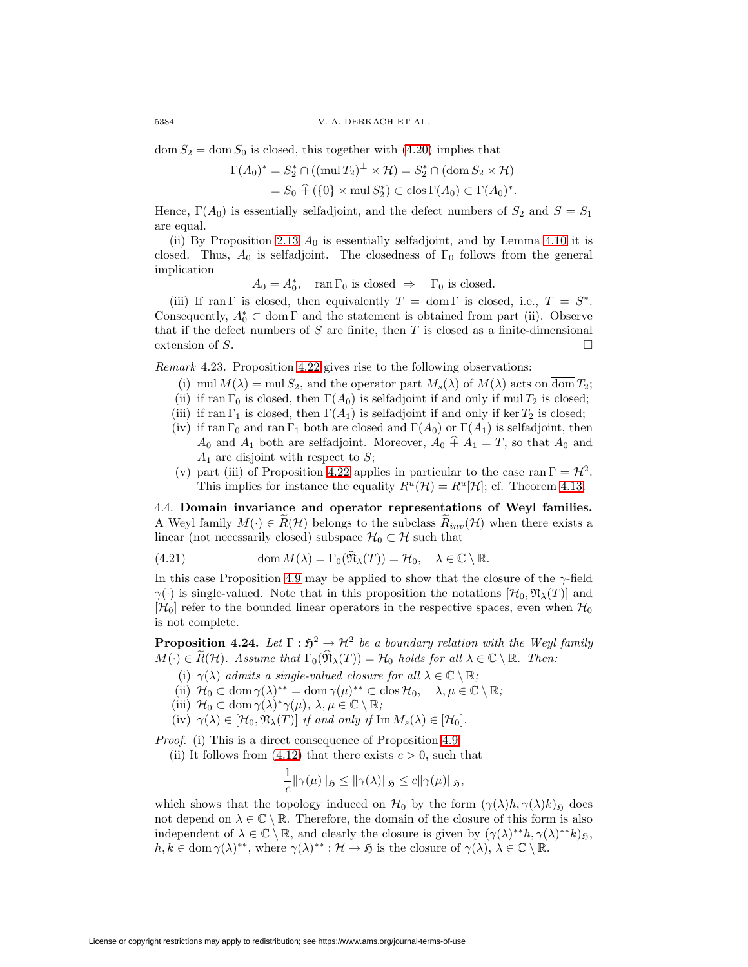$dom S_2 = dom S_0$  is closed, this together with [\(4.20\)](#page-32-2) implies that

$$
\Gamma(A_0)^* = S_2^* \cap ((\text{mul } T_2)^{\perp} \times \mathcal{H}) = S_2^* \cap (\text{dom } S_2 \times \mathcal{H})
$$
  
=  $S_0 \hat{+} (\{0\} \times \text{mul } S_2^*) \subset \text{clos } \Gamma(A_0) \subset \Gamma(A_0)^*.$ 

Hence,  $\Gamma(A_0)$  is essentially selfadjoint, and the defect numbers of  $S_2$  and  $S = S_1$ are equal.

(ii) By Proposition [2.13](#page-14-3)  $A_0$  is essentially selfadjoint, and by Lemma [4.10](#page-27-3) it is closed. Thus,  $A_0$  is selfadjoint. The closedness of  $\Gamma_0$  follows from the general implication

 $A_0 = A_0^*$ ,  $\text{ran } \Gamma_0 \text{ is closed } \Rightarrow \Gamma_0 \text{ is closed.}$ 

(iii) If ran Γ is closed, then equivalently  $T = \text{dom } \Gamma$  is closed, i.e.,  $T = S^*$ . Consequently,  $A_0^* \subset \text{dom } \Gamma$  and the statement is obtained from part (ii). Observe that if the defect numbers of  $S$  are finite, then  $T$  is closed as a finite-dimensional extension of S.

<span id="page-33-0"></span>Remark 4.23. Proposition [4.22](#page-32-3) gives rise to the following observations:

- (i) mul  $M(\lambda) = \text{mul } S_2$ , and the operator part  $M_s(\lambda)$  of  $M(\lambda)$  acts on dom  $T_2$ ;
- (ii) if ran  $\Gamma_0$  is closed, then  $\Gamma(A_0)$  is selfadjoint if and only if mul  $T_2$  is closed;
- (iii) if ran  $\Gamma_1$  is closed, then  $\Gamma(A_1)$  is selfadjoint if and only if ker  $T_2$  is closed;
- (iv) if ran  $\Gamma_0$  and ran  $\Gamma_1$  both are closed and  $\Gamma(A_0)$  or  $\Gamma(A_1)$  is selfadjoint, then  $A_0$  and  $A_1$  both are selfadjoint. Moreover,  $A_0 \hat{+} A_1 = T$ , so that  $A_0$  and  $A_1$  are disjoint with respect to S;
- <span id="page-33-1"></span>(v) part (iii) of Proposition [4.22](#page-32-3) applies in particular to the case ran  $\Gamma = \mathcal{H}^2$ . This implies for instance the equality  $R^u(\mathcal{H}) = R^u[\mathcal{H}]$ ; cf. Theorem [4.13.](#page-29-0)

4.4. **Domain invariance and operator representations of Weyl families.** A Weyl family  $M(\cdot) \in \widetilde{R}(\mathcal{H})$  belongs to the subclass  $\widetilde{R}_{inv}(\mathcal{H})$  when there exists a linear (not necessarily closed) subspace  $\mathcal{H}_0 \subset \mathcal{H}$  such that

(4.21) 
$$
\operatorname{dom} M(\lambda) = \Gamma_0(\widehat{\mathfrak{N}}_{\lambda}(T)) = \mathcal{H}_0, \quad \lambda \in \mathbb{C} \setminus \mathbb{R}.
$$

In this case Proposition [4.9](#page-27-4) may be applied to show that the closure of the  $\gamma$ -field  $\gamma(\cdot)$  is single-valued. Note that in this proposition the notations  $[\mathcal{H}_0, \mathfrak{N}_\lambda(T)]$  and  $[\mathcal{H}_0]$  refer to the bounded linear operators in the respective spaces, even when  $\mathcal{H}_0$ is not complete.

<span id="page-33-2"></span>**Proposition 4.24.** Let  $\Gamma : \mathfrak{H}^2 \to \mathcal{H}^2$  be a boundary relation with the Weyl family  $M(\cdot) \in \widetilde{R}(\mathcal{H})$ . Assume that  $\Gamma_0(\widehat{\mathfrak{N}}_{\lambda}(T)) = \mathcal{H}_0$  holds for all  $\lambda \in \mathbb{C} \setminus \mathbb{R}$ . Then:

- (i)  $\gamma(\lambda)$  admits a single-valued closure for all  $\lambda \in \mathbb{C} \setminus \mathbb{R}$ ;
- (ii)  $\mathcal{H}_0 \subset \text{dom } \gamma(\lambda)^{**} = \text{dom } \gamma(\mu)^{**} \subset \text{clos } \mathcal{H}_0, \quad \lambda, \mu \in \mathbb{C} \setminus \mathbb{R};$
- (iii)  $\mathcal{H}_0 \subset \text{dom } \gamma(\lambda)^* \gamma(\mu), \lambda, \mu \in \mathbb{C} \setminus \mathbb{R};$
- (iv)  $\gamma(\lambda) \in [\mathcal{H}_0, \mathfrak{N}_{\lambda}(T)]$  if and only if Im  $M_s(\lambda) \in [\mathcal{H}_0]$ .

Proof. (i) This is a direct consequence of Proposition [4.9.](#page-27-4)

(ii) It follows from [\(4.12\)](#page-28-2) that there exists  $c > 0$ , such that

$$
\frac{1}{c} \|\gamma(\mu)\|_{\mathfrak{H}} \le \|\gamma(\lambda)\|_{\mathfrak{H}} \le c \|\gamma(\mu)\|_{\mathfrak{H}},
$$

which shows that the topology induced on  $\mathcal{H}_0$  by the form  $(\gamma(\lambda)h, \gamma(\lambda)k)$ <sub>5</sub> does not depend on  $\lambda \in \mathbb{C} \setminus \mathbb{R}$ . Therefore, the domain of the closure of this form is also independent of  $\lambda \in \mathbb{C} \setminus \mathbb{R}$ , and clearly the closure is given by  $(\gamma(\lambda)^* h, \gamma(\lambda)^* k)$  $h, k \in \text{dom } \gamma(\lambda)^{**}$ , where  $\gamma(\lambda)^{**} : \mathcal{H} \to \mathfrak{H}$  is the closure of  $\gamma(\lambda), \lambda \in \mathbb{C} \setminus \mathbb{R}$ .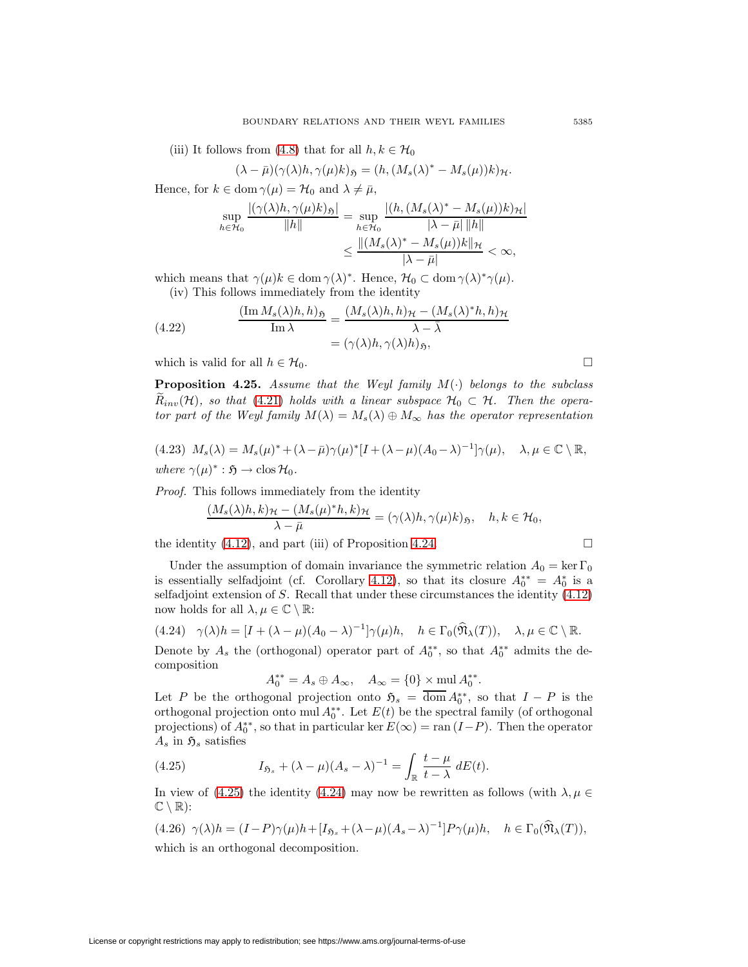(iii) It follows from [\(4.8\)](#page-26-3) that for all  $h, k \in \mathcal{H}_0$ 

$$
(\lambda - \bar{\mu})(\gamma(\lambda)h, \gamma(\mu)k)_{\mathfrak{H}} = (h, (M_s(\lambda)^* - M_s(\mu))k)_{\mathcal{H}}.
$$

Hence, for  $k \in \text{dom } \gamma(\mu) = \mathcal{H}_0$  and  $\lambda \neq \bar{\mu}$ ,

<span id="page-34-4"></span>
$$
\sup_{h \in \mathcal{H}_0} \frac{\left| (\gamma(\lambda)h, \gamma(\mu)k)_{\mathfrak{H}} \right|}{\|h\|} = \sup_{h \in \mathcal{H}_0} \frac{\left| (h, (M_s(\lambda)^* - M_s(\mu))k)_{\mathcal{H}} \right|}{\|\lambda - \bar{\mu}\| \|h\|}
$$

$$
\leq \frac{\left| \left| (M_s(\lambda)^* - M_s(\mu))k \right|_{\mathcal{H}}}{\|\lambda - \bar{\mu}\|} < \infty,
$$

which means that  $\gamma(\mu)k \in \text{dom } \gamma(\lambda)^*$ . Hence,  $\mathcal{H}_0 \subset \text{dom } \gamma(\lambda)^* \gamma(\mu)$ .

(iv) This follows immediately from the identity

(4.22) 
$$
\frac{(\text{Im } M_s(\lambda)h, h)_{\mathfrak{H}}}{\text{Im } \lambda} = \frac{(M_s(\lambda)h, h)_{\mathcal{H}} - (M_s(\lambda)^*h, h)_{\mathcal{H}}}{\lambda - \bar{\lambda}}
$$

$$
= (\gamma(\lambda)h, \gamma(\lambda)h)_{\mathfrak{H}},
$$

which is valid for all  $h \in \mathcal{H}_0$ .

**Proposition 4.25.** Assume that the Weyl family  $M(\cdot)$  belongs to the subclass  $R_{inv}(\mathcal{H})$ , so that [\(4.21\)](#page-33-1) holds with a linear subspace  $\mathcal{H}_0 \subset \mathcal{H}$ . Then the operator part of the Weyl family  $M(\lambda) = M_s(\lambda) \oplus M_\infty$  has the operator representation

<span id="page-34-2"></span>(4.23) 
$$
M_s(\lambda) = M_s(\mu)^* + (\lambda - \bar{\mu})\gamma(\mu)^*[I + (\lambda - \mu)(A_0 - \lambda)^{-1}]\gamma(\mu), \quad \lambda, \mu \in \mathbb{C} \setminus \mathbb{R},
$$
  
where  $\gamma(\mu)^* : \mathfrak{H} \to \text{clos } \mathcal{H}_0$ .

Proof. This follows immediately from the identity

$$
\frac{(M_s(\lambda)h, k)_{\mathcal{H}} - (M_s(\mu)^*h, k)_{\mathcal{H}}}{\lambda - \bar{\mu}} = (\gamma(\lambda)h, \gamma(\mu)k)_{\mathfrak{H}}, \quad h, k \in \mathcal{H}_0,
$$

the identity  $(4.12)$ , and part  $(iii)$  of Proposition [4.24.](#page-33-2)

Under the assumption of domain invariance the symmetric relation 
$$
A_0 = \ker \Gamma_0
$$
 is essentially selfadjoint (cf. Corollary 4.12), so that its closure  $A_0^{**} = A_0^*$  is a selfadjoint extension of *S*. Recall that under these circumstances the identity (4.12) now holds for all  $\lambda, \mu \in \mathbb{C} \setminus \mathbb{R}$ :

$$
(4.24) \quad \gamma(\lambda)h = [I + (\lambda - \mu)(A_0 - \lambda)^{-1}]\gamma(\mu)h, \quad h \in \Gamma_0(\widehat{\mathfrak{N}}_{\lambda}(T)), \quad \lambda, \mu \in \mathbb{C} \setminus \mathbb{R}.
$$

Denote by  $A_s$  the (orthogonal) operator part of  $A_0^{**}$ , so that  $A_0^{**}$  admits the decomposition

<span id="page-34-1"></span>
$$
A_0^{**} = A_s \oplus A_{\infty}, \quad A_{\infty} = \{0\} \times \text{mul } A_0^{**}.
$$

Let P be the orthogonal projection onto  $\mathfrak{H}_s = \text{dom } A_0^{**}$ , so that  $I - P$  is the orthogonal projection onto mul  $A_0^{**}$ . Let  $E(t)$  be the spectral family (of orthogonal projections) of  $A_0^{**}$ , so that in particular ker  $E(\infty) = \text{ran} (I - P)$ . Then the operator  $A_s$  in  $\mathfrak{H}_s$  satisfies

<span id="page-34-0"></span>(4.25) 
$$
I_{\mathfrak{H}_s} + (\lambda - \mu)(A_s - \lambda)^{-1} = \int_{\mathbb{R}} \frac{t - \mu}{t - \lambda} dE(t).
$$

<span id="page-34-3"></span>In view of [\(4.25\)](#page-34-0) the identity [\(4.24\)](#page-34-1) may now be rewritten as follows (with  $\lambda, \mu \in$  $\mathbb{C} \setminus \mathbb{R}$ :

(4.26) 
$$
\gamma(\lambda)h = (I - P)\gamma(\mu)h + [I_{\mathfrak{H}_s} + (\lambda - \mu)(A_s - \lambda)^{-1}]P\gamma(\mu)h
$$
,  $h \in \Gamma_0(\widehat{\mathfrak{N}}_{\lambda}(T))$ , which is an orthogonal decomposition.

 $\Box$ 

 $\Box$ 

License or copyright restrictions may apply to redistribution; see https://www.ams.org/journal-terms-of-use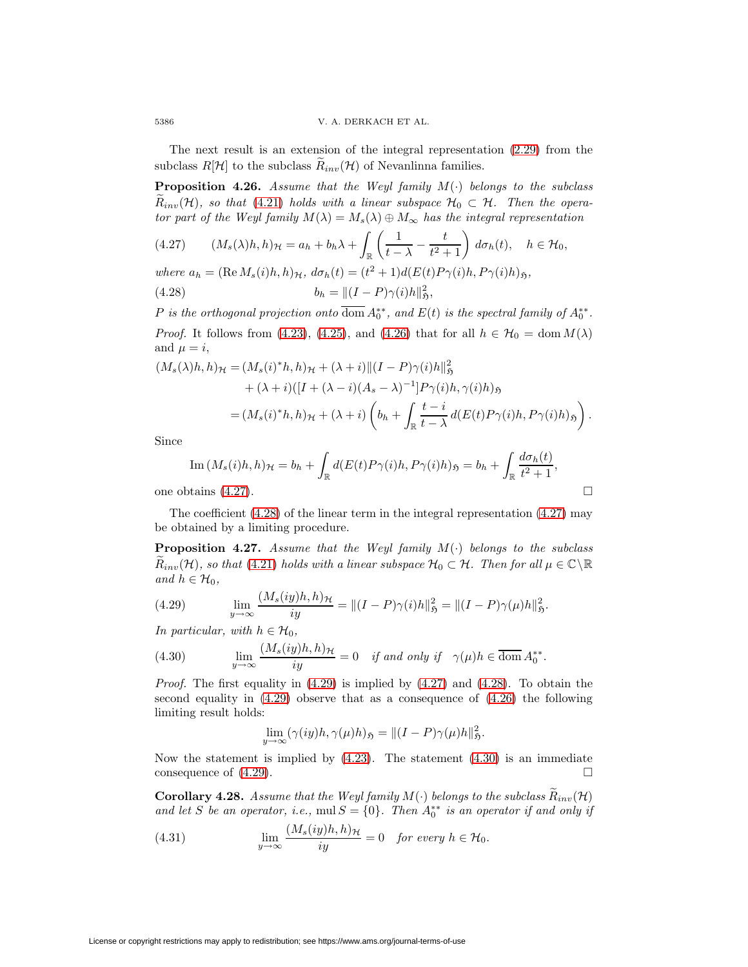The next result is an extension of the integral representation [\(2.29\)](#page-17-5) from the subclass  $R[\mathcal{H}]$  to the subclass  $\widetilde{R}_{inv}(\mathcal{H})$  of Nevanlinna families.

**Proposition 4.26.** Assume that the Weyl family  $M(\cdot)$  belongs to the subclass  $R_{inv}(\mathcal{H})$ , so that [\(4.21\)](#page-33-1) holds with a linear subspace  $\mathcal{H}_0 \subset \mathcal{H}$ . Then the operator part of the Weyl family  $M(\lambda) = M_s(\lambda) \oplus M_\infty$  has the integral representation

$$
(4.27) \qquad (M_s(\lambda)h, h)_{\mathcal{H}} = a_h + b_h \lambda + \int_{\mathbb{R}} \left( \frac{1}{t - \lambda} - \frac{t}{t^2 + 1} \right) d\sigma_h(t), \quad h \in \mathcal{H}_0,
$$

where  $a_h = (\text{Re } M_s(i)h, h)_{\mathcal{H}}$ ,  $d\sigma_h(t) = (t^2 + 1)d(E(t)P_{\gamma}(i)h, P_{\gamma}(i)h)_{\mathfrak{H}}$ , (4.28)  $b_h = ||(I - P)\gamma(i)h||_2^2,$ 

P is the orthogonal projection onto dom  $A_0^{**}$ , and  $E(t)$  is the spectral family of  $A_0^{**}$ . *Proof.* It follows from [\(4.23\)](#page-34-2), [\(4.25\)](#page-34-0), and [\(4.26\)](#page-34-3) that for all  $h \in \mathcal{H}_0 = \text{dom } M(\lambda)$ and  $\mu = i$ ,

$$
(M_s(\lambda)h, h)_{\mathcal{H}} = (M_s(i)^*h, h)_{\mathcal{H}} + (\lambda + i) \|(I - P)\gamma(i)h\|_{\mathfrak{H}}^2 + (\lambda + i)([I + (\lambda - i)(A_s - \lambda)^{-1}]P\gamma(i)h, \gamma(i)h)_{\mathfrak{H}} = (M_s(i)^*h, h)_{\mathcal{H}} + (\lambda + i)\left(b_h + \int_{\mathbb{R}} \frac{t - i}{t - \lambda} d(E(t)P\gamma(i)h, P\gamma(i)h)_{\mathfrak{H}}\right).
$$

Since

Im 
$$
(M_s(i)h, h)_{\mathcal{H}} = b_h + \int_{\mathbb{R}} d(E(t)P_{\gamma}(i)h, P_{\gamma}(i)h)_{\mathfrak{H}} = b_h + \int_{\mathbb{R}} \frac{d\sigma_h(t)}{t^2 + 1}
$$
,

<span id="page-35-1"></span><span id="page-35-0"></span> $\Box$ 

one obtains  $(4.27)$ .

<span id="page-35-4"></span>The coefficient [\(4.28\)](#page-35-1) of the linear term in the integral representation [\(4.27\)](#page-35-0) may be obtained by a limiting procedure.

**Proposition 4.27.** Assume that the Weyl family  $M(\cdot)$  belongs to the subclass  $R_{inv}(\mathcal{H})$ , so that [\(4.21\)](#page-33-1) holds with a linear subspace  $\mathcal{H}_0 \subset \mathcal{H}$ . Then for all  $\mu \in \mathbb{C} \backslash \mathbb{R}$ and  $h \in \mathcal{H}_0$ ,

<span id="page-35-2"></span>(4.29) 
$$
\lim_{y \to \infty} \frac{(M_s(iy)h, h)_{\mathcal{H}}}{iy} = ||(I - P)\gamma(i)h||_{\mathfrak{H}}^2 = ||(I - P)\gamma(\mu)h||_{\mathfrak{H}}^2.
$$

<span id="page-35-3"></span>In particular, with  $h \in \mathcal{H}_0$ ,

(4.30) 
$$
\lim_{y \to \infty} \frac{(M_s(iy)h, h)_{\mathcal{H}}}{iy} = 0 \quad \text{if and only if} \quad \gamma(\mu)h \in \overline{\text{dom}} A_0^{**}.
$$

*Proof.* The first equality in  $(4.29)$  is implied by  $(4.27)$  and  $(4.28)$ . To obtain the second equality in [\(4.29\)](#page-35-2) observe that as a consequence of [\(4.26\)](#page-34-3) the following limiting result holds:

<span id="page-35-5"></span>
$$
\lim_{y \to \infty} (\gamma(iy)h, \gamma(\mu)h)_{\mathfrak{H}} = ||(I - P)\gamma(\mu)h||_{\mathfrak{H}}^2.
$$

Now the statement is implied by  $(4.23)$ . The statement  $(4.30)$  is an immediate consequence of  $(4.29)$ .

**Corollary 4.28.** Assume that the Weyl family  $M(\cdot)$  belongs to the subclass  $\hat{R}_{inv}(H)$ and let S be an operator, i.e., mul  $S = \{0\}$ . Then  $A_0^{**}$  is an operator if and only if

(4.31) 
$$
\lim_{y \to \infty} \frac{(M_s(iy)h, h)_{\mathcal{H}}}{iy} = 0 \text{ for every } h \in \mathcal{H}_0.
$$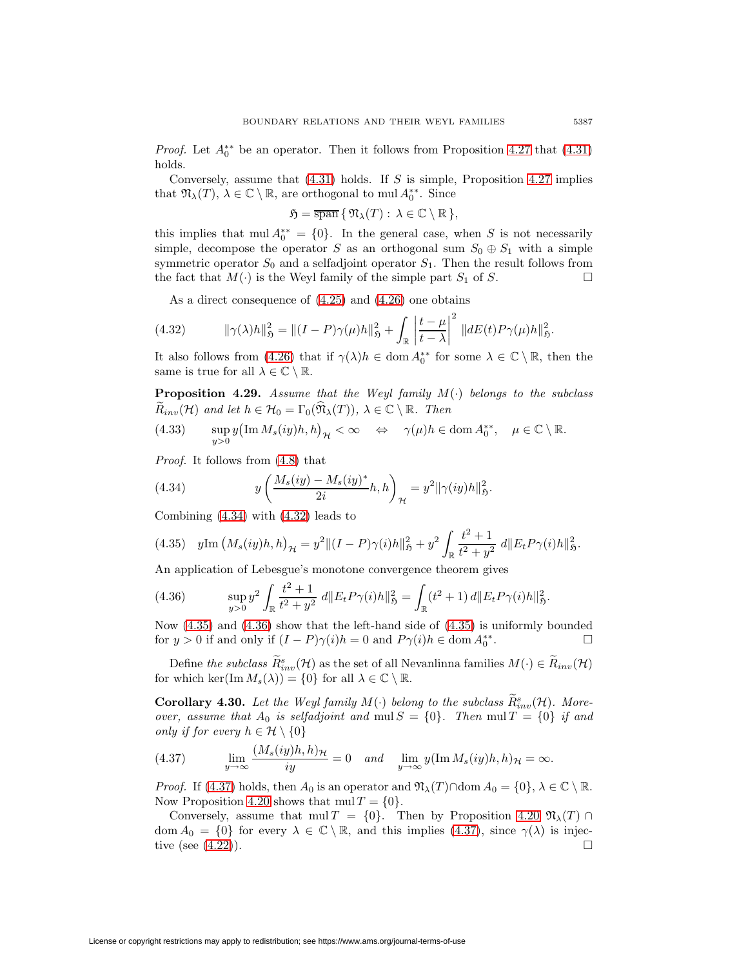*Proof.* Let  $A_0^{**}$  be an operator. Then it follows from Proposition [4.27](#page-35-4) that [\(4.31\)](#page-35-5) holds.

Conversely, assume that  $(4.31)$  holds. If S is simple, Proposition [4.27](#page-35-4) implies that  $\mathfrak{N}_{\lambda}(T), \lambda \in \mathbb{C} \setminus \mathbb{R}$ , are orthogonal to mul  $A_0^{**}$ . Since

<span id="page-36-1"></span>
$$
\mathfrak{H} = \overline{\operatorname{span}} \{ \, \mathfrak{N}_{\lambda}(T) : \, \lambda \in \mathbb{C} \setminus \mathbb{R} \, \},
$$

this implies that mul  $A_0^{**} = \{0\}$ . In the general case, when S is not necessarily simple, decompose the operator S as an orthogonal sum  $S_0 \oplus S_1$  with a simple symmetric operator  $S_0$  and a selfadjoint operator  $S_1$ . Then the result follows from the fact that  $M(\cdot)$  is the Weyl family of the simple part  $S_1$  of S.  $\Box$ 

As a direct consequence of [\(4.25\)](#page-34-0) and [\(4.26\)](#page-34-3) one obtains

(4.32) 
$$
\|\gamma(\lambda)h\|_{\mathfrak{H}}^2 = \|(I - P)\gamma(\mu)h\|_{\mathfrak{H}}^2 + \int_{\mathbb{R}} \left|\frac{t - \mu}{t - \lambda}\right|^2 \|dE(t)P\gamma(\mu)h\|_{\mathfrak{H}}^2.
$$

<span id="page-36-5"></span>It also follows from [\(4.26\)](#page-34-3) that if  $\gamma(\lambda)h \in \text{dom } A_0^{**}$  for some  $\lambda \in \mathbb{C} \setminus \mathbb{R}$ , then the same is true for all  $\lambda \in \mathbb{C} \setminus \mathbb{R}$ .

**Proposition 4.29.** Assume that the Weyl family  $M(\cdot)$  belongs to the subclass  $R_{inv}(\mathcal{H})$  and let  $h \in \mathcal{H}_0 = \Gamma_0(\mathfrak{N}_\lambda(T)), \lambda \in \mathbb{C} \setminus \mathbb{R}$ . Then

(4.33) 
$$
\sup_{y>0} y(\text{Im }M_s(iy)h, h)_{\mathcal{H}} < \infty \quad \Leftrightarrow \quad \gamma(\mu)h \in \text{dom }A_0^{**}, \quad \mu \in \mathbb{C} \setminus \mathbb{R}.
$$

<span id="page-36-0"></span>Proof. It follows from [\(4.8\)](#page-26-3) that

(4.34) 
$$
y\left(\frac{M_s(iy) - M_s(iy)^*}{2i}h, h\right)_{\mathcal{H}} = y^2 \|\gamma(iy)h\|_{\mathfrak{H}}^2.
$$

<span id="page-36-2"></span>Combining [\(4.34\)](#page-36-0) with [\(4.32\)](#page-36-1) leads to

$$
(4.35) \quad y \text{Im}\left(M_s(iy)h, h\right)_{\mathcal{H}} = y^2 \|(I - P)\gamma(i)h\|_{\mathfrak{H}}^2 + y^2 \int_{\mathbb{R}} \frac{t^2 + 1}{t^2 + y^2} \, d\|E_t P \gamma(i)h\|_{\mathfrak{H}}^2.
$$

<span id="page-36-3"></span>An application of Lebesgue's monotone convergence theorem gives

(4.36) 
$$
\sup_{y>0} y^2 \int_{\mathbb{R}} \frac{t^2+1}{t^2+y^2} d\|E_t P \gamma(i)h\|_{\mathfrak{H}}^2 = \int_{\mathbb{R}} (t^2+1) d\|E_t P \gamma(i)h\|_{\mathfrak{H}}^2.
$$

Now [\(4.35\)](#page-36-2) and [\(4.36\)](#page-36-3) show that the left-hand side of [\(4.35\)](#page-36-2) is uniformly bounded for  $y > 0$  if and only if  $(I - P)\gamma(i)h = 0$  and  $P\gamma(i)h \in \text{dom } A_0^{**}$ .

Define the subclass  $\tilde{R}_{inv}^s(\mathcal{H})$  as the set of all Nevanlinna families  $M(\cdot) \in \tilde{R}_{inv}(\mathcal{H})$ for which ker $(\text{Im } M_s(\lambda)) = \{0\}$  for all  $\lambda \in \mathbb{C} \setminus \mathbb{R}$ .

**Corollary 4.30.** Let the Weyl family  $M(\cdot)$  belong to the subclass  $\tilde{R}_{inv}^s(\mathcal{H})$ . Moreover, assume that  $A_0$  is selfadjoint and mul  $S = \{0\}$ . Then mul  $T = \{0\}$  if and only if for every  $h \in \mathcal{H} \setminus \{0\}$ 

<span id="page-36-4"></span>(4.37) 
$$
\lim_{y \to \infty} \frac{(M_s(iy)h, h)_{\mathcal{H}}}{iy} = 0 \quad and \quad \lim_{y \to \infty} y(\operatorname{Im} M_s(iy)h, h)_{\mathcal{H}} = \infty.
$$

*Proof.* If [\(4.37\)](#page-36-4) holds, then  $A_0$  is an operator and  $\mathfrak{N}_{\lambda}(T) \cap \text{dom } A_0 = \{0\}, \lambda \in \mathbb{C} \setminus \mathbb{R}$ . Now Proposition [4.20](#page-31-2) shows that  $mul T = \{0\}.$ 

Conversely, assume that mul T = {0}. Then by Proposition [4.20](#page-31-2)  $\mathfrak{N}_{\lambda}(T) \cap$ dom  $A_0 = \{0\}$  for every  $\lambda \in \mathbb{C} \setminus \mathbb{R}$ , and this implies  $(4.37)$ , since  $\gamma(\lambda)$  is injective (see  $(4.22)$ ).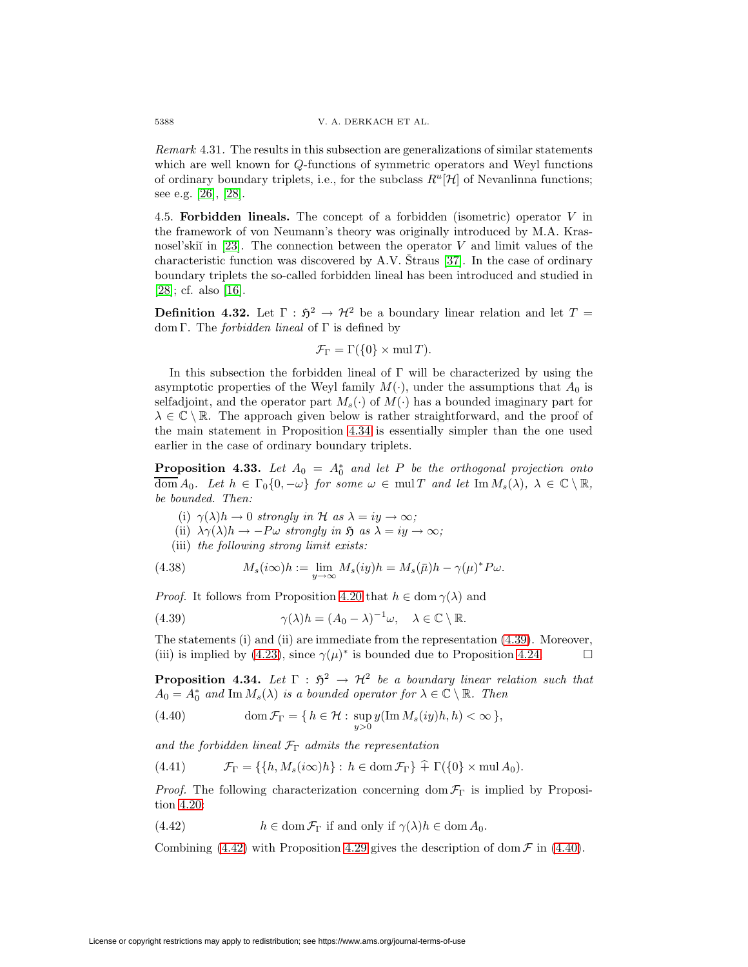Remark 4.31. The results in this subsection are generalizations of similar statements which are well known for Q-functions of symmetric operators and Weyl functions of ordinary boundary triplets, i.e., for the subclass  $R^u[\mathcal{H}]$  of Nevanlinna functions; see e.g. [\[26\]](#page-49-5), [\[28\]](#page-49-2).

4.5. **Forbidden lineals.** The concept of a forbidden (isometric) operator V in the framework of von Neumann's theory was originally introduced by M.A. Krasnosel'ski $\check{\mathbf{i}}$  in [\[23\]](#page-48-21). The connection between the operator V and limit values of the characteristic function was discovered by A.V. Straus  $[37]$ . In the case of ordinary boundary triplets the so-called forbidden lineal has been introduced and studied in [\[28\]](#page-49-2); cf. also [\[16\]](#page-48-2).

**Definition 4.32.** Let  $\Gamma : \mathfrak{H}^2 \to \mathcal{H}^2$  be a boundary linear relation and let  $T =$ dom Γ. The *forbidden lineal* of Γ is defined by

$$
\mathcal{F}_{\Gamma} = \Gamma(\{0\} \times \text{mul } T).
$$

In this subsection the forbidden lineal of  $\Gamma$  will be characterized by using the asymptotic properties of the Weyl family  $M(\cdot)$ , under the assumptions that  $A_0$  is selfadjoint, and the operator part  $M_s(\cdot)$  of  $M(\cdot)$  has a bounded imaginary part for  $\lambda \in \mathbb{C} \setminus \mathbb{R}$ . The approach given below is rather straightforward, and the proof of the main statement in Proposition [4.34](#page-37-0) is essentially simpler than the one used earlier in the case of ordinary boundary triplets.

<span id="page-37-4"></span>**Proposition 4.33.** Let  $A_0 = A_0^*$  and let P be the orthogonal projection onto  $\overline{\text{dom}} A_0$ . Let  $h \in \Gamma_0\{0, -\omega\}$  for some  $\omega \in \text{mul } T$  and let  $\text{Im } M_s(\lambda)$ ,  $\lambda \in \mathbb{C} \setminus \mathbb{R}$ , be bounded. Then:

- (i)  $\gamma(\lambda)h \to 0$  strongly in H as  $\lambda = iy \to \infty$ ;
- <span id="page-37-1"></span>(ii)  $\lambda \gamma(\lambda) h \rightarrow -P\omega$  strongly in  $\mathfrak{H}$  as  $\lambda = iy \rightarrow \infty$ ;
- (iii) the following strong limit exists:

(4.38) 
$$
M_s(i\infty)h := \lim_{y \to \infty} M_s(iy)h = M_s(\bar{\mu})h - \gamma(\mu)^* P\omega.
$$

*Proof.* It follows from Proposition [4.20](#page-31-2) that  $h \in \text{dom } \gamma(\lambda)$  and

(4.39) 
$$
\gamma(\lambda)h = (A_0 - \lambda)^{-1}\omega, \quad \lambda \in \mathbb{C} \setminus \mathbb{R}.
$$

The statements (i) and (ii) are immediate from the representation [\(4.39\)](#page-37-1). Moreover, (iii) is implied by [\(4.23\)](#page-34-2), since  $\gamma(\mu)^*$  is bounded due to Proposition [4.24.](#page-33-2)  $\Box$ 

<span id="page-37-3"></span><span id="page-37-0"></span>**Proposition 4.34.** Let  $\Gamma : \mathfrak{H}^2 \to \mathcal{H}^2$  be a boundary linear relation such that  $A_0 = A_0^*$  and  $\text{Im } M_s(\lambda)$  is a bounded operator for  $\lambda \in \mathbb{C} \setminus \mathbb{R}$ . Then

(4.40) 
$$
\operatorname{dom} \mathcal{F}_{\Gamma} = \{ h \in \mathcal{H} : \sup_{y>0} y(\operatorname{Im} M_s(iy)h, h) < \infty \},
$$

and the forbidden lineal  $\mathcal{F}_{\Gamma}$  admits the representation

<span id="page-37-5"></span>
$$
(4.41) \t\t \mathcal{F}_{\Gamma} = \{ \{ h, M_s(i\infty)h \} : h \in \text{dom}\,\mathcal{F}_{\Gamma} \} \hat{+} \Gamma(\{0\} \times \text{mul}\,A_0).
$$

<span id="page-37-2"></span>*Proof.* The following characterization concerning dom  $\mathcal{F}_{\Gamma}$  is implied by Proposition [4.20:](#page-31-2)

(4.42)  $h \in \text{dom } \mathcal{F}_{\Gamma}$  if and only if  $\gamma(\lambda)h \in \text{dom } A_0$ .

Combining [\(4.42\)](#page-37-2) with Proposition [4.29](#page-36-5) gives the description of dom  $\mathcal F$  in [\(4.40\)](#page-37-3).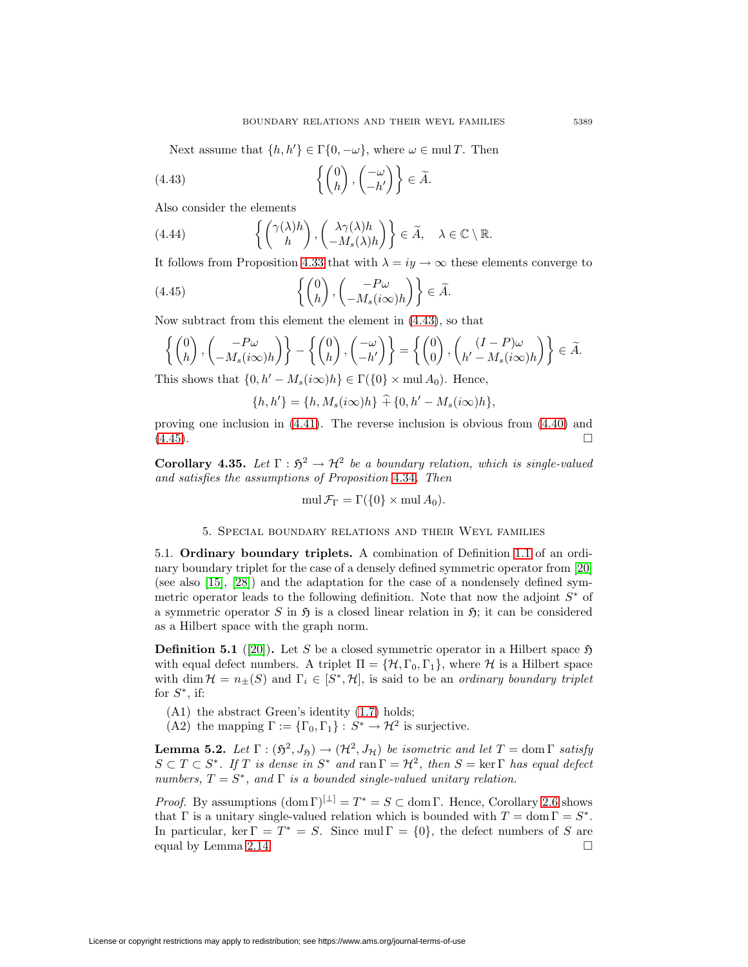Next assume that  $\{h, h'\} \in \Gamma\{0, -\omega\}$ , where  $\omega \in \text{mul } T$ . Then

(4.43) 
$$
\left\{ \begin{pmatrix} 0 \\ h \end{pmatrix}, \begin{pmatrix} -\omega \\ -h' \end{pmatrix} \right\} \in \widetilde{A}.
$$

Also consider the elements

(4.44) 
$$
\left\{ \begin{pmatrix} \gamma(\lambda)h \\ h \end{pmatrix}, \begin{pmatrix} \lambda \gamma(\lambda)h \\ -M_s(\lambda)h \end{pmatrix} \right\} \in \widetilde{A}, \quad \lambda \in \mathbb{C} \setminus \mathbb{R}.
$$

It follows from Proposition [4.33](#page-37-4) that with  $\lambda = iy \rightarrow \infty$  these elements converge to

(4.45) 
$$
\left\{ \begin{pmatrix} 0 \\ h \end{pmatrix}, \begin{pmatrix} -P\omega \\ -M_s(i\infty)h \end{pmatrix} \right\} \in \widetilde{A}.
$$

Now subtract from this element the element in [\(4.43\)](#page-38-2), so that

$$
\left\{ \begin{pmatrix} 0 \\ h \end{pmatrix}, \begin{pmatrix} -P\omega \\ -M_s(i\infty)h \end{pmatrix} \right\} - \left\{ \begin{pmatrix} 0 \\ h \end{pmatrix}, \begin{pmatrix} -\omega \\ -h' \end{pmatrix} \right\} = \left\{ \begin{pmatrix} 0 \\ 0 \end{pmatrix}, \begin{pmatrix} (I-P)\omega \\ h'-M_s(i\infty)h \end{pmatrix} \right\} \in \widetilde{A}.
$$

This shows that  $\{0, h' - M_s(i\infty)h\} \in \Gamma(\{0\} \times \text{mul } A_0)$ . Hence,

$$
\{h, h'\} = \{h, M_s(i\infty)h\} + \{0, h' - M_s(i\infty)h\},\
$$

proving one inclusion in [\(4.41\)](#page-37-5). The reverse inclusion is obvious from [\(4.40\)](#page-37-3) and  $(4.45)$ .

**Corollary 4.35.** Let  $\Gamma : \mathfrak{H}^2 \to \mathcal{H}^2$  be a boundary relation, which is single-valued and satisfies the assumptions of Proposition [4.34](#page-37-0). Then

$$
\operatorname{mul}\mathcal{F}_{\Gamma}=\Gamma(\{0\}\times\operatorname{mul} A_0).
$$

# 5. Special boundary relations and their Weyl families

<span id="page-38-0"></span>5.1. **Ordinary boundary triplets.** A combination of Definition [1.1](#page-0-0) of an ordinary boundary triplet for the case of a densely defined symmetric operator from [\[20\]](#page-48-0) (see also [\[15\]](#page-48-1), [\[28\]](#page-49-2)) and the adaptation for the case of a nondensely defined symmetric operator leads to the following definition. Note that now the adjoint  $S^*$  of a symmetric operator S in  $\mathfrak H$  is a closed linear relation in  $\mathfrak H$ ; it can be considered as a Hilbert space with the graph norm.

<span id="page-38-5"></span>**Definition 5.1** ([\[20\]](#page-48-0)). Let S be a closed symmetric operator in a Hilbert space  $\mathfrak{H}$ with equal defect numbers. A triplet  $\Pi = \{H, \Gamma_0, \Gamma_1\}$ , where H is a Hilbert space with dim  $\mathcal{H} = n_{\pm}(S)$  and  $\Gamma_i \in [S^*, \mathcal{H}]$ , is said to be an *ordinary boundary triplet* for  $S^*$ , if:

- (A1) the abstract Green's identity [\(1.7\)](#page-2-4) holds;
- (A2) the mapping  $\Gamma := {\Gamma_0, \Gamma_1} : S^* \to \mathcal{H}^2$  is surjective.

<span id="page-38-4"></span>**Lemma 5.2.** Let  $\Gamma : (\mathfrak{H}^2, J_{\mathfrak{H}}) \to (\mathcal{H}^2, J_{\mathcal{H}})$  be isometric and let  $T = \text{dom }\Gamma$  satisfy  $S \subset T \subset S^*$ . If T is dense in  $S^*$  and  $\text{ran } \Gamma = \mathcal{H}^2$ , then  $S = \text{ker } \Gamma$  has equal defect numbers,  $T = S^*$ , and  $\Gamma$  is a bounded single-valued unitary relation.

<span id="page-38-1"></span>*Proof.* By assumptions  $(\text{dom }\Gamma)^{[\perp]} = T^* = S \subset \text{dom }\Gamma$ . Hence, Corollary [2.6](#page-11-5) shows that Γ is a unitary single-valued relation which is bounded with  $T = \text{dom }\Gamma = S^*$ . In particular, ker  $\Gamma = T^* = S$ . Since mul  $\Gamma = \{0\}$ , the defect numbers of S are equal by Lemma [2.14.](#page-15-4)  $\Box$ 

<span id="page-38-3"></span><span id="page-38-2"></span>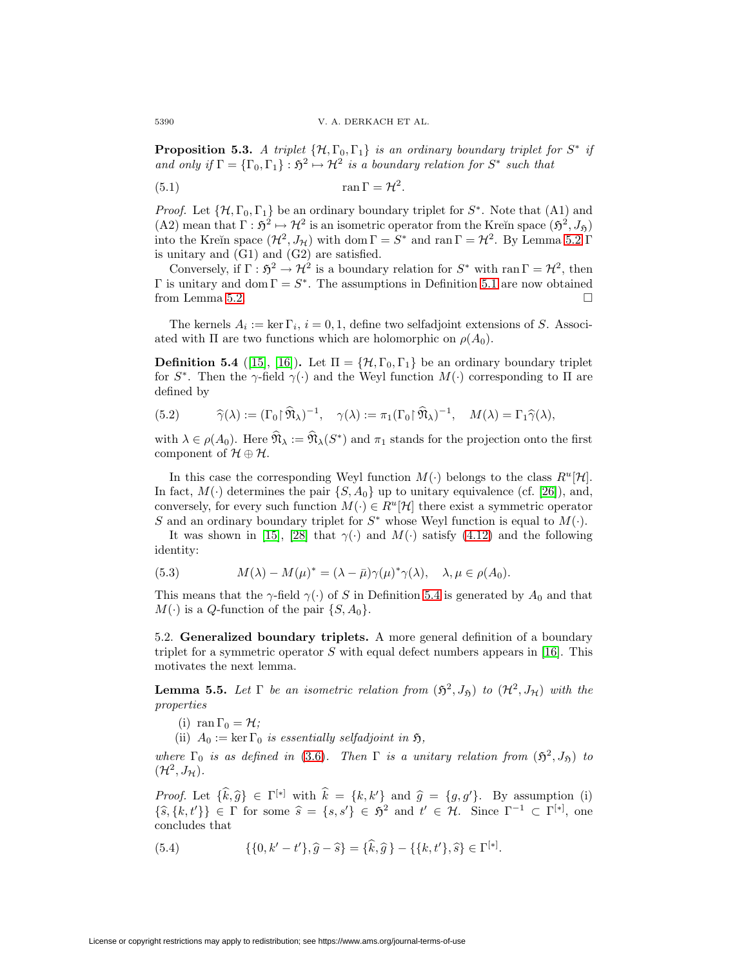**Proposition 5.3.** A triplet  $\{\mathcal{H}, \Gamma_0, \Gamma_1\}$  is an ordinary boundary triplet for  $S^*$  if and only if  $\Gamma = {\{\Gamma_0,\Gamma_1\}} : \mathfrak{H}^2 \mapsto \mathcal{H}^2$  is a boundary relation for  $S^*$  such that

(5.1) 
$$
\operatorname{ran} \Gamma = \mathcal{H}^2.
$$

*Proof.* Let  $\{\mathcal{H}, \Gamma_0, \Gamma_1\}$  be an ordinary boundary triplet for  $S^*$ . Note that (A1) and (A2) mean that  $\Gamma : \mathfrak{H}^2 \mapsto \mathcal{H}^2$  is an isometric operator from the Kreĭn space  $(\mathfrak{H}^2, J_{\mathfrak{H}})$ into the Kreĭn space  $(\mathcal{H}^2, J_{\mathcal{H}})$  with dom  $\Gamma = S^*$  and ran  $\Gamma = \mathcal{H}^2$ . By Lemma [5.2](#page-38-4)  $\Gamma$ is unitary and (G1) and (G2) are satisfied.

Conversely, if  $\Gamma : \mathfrak{H}^2 \to \mathcal{H}^2$  is a boundary relation for  $S^*$  with ran  $\Gamma = \mathcal{H}^2$ , then Γ is unitary and dom  $\Gamma = S^*$ . The assumptions in Definition [5.1](#page-38-5) are now obtained from Lemma [5.2.](#page-38-4)  $\Box$ 

<span id="page-39-0"></span>The kernels  $A_i := \ker \Gamma_i$ ,  $i = 0, 1$ , define two selfadjoint extensions of S. Associated with  $\Pi$  are two functions which are holomorphic on  $\rho(A_0)$ .

**Definition 5.4** ([\[15\]](#page-48-1), [\[16\]](#page-48-2)). Let  $\Pi = {\mathcal{H}, \Gamma_0, \Gamma_1}$  be an ordinary boundary triplet for  $S^*$ . Then the  $\gamma$ -field  $\gamma(\cdot)$  and the Weyl function  $M(\cdot)$  corresponding to  $\Pi$  are defined by

<span id="page-39-3"></span>(5.2) 
$$
\widehat{\gamma}(\lambda) := (\Gamma_0 \mid \widehat{\mathfrak{N}}_{\lambda})^{-1}, \quad \gamma(\lambda) := \pi_1(\Gamma_0 \mid \widehat{\mathfrak{N}}_{\lambda})^{-1}, \quad M(\lambda) = \Gamma_1 \widehat{\gamma}(\lambda),
$$

with  $\lambda \in \rho(A_0)$ . Here  $\widehat{\mathfrak{N}}_{\lambda} := \widehat{\mathfrak{N}}_{\lambda}(S^*)$  and  $\pi_1$  stands for the projection onto the first component of  $\mathcal{H} \oplus \mathcal{H}$ .

In this case the corresponding Weyl function  $M(\cdot)$  belongs to the class  $R^u[\mathcal{H}]$ . In fact,  $M(\cdot)$  determines the pair  $\{S, A_0\}$  up to unitary equivalence (cf. [\[26\]](#page-49-5)), and, conversely, for every such function  $M(\cdot) \in R^u[\mathcal{H}]$  there exist a symmetric operator S and an ordinary boundary triplet for  $S^*$  whose Weyl function is equal to  $M(\cdot)$ .

<span id="page-39-4"></span>It was shown in [\[15\]](#page-48-1), [\[28\]](#page-49-2) that  $\gamma(\cdot)$  and  $M(\cdot)$  satisfy [\(4.12\)](#page-28-2) and the following identity:

(5.3) 
$$
M(\lambda) - M(\mu)^* = (\lambda - \bar{\mu})\gamma(\mu)^*\gamma(\lambda), \quad \lambda, \mu \in \rho(A_0).
$$

This means that the  $\gamma$ -field  $\gamma(\cdot)$  of S in Definition [5.4](#page-39-0) is generated by  $A_0$  and that  $M(\cdot)$  is a Q-function of the pair  $\{S, A_0\}.$ 

5.2. **Generalized boundary triplets.** A more general definition of a boundary triplet for a symmetric operator  $S$  with equal defect numbers appears in [\[16\]](#page-48-2). This motivates the next lemma.

<span id="page-39-2"></span>**Lemma 5.5.** Let  $\Gamma$  be an isometric relation from  $(\mathfrak{H}^2, J_{\mathfrak{H}})$  to  $(\mathcal{H}^2, J_{\mathcal{H}})$  with the properties

- (i) ran  $\Gamma_0 = \mathcal{H}$ ;
- (ii)  $A_0 := \ker \Gamma_0$  is essentially selfadjoint in  $\mathfrak{H}$ ,

where  $\Gamma_0$  is as defined in [\(3.6\)](#page-19-0). Then  $\Gamma$  is a unitary relation from  $(\mathfrak{H}^2, J_{\mathfrak{H}})$  to  $(\mathcal{H}^2, J_{\mathcal{H}}).$ 

Proof. Let  $\{\hat{k}, \hat{g}\} \in \Gamma^{[*]}$  with  $\hat{k} = \{k, k'\}$  and  $\hat{g} = \{g, g'\}$ . By assumption (i)  $\{\widehat{s}, \{k, t'\}\}\in \Gamma$  for some  $\widehat{s} = \{s, s'\}\in \mathfrak{H}^2$  and  $t' \in \mathcal{H}$ . Since  $\Gamma^{-1} \subset \Gamma^{[*]}$ , one concludes that

<span id="page-39-1"></span>(5.4) 
$$
\{\{0,k'-t'\},\hat{g}-\hat{s}\}=\{\hat{k},\hat{g}\}-\{\{k,t'\},\hat{s}\}\in\Gamma^{[*]}.
$$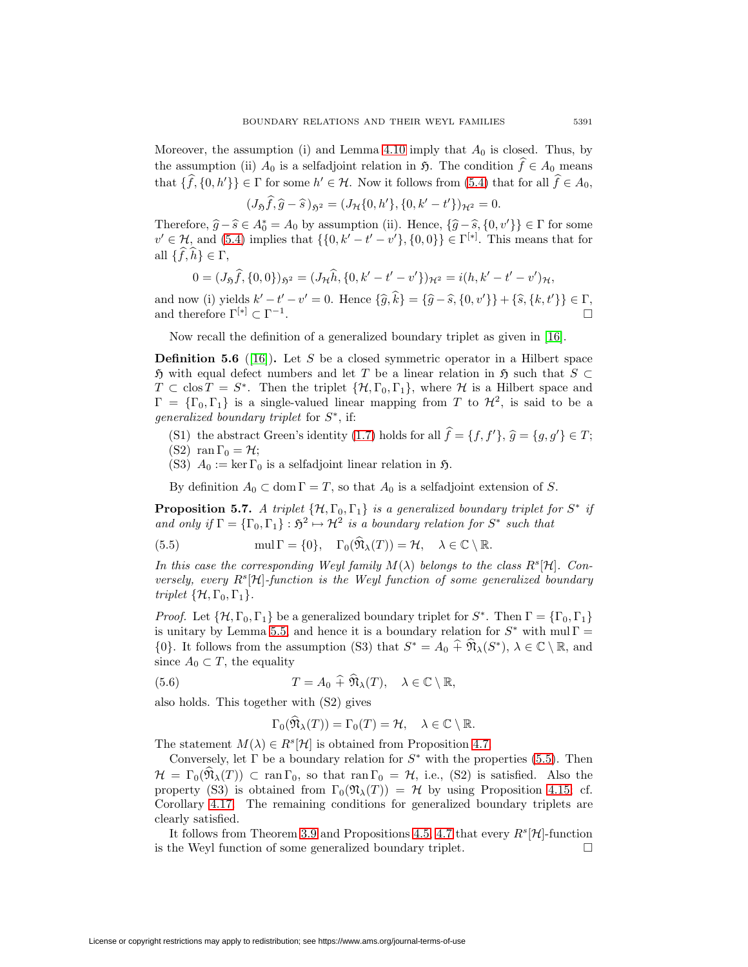Moreover, the assumption (i) and Lemma [4.10](#page-27-3) imply that  $A_0$  is closed. Thus, by the assumption (ii)  $A_0$  is a selfadjoint relation in  $\mathfrak{H}$ . The condition  $f \in A_0$  means that  $\{f, \{0, h'\}\}\in \Gamma$  for some  $h' \in \mathcal{H}$ . Now it follows from [\(5.4\)](#page-39-1) that for all  $f \in A_0$ ,

$$
(J_{\mathfrak{H}}\hat{f}, \hat{g} - \hat{s})_{\mathfrak{H}^2} = (J_{\mathcal{H}}\{0, h'\}, \{0, k' - t'\})_{\mathcal{H}^2} = 0.
$$

Therefore,  $\hat{g} - \hat{s} \in A_0^* = A_0$  by assumption (ii). Hence,  $\{\hat{g} - \hat{s}, \{0, v'\}\}\in \Gamma$  for some  $\{g \in A_0 : \mathbb{R}^d \to \mathbb{R}^d : \mathbb{R}^d \to \mathbb{R}^d\}$  $v' \in \mathcal{H}$ , and [\(5.4\)](#page-39-1) implies that  $\{\{0, k' - t' - v'\}, \{0, 0\}\} \in \Gamma^{[*]}$ . This means that for all  $\{f, h\} \in \Gamma$ ,

$$
0 = (J_{\mathfrak{H}}\hat{f}, \{0,0\})_{\mathfrak{H}^2} = (J_{\mathcal{H}}\hat{h}, \{0,k'-t'-v'\})_{\mathcal{H}^2} = i(h,k'-t'-v')_{\mathcal{H}},
$$

and now (i) yields  $k' - t' - v' = 0$ . Hence  $\{\hat{g}, k\} = \{\hat{g} - \hat{s}, \{0, v'\}\} + \{\hat{s}, \{k, t'\}\} \in \Gamma$ and therefore  $\Gamma^{[*]}\subset \Gamma^{-1}$ .

Now recall the definition of a generalized boundary triplet as given in [\[16\]](#page-48-2).

**Definition 5.6** ([\[16\]](#page-48-2)). Let S be a closed symmetric operator in a Hilbert space  $\mathfrak H$  with equal defect numbers and let T be a linear relation in  $\mathfrak H$  such that  $S \subset$  $T \subset \text{clos } T = S^*$ . Then the triplet  $\{\mathcal{H}, \Gamma_0, \Gamma_1\}$ , where  $\mathcal{H}$  is a Hilbert space and  $\Gamma = {\lbrace \Gamma_0, \Gamma_1 \rbrace}$  is a single-valued linear mapping from T to  $\mathcal{H}^2$ , is said to be a generalized boundary triplet for  $S^*$ , if:

- (S1) the abstract Green's identity [\(1.7\)](#page-2-4) holds for all  $f = \{f, f'\}, \hat{g} = \{g, g'\} \in T;$
- (S2) ran  $\Gamma_0 = \mathcal{H}$ ;
- (S3)  $A_0 := \ker \Gamma_0$  is a selfadjoint linear relation in  $\mathfrak{H}$ .

By definition  $A_0 \subset \text{dom } \Gamma = T$ , so that  $A_0$  is a selfadjoint extension of S.

<span id="page-40-1"></span>**Proposition 5.7.** A triplet  $\{\mathcal{H}, \Gamma_0, \Gamma_1\}$  is a generalized boundary triplet for  $S^*$  if and only if  $\Gamma = {\Gamma_0, \Gamma_1} : \mathfrak{H}^2 \mapsto \mathcal{H}^2$  is a boundary relation for  $S^*$  such that

(5.5) 
$$
\text{mul } \Gamma = \{0\}, \quad \Gamma_0(\widehat{\mathfrak{N}}_{\lambda}(T)) = \mathcal{H}, \quad \lambda \in \mathbb{C} \setminus \mathbb{R}.
$$

In this case the corresponding Weyl family  $M(\lambda)$  belongs to the class  $R^s[\mathcal{H}]$ . Conversely, every  $R^s[\mathcal{H}]$ -function is the Weyl function of some generalized boundary triplet  $\{\mathcal{H}, \Gamma_0, \Gamma_1\}.$ 

*Proof.* Let  $\{\mathcal{H}, \Gamma_0, \Gamma_1\}$  be a generalized boundary triplet for  $S^*$ . Then  $\Gamma = \{\Gamma_0, \Gamma_1\}$ is unitary by Lemma [5.5,](#page-39-2) and hence it is a boundary relation for  $S^*$  with mul  $\Gamma =$  $\{0\}$ . It follows from the assumption (S3) that  $S^* = A_0 \widehat{+} \widehat{\mathfrak{N}}_{\lambda}(S^*), \lambda \in \mathbb{C} \setminus \mathbb{R}$ , and since  $A_0 \subset T$ , the equality

<span id="page-40-2"></span>(5.6) 
$$
T = A_0 \widehat{+} \widehat{\mathfrak{N}}_{\lambda}(T), \quad \lambda \in \mathbb{C} \setminus \mathbb{R},
$$

also holds. This together with (S2) gives

<span id="page-40-0"></span>
$$
\Gamma_0(\widehat{\mathfrak{N}}_{\lambda}(T)) = \Gamma_0(T) = \mathcal{H}, \quad \lambda \in \mathbb{C} \setminus \mathbb{R}.
$$

The statement  $M(\lambda) \in R^s[\mathcal{H}]$  is obtained from Proposition [4.7.](#page-25-3)

Conversely, let  $\Gamma$  be a boundary relation for  $S^*$  with the properties [\(5.5\)](#page-40-0). Then  $\mathcal{H} = \Gamma_0(\hat{\mathfrak{N}}_{\lambda}(T)) \subset \text{ran} \Gamma_0$ , so that  $\text{ran} \Gamma_0 = \mathcal{H}$ , i.e., (S2) is satisfied. Also the property (S3) is obtained from  $\Gamma_0(\mathfrak{N}_{\lambda}(T)) = \mathcal{H}$  by using Proposition [4.15;](#page-30-0) cf. Corollary [4.17.](#page-31-3) The remaining conditions for generalized boundary triplets are clearly satisfied.

It follows from Theorem [3.9](#page-21-0) and Propositions [4.5,](#page-25-0) [4.7](#page-25-3) that every  $R^s[\mathcal{H}]$ -function is the Weyl function of some generalized boundary triplet.  $\Box$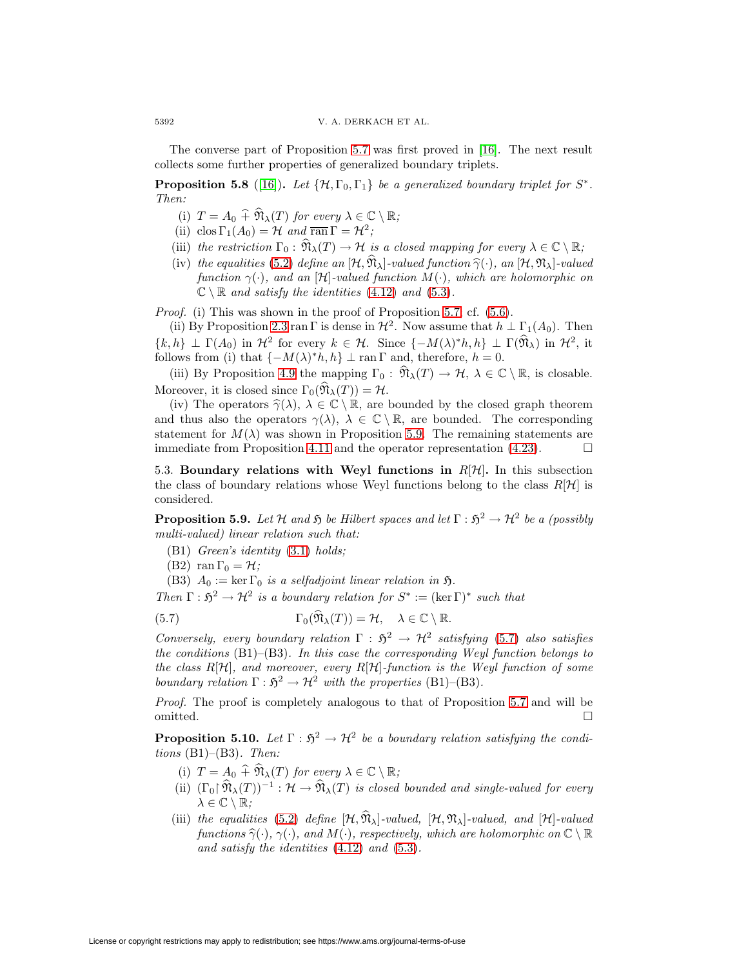<span id="page-41-2"></span>The converse part of Proposition [5.7](#page-40-1) was first proved in [\[16\]](#page-48-2). The next result collects some further properties of generalized boundary triplets.

**Proposition 5.8** ([\[16\]](#page-48-2)). Let  $\{\mathcal{H}, \Gamma_0, \Gamma_1\}$  be a generalized boundary triplet for  $S^*$ . Then:

- (i)  $T = A_0 \hat{+} \hat{\mathfrak{N}}_{\lambda}(T)$  for every  $\lambda \in \mathbb{C} \setminus \mathbb{R}$ ;
- (ii) clos  $\Gamma_1(A_0) = \mathcal{H}$  and  $\overline{\text{ran}} \Gamma = \mathcal{H}^2$ ;
- (iii) the restriction  $\Gamma_0 : \widehat{\mathfrak{N}}_{\lambda}(T) \to \mathcal{H}$  is a closed mapping for every  $\lambda \in \mathbb{C} \setminus \mathbb{R}$ ;
- (iv) the equalities [\(5.2\)](#page-39-3) define an  $[\mathcal{H}, \widehat{\mathfrak{N}}_{\lambda}]$ -valued function  $\widehat{\gamma}(\cdot)$ , an  $[\mathcal{H}, \mathfrak{N}_{\lambda}]$ -valued function  $\gamma(\cdot)$ , and an [H]-valued function  $M(\cdot)$ , which are holomorphic on  $\mathbb{C} \setminus \mathbb{R}$  and satisfy the identities [\(4.12\)](#page-28-2) and [\(5.3\)](#page-39-4).

Proof. (i) This was shown in the proof of Proposition [5.7;](#page-40-1) cf. [\(5.6\)](#page-40-2).

(ii) By Proposition [2.3](#page-9-3) ran Γ is dense in  $\mathcal{H}^2$ . Now assume that  $h \perp \Gamma_1(A_0)$ . Then  $\{k,h\} \perp \Gamma(A_0)$  in  $\mathcal{H}^2$  for every  $k \in \mathcal{H}$ . Since  $\{-M(\lambda)^*h,h\} \perp \Gamma(\widehat{\mathfrak{N}}_{\lambda})$  in  $\mathcal{H}^2$ , it follows from (i) that  $\{-M(\lambda)^*h, h\} \perp \text{ran } \Gamma$  and, therefore,  $h = 0$ .

(iii) By Proposition [4.9](#page-27-4) the mapping  $\Gamma_0 : \widehat{\mathfrak{N}}_{\lambda}(T) \to \mathcal{H}, \lambda \in \mathbb{C} \setminus \mathbb{R}$ , is closable. Moreover, it is closed since  $\Gamma_0(\widehat{\mathfrak{N}}_{\lambda}(T)) = \mathcal{H}$ .

(iv) The operators  $\hat{\gamma}(\lambda)$ ,  $\lambda \in \mathbb{C} \setminus \mathbb{R}$ , are bounded by the closed graph theorem and thus also the operators  $\gamma(\lambda)$ ,  $\lambda \in \mathbb{C} \setminus \mathbb{R}$ , are bounded. The corresponding statement for  $M(\lambda)$  was shown in Proposition [5.9.](#page-41-0) The remaining statements are immediate from Proposition [4.11](#page-28-3) and the operator representation  $(4.23)$ .  $\Box$ 

5.3. **Boundary relations with Weyl functions in**  $R[\mathcal{H}]$ . In this subsection the class of boundary relations whose Weyl functions belong to the class  $R[\mathcal{H}]$  is considered.

<span id="page-41-0"></span>**Proposition 5.9.** Let H and  $\tilde{\mathfrak{H}}$  be Hilbert spaces and let  $\Gamma : \tilde{\mathfrak{H}}^2 \to \mathcal{H}^2$  be a (possibly multi-valued) linear relation such that:

(B1) Green's identity [\(3.1\)](#page-17-3) holds;

<span id="page-41-1"></span>(B2) ran  $\Gamma_0 = \mathcal{H}$ ;

(B3)  $A_0 := \ker \Gamma_0$  is a selfadjoint linear relation in  $\mathfrak{H}$ .

Then  $\Gamma : \mathfrak{H}^2 \to \mathcal{H}^2$  is a boundary relation for  $S^* := (\ker \Gamma)^*$  such that

(5.7) 
$$
\Gamma_0(\widehat{\mathfrak{N}}_{\lambda}(T)) = \mathcal{H}, \quad \lambda \in \mathbb{C} \setminus \mathbb{R}.
$$

Conversely, every boundary relation  $\Gamma : \mathfrak{H}^2 \to \mathcal{H}^2$  satisfying [\(5.7\)](#page-41-1) also satisfies the conditions  $(B1)$ – $(B3)$ . In this case the corresponding Weyl function belongs to the class  $R[\mathcal{H}]$ , and moreover, every  $R[\mathcal{H}]$ -function is the Weyl function of some boundary relation  $\Gamma : \mathfrak{H}^2 \to \mathcal{H}^2$  with the properties (B1)–(B3).

Proof. The proof is completely analogous to that of Proposition [5.7](#page-40-1) and will be omitted.  $\Box$ 

**Proposition 5.10.** Let  $\Gamma : \mathfrak{H}^2 \to \mathcal{H}^2$  be a boundary relation satisfying the conditions  $(B1)$ – $(B3)$ . Then:

- (i)  $T = A_0 \widehat{+} \widehat{\mathfrak{N}}_{\lambda}(T)$  for every  $\lambda \in \mathbb{C} \setminus \mathbb{R}$ ;
- (ii)  $(\Gamma_0 \upharpoonright \widehat{\mathfrak{N}}_{\lambda}(T))^{-1} : \mathcal{H} \to \widehat{\mathfrak{N}}_{\lambda}(T)$  is closed bounded and single-valued for every  $\lambda \in \mathbb{C} \setminus \mathbb{R}$ ;
- (iii) the equalities [\(5.2\)](#page-39-3) define  $[\mathcal{H}, \widehat{\mathfrak{N}}_{\lambda}]$ -valued,  $[\mathcal{H}, \mathfrak{N}_{\lambda}]$ -valued, and  $[\mathcal{H}]$ -valued functions  $\hat{\gamma}(\cdot), \gamma(\cdot)$ , and  $M(\cdot)$ , respectively, which are holomorphic on  $\mathbb{C} \setminus \mathbb{R}$ and satisfy the identities [\(4.12\)](#page-28-2) and [\(5.3\)](#page-39-4).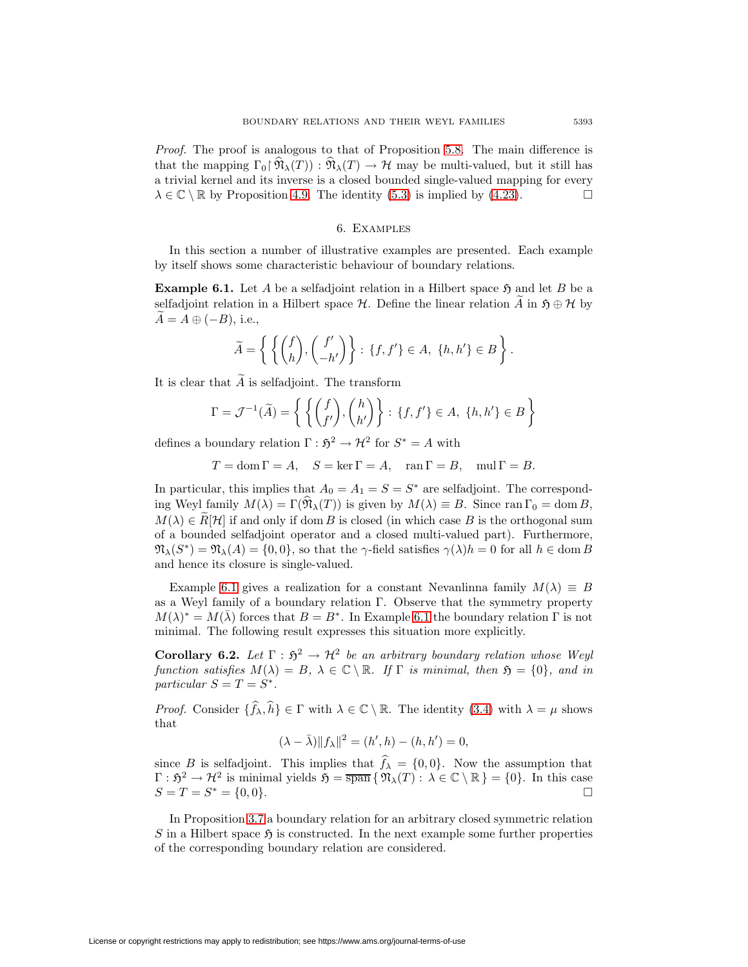Proof. The proof is analogous to that of Proposition [5.8.](#page-41-2) The main difference is that the mapping  $\Gamma_0(\hat{\mathfrak{N}}_{\lambda}(T)) : \hat{\mathfrak{N}}_{\lambda}(T) \to \mathcal{H}$  may be multi-valued, but it still has a trivial kernel and its inverse is a closed bounded single-valued mapping for every  $\lambda \in \mathbb{C} \setminus \mathbb{R}$  by Proposition [4.9.](#page-27-4) The identity [\(5.3\)](#page-39-4) is implied by [\(4.23\)](#page-34-2).

## 6. Examples

<span id="page-42-1"></span>In this section a number of illustrative examples are presented. Each example by itself shows some characteristic behaviour of boundary relations.

**Example 6.1.** Let A be a selfadjoint relation in a Hilbert space  $\mathfrak{H}$  and let B be a selfadjoint relation in a Hilbert space  $\mathcal{H}$ . Define the linear relation A in  $\mathfrak{H} \oplus \mathcal{H}$  by  $A = A \oplus (-B)$ , i.e.,

$$
\widetilde{A} = \left\{ \left\{ \begin{pmatrix} f \\ h \end{pmatrix}, \begin{pmatrix} f' \\ -h' \end{pmatrix} \right\} : \{f, f'\} \in A, \{h, h'\} \in B \right\}.
$$

It is clear that  $\widetilde{A}$  is selfadjoint. The transform

$$
\Gamma = \mathcal{J}^{-1}(\widetilde{A}) = \left\{ \left\{ \begin{pmatrix} f \\ f' \end{pmatrix}, \begin{pmatrix} h \\ h' \end{pmatrix} \right\} : \{f, f'\} \in A, \{h, h'\} \in B \right\}
$$

defines a boundary relation  $\Gamma : \mathfrak{H}^2 \to \mathcal{H}^2$  for  $S^* = A$  with

 $T = \text{dom }\Gamma = A, \quad S = \ker \Gamma = A, \quad \text{ran }\Gamma = B, \quad \text{mul }\Gamma = B.$ 

In particular, this implies that  $A_0 = A_1 = S = S^*$  are selfadjoint. The corresponding Weyl family  $M(\lambda) = \Gamma(\widehat{\mathfrak{N}}_{\lambda}(T))$  is given by  $M(\lambda) \equiv B$ . Since ran  $\Gamma_0 = \text{dom } B$ ,  $M(\lambda) \in R[\mathcal{H}]$  if and only if dom B is closed (in which case B is the orthogonal sum of a bounded selfadjoint operator and a closed multi-valued part). Furthermore,  $\mathfrak{N}_{\lambda}(S^*) = \mathfrak{N}_{\lambda}(A) = \{0,0\}$ , so that the  $\gamma$ -field satisfies  $\gamma(\lambda)h = 0$  for all  $h \in \text{dom } B$ and hence its closure is single-valued.

Example [6.1](#page-42-1) gives a realization for a constant Nevanlinna family  $M(\lambda) \equiv B$ as a Weyl family of a boundary relation Γ. Observe that the symmetry property  $M(\lambda)^* = M(\overline{\lambda})$  forces that  $B = B^*$ . In Example [6.1](#page-42-1) the boundary relation  $\Gamma$  is not minimal. The following result expresses this situation more explicitly.

**Corollary 6.2.** Let  $\Gamma : \mathfrak{H}^2 \to \mathcal{H}^2$  be an arbitrary boundary relation whose Weyl function satisfies  $M(\lambda) = B$ ,  $\lambda \in \mathbb{C} \setminus \mathbb{R}$ . If  $\Gamma$  is minimal, then  $\mathfrak{H} = \{0\}$ , and in particular  $S = T = S^*$ .

*Proof.* Consider  $\{\hat{f}_{\lambda}, \hat{h}\} \in \Gamma$  with  $\lambda \in \mathbb{C} \setminus \mathbb{R}$ . The identity [\(3.4\)](#page-18-4) with  $\lambda = \mu$  shows that

$$
(\lambda - \bar{\lambda}) \|f_{\lambda}\|^2 = (h', h) - (h, h') = 0,
$$

since B is selfadjoint. This implies that  $f_{\lambda} = \{0, 0\}$ . Now the assumption that  $\Gamma : \mathfrak{H}^2 \to \mathcal{H}^2$  is minimal yields  $\mathfrak{H} = \overline{\text{span}} \{ \mathfrak{N}_{\lambda}(T) : \lambda \in \mathbb{C} \setminus \mathbb{R} \} = \{0\}.$  In this case  $S = T = S^* = \{0, 0\}.$  $\Box$ 

<span id="page-42-0"></span>In Proposition [3.7](#page-20-3) a boundary relation for an arbitrary closed symmetric relation S in a Hilbert space  $\mathfrak{H}$  is constructed. In the next example some further properties of the corresponding boundary relation are considered.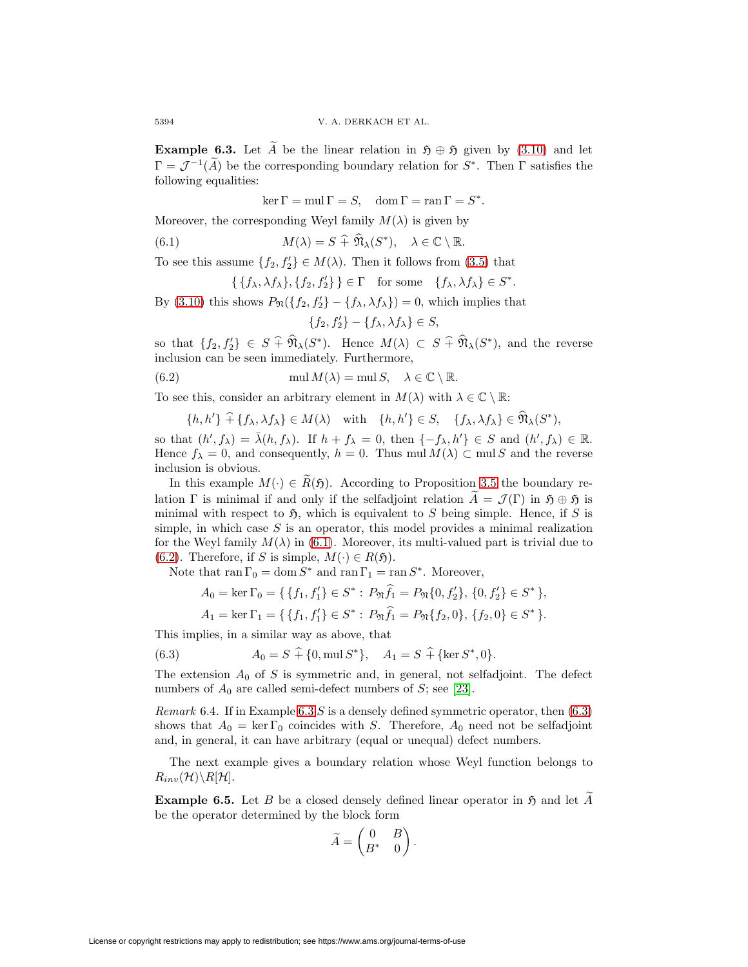**Example 6.3.** Let A be the linear relation in  $\mathfrak{H} \oplus \mathfrak{H}$  given by [\(3.10\)](#page-20-2) and let  $\Gamma = \mathcal{J}^{-1}(\widetilde{A})$  be the corresponding boundary relation for  $S^*$ . Then  $\Gamma$  satisfies the following equalities:

<span id="page-43-1"></span>ker  $\Gamma = \text{mul } \Gamma = S$ , dom  $\Gamma = \text{ran } \Gamma = S^*$ .

Moreover, the corresponding Weyl family  $M(\lambda)$  is given by

(6.1) 
$$
M(\lambda) = S + \widehat{\mathfrak{N}}_{\lambda}(S^*), \quad \lambda \in \mathbb{C} \setminus \mathbb{R}.
$$

To see this assume  $\{f_2, f'_2\} \in M(\lambda)$ . Then it follows from [\(3.5\)](#page-18-3) that

$$
\{\{f_{\lambda}, \lambda f_{\lambda}\}, \{f_2, f_2'\}\}\in \Gamma \quad \text{for some} \quad \{f_{\lambda}, \lambda f_{\lambda}\}\in S^*.
$$

By [\(3.10\)](#page-20-2) this shows  $P_{\mathfrak{N}}(\lbrace f_2, f'_2 \rbrace - \lbrace f_\lambda, \lambda f_\lambda \rbrace) = 0$ , which implies that

<span id="page-43-2"></span>
$$
\{f_2, f_2'\} - \{f_\lambda, \lambda f_\lambda\} \in S,
$$

so that  $\{f_2, f'_2\} \in S + \mathfrak{N}_{\lambda}(S^*)$ . Hence  $M(\lambda) \subset S + \mathfrak{N}_{\lambda}(S^*)$ , and the reverse inclusion can be seen immediately. Furthermore,

(6.2) 
$$
\text{mul } M(\lambda) = \text{mul } S, \quad \lambda \in \mathbb{C} \setminus \mathbb{R}.
$$

To see this, consider an arbitrary element in  $M(\lambda)$  with  $\lambda \in \mathbb{C} \setminus \mathbb{R}$ :

$$
\{h, h'\} \widehat{+} \{f_{\lambda}, \lambda f_{\lambda}\} \in M(\lambda) \quad \text{with} \quad \{h, h'\} \in S, \quad \{f_{\lambda}, \lambda f_{\lambda}\} \in \widehat{\mathfrak{N}}_{\lambda}(S^*),
$$

so that  $(h', f_\lambda) = \overline{\lambda}(h, f_\lambda)$ . If  $h + f_\lambda = 0$ , then  $\{-f_\lambda, h'\} \in S$  and  $(h', f_\lambda) \in \mathbb{R}$ . Hence  $f_{\lambda} = 0$ , and consequently,  $h = 0$ . Thus mul  $M(\lambda) \subset \text{mul } S$  and the reverse inclusion is obvious.

In this example  $M(\cdot) \in \widetilde{R}(\mathfrak{H})$ . According to Proposition [3.5](#page-19-1) the boundary relation Γ is minimal if and only if the selfadjoint relation  $\tilde{A} = \mathcal{J}(\Gamma)$  in  $\mathfrak{H} \oplus \mathfrak{H}$  is minimal with respect to  $\mathfrak{H}$ , which is equivalent to S being simple. Hence, if S is simple, in which case  $S$  is an operator, this model provides a minimal realization for the Weyl family  $M(\lambda)$  in [\(6.1\)](#page-43-1). Moreover, its multi-valued part is trivial due to [\(6.2\)](#page-43-2). Therefore, if S is simple,  $M(\cdot) \in R(\mathfrak{H})$ .

Note that ran  $\Gamma_0 = \text{dom } S^*$  and ran  $\Gamma_1 = \text{ran } S^*$ . Moreover,

$$
A_0 = \ker \Gamma_0 = \{ \{f_1, f_1'\} \in S^* : P_{\mathfrak{N}} f_1 = P_{\mathfrak{N}} \{0, f_2'\}, \{0, f_2'\} \in S^* \},
$$

<span id="page-43-3"></span>
$$
A_1 = \ker \Gamma_1 = \{ \{ f_1, f_1' \} \in S^* : P_{\mathfrak{N}} f_1 = P_{\mathfrak{N}} \{ f_2, 0 \}, \{ f_2, 0 \} \in S^* \}.
$$

This implies, in a similar way as above, that

(6.3) 
$$
A_0 = S + \{0, \text{mul } S^*\}, \quad A_1 = S + \{\text{ker } S^*, 0\}.
$$

The extension  $A_0$  of S is symmetric and, in general, not selfadjoint. The defect numbers of  $A_0$  are called semi-defect numbers of S; see [\[23\]](#page-48-21).

*Remark* 6.4. If in Example [6.3](#page-42-0) S is a densely defined symmetric operator, then  $(6.3)$ shows that  $A_0 = \ker \Gamma_0$  coincides with S. Therefore,  $A_0$  need not be selfadjoint and, in general, it can have arbitrary (equal or unequal) defect numbers.

<span id="page-43-0"></span>The next example gives a boundary relation whose Weyl function belongs to  $R_{inv}(\mathcal{H})\backslash R[\mathcal{H}].$ 

**Example 6.5.** Let B be a closed densely defined linear operator in  $\mathfrak{H}$  and let A be the operator determined by the block form

$$
\widetilde{A} = \begin{pmatrix} 0 & B \\ B^* & 0 \end{pmatrix}.
$$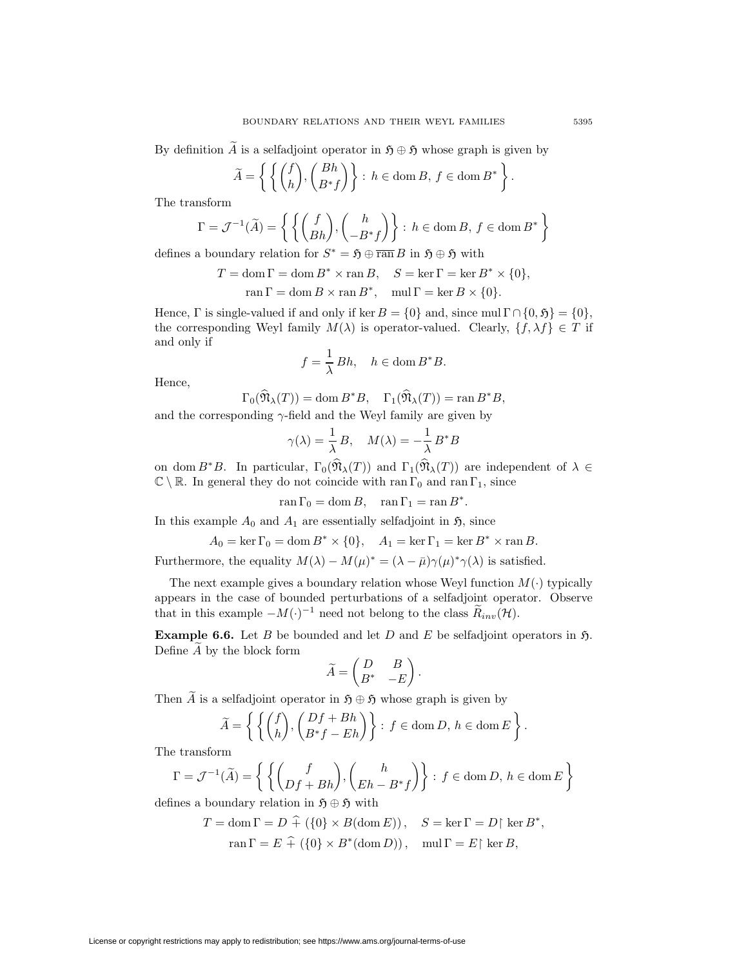By definition A is a selfadjoint operator in  $\mathfrak{H} \oplus \mathfrak{H}$  whose graph is given by

$$
\widetilde{A} = \left\{ \left\{ \begin{pmatrix} f \\ h \end{pmatrix}, \begin{pmatrix} Bh \\ B^*f \end{pmatrix} \right\} : h \in \text{dom}\,B, \, f \in \text{dom}\,B^* \right\}
$$

The transform

$$
\Gamma = \mathcal{J}^{-1}(\widetilde{A}) = \left\{ \left\{ \begin{pmatrix} f \\ Bh \end{pmatrix}, \begin{pmatrix} h \\ -B^*f \end{pmatrix} \right\} : h \in \text{dom}\,B, \, f \in \text{dom}\,B^* \right\}
$$

defines a boundary relation for  $S^* = \mathfrak{H} \oplus \overline{\operatorname{ran}} B$  in  $\mathfrak{H} \oplus \mathfrak{H}$  with

$$
T = \text{dom}\,\Gamma = \text{dom}\,B^* \times \text{ran}\,B, \quad S = \text{ker}\,\Gamma = \text{ker}\,B^* \times \{0\},
$$

$$
\operatorname{ran} \Gamma = \operatorname{dom} B \times \operatorname{ran} B^*, \quad \operatorname{mul} \Gamma = \ker B \times \{0\}.
$$

Hence,  $\Gamma$  is single-valued if and only if ker  $B = \{0\}$  and, since mul  $\Gamma \cap \{0, \mathfrak{H}\} = \{0\},$ the corresponding Weyl family  $M(\lambda)$  is operator-valued. Clearly,  $\{f, \lambda f\} \in T$  if and only if

$$
f = \frac{1}{\lambda} Bh, \quad h \in \text{dom}\, B^*B.
$$

Hence,

$$
\Gamma_0(\widehat{\mathfrak{N}}_{\lambda}(T)) = \text{dom}\, B^*B, \quad \Gamma_1(\widehat{\mathfrak{N}}_{\lambda}(T)) = \text{ran}\, B^*B,
$$

and the corresponding  $\gamma$ -field and the Weyl family are given by

$$
\gamma(\lambda) = \frac{1}{\lambda} B, \quad M(\lambda) = -\frac{1}{\lambda} B^* B
$$

on dom  $B^*B$ . In particular,  $\Gamma_0(\widehat{\mathfrak{N}}_{\lambda}(T))$  and  $\Gamma_1(\widehat{\mathfrak{N}}_{\lambda}(T))$  are independent of  $\lambda \in$  $\mathbb{C} \setminus \mathbb{R}$ . In general they do not coincide with ran  $\Gamma_0$  and ran  $\Gamma_1$ , since

ran  $\Gamma_0 = \text{dom } B$ , ran  $\Gamma_1 = \text{ran } B^*$ .

In this example  $A_0$  and  $A_1$  are essentially selfadjoint in  $\mathfrak{H}$ , since

 $A_0 = \ker \Gamma_0 = \dim B^* \times \{0\}, \quad A_1 = \ker \Gamma_1 = \ker B^* \times \operatorname{ran} B.$ 

Furthermore, the equality  $M(\lambda) - M(\mu)^* = (\lambda - \bar{\mu})\gamma(\mu)^*\gamma(\lambda)$  is satisfied.

The next example gives a boundary relation whose Weyl function  $M(\cdot)$  typically appears in the case of bounded perturbations of a selfadjoint operator. Observe that in this example  $-M(\cdot)^{-1}$  need not belong to the class  $\widetilde{R}_{inv}(\mathcal{H})$ .

<span id="page-44-0"></span>**Example 6.6.** Let B be bounded and let D and E be selfadjoint operators in  $\mathfrak{H}$ . Define A by the block form

$$
\widetilde{A} = \begin{pmatrix} D & B \\ B^* & -E \end{pmatrix}.
$$

Then  $\widetilde{A}$  is a selfadjoint operator in  $\mathfrak{H} \oplus \mathfrak{H}$  whose graph is given by

$$
\widetilde{A} = \left\{ \left\{ \binom{f}{h}, \binom{Df + Bh}{B^*f - Eh} \right\} : f \in \text{dom}\,D, h \in \text{dom}\,E \right\}
$$

The transform

$$
\Gamma = \mathcal{J}^{-1}(\widetilde{A}) = \left\{ \left\{ \binom{f}{Df + Bh}, \binom{h}{Eh - B^*f} \right\} : f \in \text{dom}\,D, h \in \text{dom}\,E \right\}
$$

defines a boundary relation in  $\mathfrak{H} \oplus \mathfrak{H}$  with

License or copyright restrictions may apply to redistribution; see https://www.ams.org/journal-terms-of-use

$$
T = \text{dom}\,\Gamma = D + (\{0\} \times B(\text{dom}\,E)), \quad S = \ker\Gamma = D\,|\,\ker B^*,
$$
  
 
$$
\operatorname{ran}\Gamma = E + (\{0\} \times B^*(\text{dom}\,D)), \quad \operatorname{mul}\Gamma = E\,|\,\ker B,
$$

.

.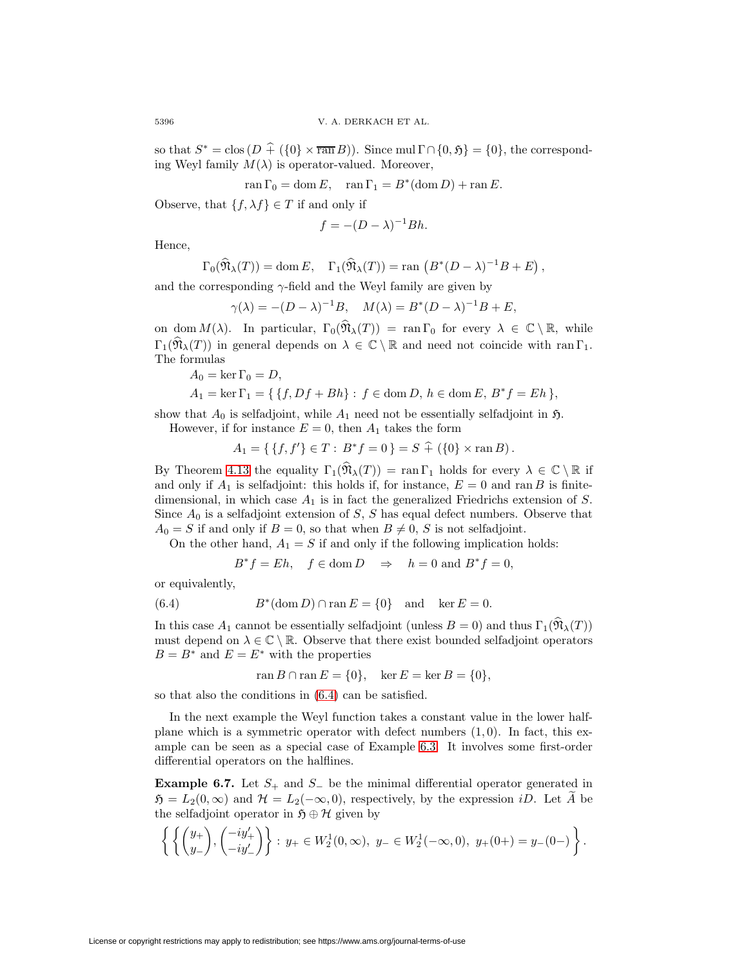so that  $S^* = \text{clos}(D + (\{0\} \times \overline{\text{ran }B}))$ . Since mul  $\Gamma \cap \{0, \mathfrak{H}\} = \{0\}$ , the corresponding Weyl family  $M(\lambda)$  is operator-valued. Moreover,

$$
\operatorname{ran} \Gamma_0 = \operatorname{dom} E, \quad \operatorname{ran} \Gamma_1 = B^*(\operatorname{dom} D) + \operatorname{ran} E.
$$

Observe, that  $\{f, \lambda f\} \in T$  if and only if

$$
f = -(D - \lambda)^{-1} Bh.
$$

Hence,

$$
\Gamma_0(\widehat{\mathfrak{N}}_{\lambda}(T)) = \text{dom}\, E, \quad \Gamma_1(\widehat{\mathfrak{N}}_{\lambda}(T)) = \text{ran}\, (B^*(D - \lambda)^{-1}B + E),
$$

and the corresponding  $\gamma$ -field and the Weyl family are given by

 $\gamma(\lambda) = -(D - \lambda)^{-1}B, \quad M(\lambda) = B^*(D - \lambda)^{-1}B + E,$ 

on dom  $M(\lambda)$ . In particular,  $\Gamma_0(\widehat{\mathfrak{N}}_{\lambda}(T)) = \text{ran } \Gamma_0$  for every  $\lambda \in \mathbb{C} \setminus \mathbb{R}$ , while  $\Gamma_1(\widehat{\mathfrak{N}}_{\lambda}(T))$  in general depends on  $\lambda \in \mathbb{C} \setminus \mathbb{R}$  and need not coincide with ran  $\Gamma_1$ . The formulas

$$
A_0 = \ker \Gamma_0 = D,
$$

$$
A_1 = \ker \Gamma_1 = \{ \{f, Df + Bh\} : f \in \text{dom } D, h \in \text{dom } E, B^*f = Eh \},
$$

show that  $A_0$  is selfadjoint, while  $A_1$  need not be essentially selfadjoint in  $\mathfrak{H}$ .

However, if for instance  $E = 0$ , then  $A_1$  takes the form

$$
A_1 = \{ \{f, f'\} \in T : B^* f = 0 \} = S + (\{0\} \times \operatorname{ran} B).
$$

By Theorem [4.13](#page-29-0) the equality  $\Gamma_1(\widehat{\mathfrak{N}}_{\lambda}(T)) = \text{ran} \Gamma_1$  holds for every  $\lambda \in \mathbb{C} \setminus \mathbb{R}$  if and only if  $A_1$  is selfadjoint: this holds if, for instance,  $E = 0$  and ran B is finitedimensional, in which case  $A_1$  is in fact the generalized Friedrichs extension of  $S$ . Since  $A_0$  is a selfadjoint extension of S, S has equal defect numbers. Observe that  $A_0 = S$  if and only if  $B = 0$ , so that when  $B \neq 0$ , S is not selfadjoint.

On the other hand,  $A_1 = S$  if and only if the following implication holds:

$$
B^*f = Eh, \quad f \in \text{dom } D \quad \Rightarrow \quad h = 0 \text{ and } B^*f = 0,
$$

<span id="page-45-1"></span>or equivalently,

(6.4) 
$$
B^*(\text{dom } D) \cap \text{ran } E = \{0\} \text{ and } \ker E = 0.
$$

In this case  $A_1$  cannot be essentially selfadjoint (unless  $B = 0$ ) and thus  $\Gamma_1(\widehat{\mathfrak{N}}_{\lambda}(T))$ must depend on  $\lambda \in \mathbb{C} \setminus \mathbb{R}$ . Observe that there exist bounded selfadjoint operators  $B = B^*$  and  $E = E^*$  with the properties

$$
ran B \cap ran E = \{0\}, \quad \text{ker } E = \text{ker } B = \{0\},\
$$

so that also the conditions in [\(6.4\)](#page-45-1) can be satisfied.

In the next example the Weyl function takes a constant value in the lower halfplane which is a symmetric operator with defect numbers  $(1, 0)$ . In fact, this example can be seen as a special case of Example [6.3.](#page-42-0) It involves some first-order differential operators on the halflines.

<span id="page-45-0"></span>**Example 6.7.** Let  $S_+$  and  $S_-$  be the minimal differential operator generated in  $\mathfrak{H} = L_2(0, \infty)$  and  $\mathcal{H} = L_2(-\infty, 0)$ , respectively, by the expression *iD*. Let  $\widetilde{A}$  be the selfadjoint operator in  $\mathfrak{H} \oplus \mathcal{H}$  given by

$$
\left\{ \left\{ \begin{pmatrix} y_+ \\ y_- \end{pmatrix}, \begin{pmatrix} -iy'_+ \\ -iy'_- \end{pmatrix} \right\} : y_+ \in W_2^1(0, \infty), y_- \in W_2^1(-\infty, 0), y_+(0+) = y_-(0-) \right\}.
$$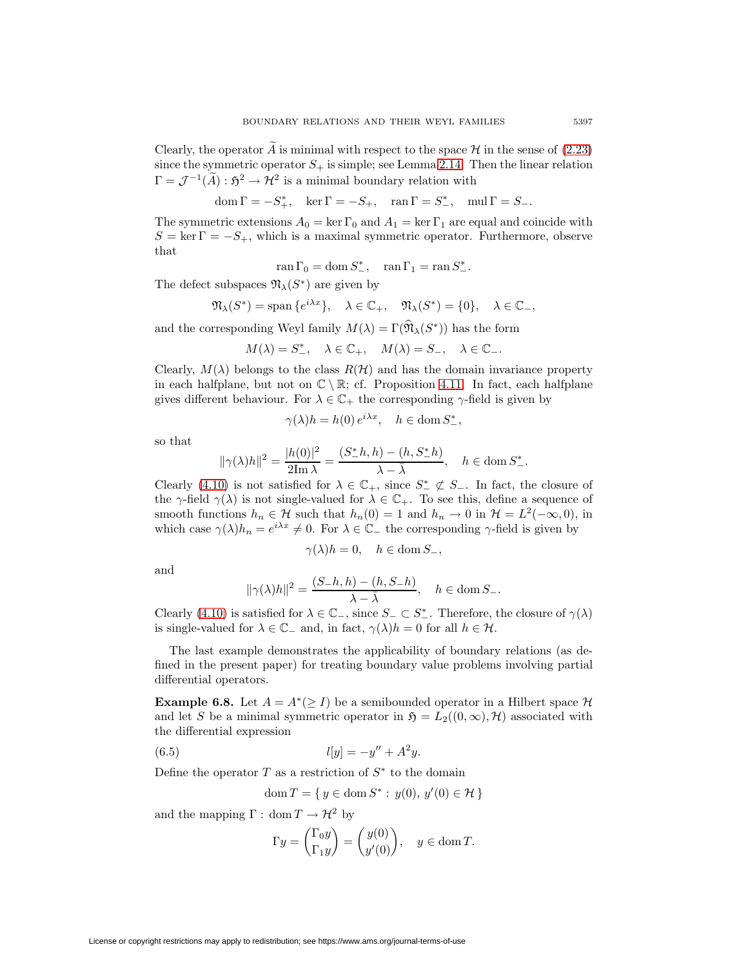Clearly, the operator  $A$  is minimal with respect to the space  $H$  in the sense of [\(2.23\)](#page-15-2) since the symmetric operator  $S_+$  is simple; see Lemma [2.14.](#page-15-4) Then the linear relation  $\Gamma = \mathcal{J}^{-1}(\widetilde{A}) : \mathfrak{H}^2 \to \mathcal{H}^2$  is a minimal boundary relation with

$$
\operatorname{dom}\Gamma = -S_+^*, \quad \ker\Gamma = -S_+, \quad \operatorname{ran}\Gamma = S_-^*, \quad \operatorname{mul}\Gamma = S_-.
$$

The symmetric extensions  $A_0 = \ker \Gamma_0$  and  $A_1 = \ker \Gamma_1$  are equal and coincide with  $S = \ker \Gamma = -S_+$ , which is a maximal symmetric operator. Furthermore, observe that

$$
\operatorname{ran}\Gamma_0=\operatorname{dom}S^*_{-},\quad\operatorname{ran}\Gamma_1=\operatorname{ran}S^*_{-}.
$$

The defect subspaces  $\mathfrak{N}_{\lambda}(S^*)$  are given by

$$
\mathfrak{N}_{\lambda}(S^*) = \text{span}\{e^{i\lambda x}\}, \quad \lambda \in \mathbb{C}_+, \quad \mathfrak{N}_{\lambda}(S^*) = \{0\}, \quad \lambda \in \mathbb{C}_-,
$$

and the corresponding Weyl family  $M(\lambda) = \Gamma(\widehat{\mathfrak{N}}_{\lambda}(S^*))$  has the form

$$
M(\lambda) = S^*_{-}, \quad \lambda \in \mathbb{C}_+, \quad M(\lambda) = S_{-}, \quad \lambda \in \mathbb{C}_-.
$$

Clearly,  $M(\lambda)$  belongs to the class  $R(\mathcal{H})$  and has the domain invariance property in each halfplane, but not on  $\mathbb{C} \setminus \mathbb{R}$ ; cf. Proposition [4.11.](#page-28-3) In fact, each halfplane gives different behaviour. For  $\lambda \in \mathbb{C}_+$  the corresponding  $\gamma$ -field is given by

$$
\gamma(\lambda)h = h(0) e^{i\lambda x}, \quad h \in \text{dom}\, S^*_{-},
$$

so that

$$
\|\gamma(\lambda)h\|^2 = \frac{|h(0)|^2}{2\text{Im }\lambda} = \frac{(S_-^*h, h) - (h, S_-^*h)}{\lambda - \bar{\lambda}}, \quad h \in \text{dom } S_-^*.
$$

Clearly [\(4.10\)](#page-27-2) is not satisfied for  $\lambda \in \mathbb{C}_+$ , since  $S^* \not\subset S_-$ . In fact, the closure of the  $\gamma$ -field  $\gamma(\lambda)$  is not single-valued for  $\lambda \in \mathbb{C}_+$ . To see this, define a sequence of smooth functions  $h_n \in \mathcal{H}$  such that  $h_n(0) = 1$  and  $h_n \to 0$  in  $\mathcal{H} = L^2(-\infty, 0)$ , in which case  $\gamma(\lambda)h_n = e^{i\lambda x} \neq 0$ . For  $\lambda \in \mathbb{C}_-$  the corresponding  $\gamma$ -field is given by

$$
\gamma(\lambda)h=0, \quad h \in \text{dom}\, S_-,
$$

and

$$
\|\gamma(\lambda)h\|^2 = \frac{(S-h,h) - (h, S-h)}{\lambda - \bar{\lambda}}, \quad h \in \text{dom}\, S_-.
$$

Clearly [\(4.10\)](#page-27-2) is satisfied for  $\lambda \in \mathbb{C}_{-}$ , since  $S_{-} \subset S_{-}^{*}$ . Therefore, the closure of  $\gamma(\lambda)$ is single-valued for  $\lambda \in \mathbb{C}_-$  and, in fact,  $\gamma(\lambda)h = 0$  for all  $h \in \mathcal{H}$ .

The last example demonstrates the applicability of boundary relations (as defined in the present paper) for treating boundary value problems involving partial differential operators.

<span id="page-46-0"></span>**Example 6.8.** Let  $A = A^*(\geq I)$  be a semibounded operator in a Hilbert space  $\mathcal H$ and let S be a minimal symmetric operator in  $\mathfrak{H} = L_2((0,\infty), \mathcal{H})$  associated with the differential expression

<span id="page-46-1"></span>(6.5) 
$$
l[y] = -y'' + A^2y.
$$

Define the operator  $T$  as a restriction of  $S^*$  to the domain

$$
\text{dom}\,T = \{ \, y \in \text{dom}\,S^* : \, y(0), \, y'(0) \in \mathcal{H} \, \}
$$

and the mapping  $\Gamma : \text{dom } T \to \mathcal{H}^2$  by

$$
\Gamma y = \begin{pmatrix} \Gamma_0 y \\ \Gamma_1 y \end{pmatrix} = \begin{pmatrix} y(0) \\ y'(0) \end{pmatrix}, \quad y \in \text{dom } T.
$$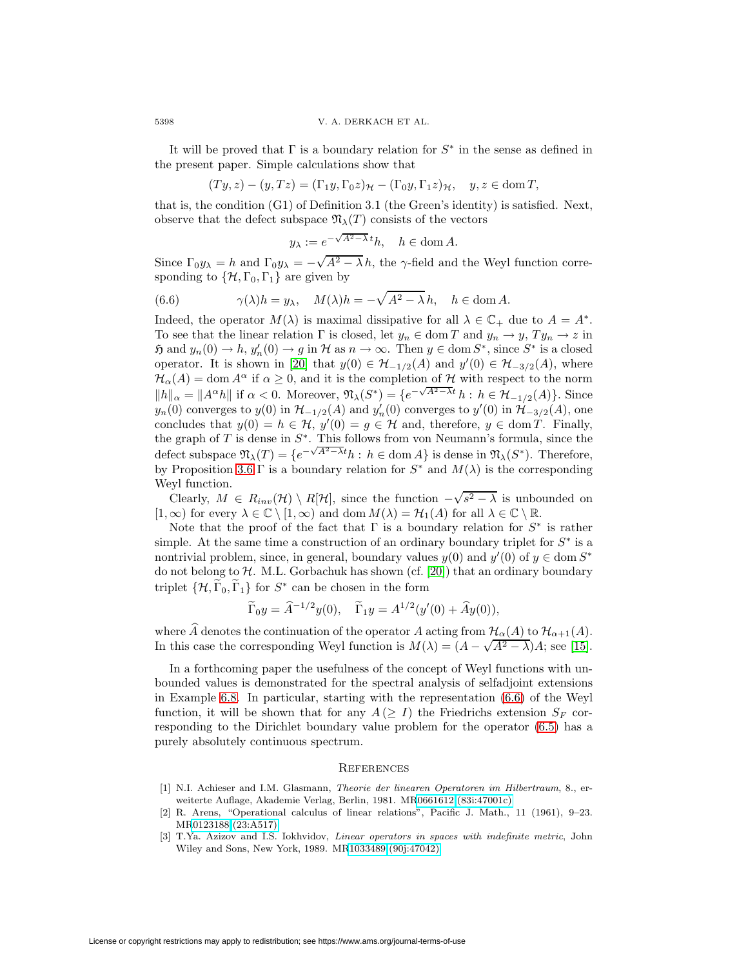It will be proved that  $\Gamma$  is a boundary relation for  $S^*$  in the sense as defined in the present paper. Simple calculations show that

$$
(Ty, z) - (y, Tz) = (\Gamma_1 y, \Gamma_0 z)_{\mathcal{H}} - (\Gamma_0 y, \Gamma_1 z)_{\mathcal{H}}, \quad y, z \in \text{dom } T,
$$

that is, the condition (G1) of Definition 3.1 (the Green's identity) is satisfied. Next, observe that the defect subspace  $\mathfrak{N}_{\lambda}(T)$  consists of the vectors

<span id="page-47-3"></span>
$$
y_{\lambda} := e^{-\sqrt{A^2 - \lambda} t} h, \quad h \in \text{dom } A.
$$

Since  $\Gamma_0 y_\lambda = h$  and  $\Gamma_0 y_\lambda = -\sqrt{A^2 - \lambda} h$ , the  $\gamma$ -field and the Weyl function corresponding to  $\{\mathcal{H}, \Gamma_0, \Gamma_1\}$  are given by

(6.6) 
$$
\gamma(\lambda)h = y_{\lambda}, \quad M(\lambda)h = -\sqrt{A^2 - \lambda}h, \quad h \in \text{dom } A.
$$

Indeed, the operator  $M(\lambda)$  is maximal dissipative for all  $\lambda \in \mathbb{C}_+$  due to  $A = A^*$ . To see that the linear relation  $\Gamma$  is closed, let  $y_n \in \text{dom } T$  and  $y_n \to y$ ,  $Ty_n \to z$  in  $\mathfrak{H}$  and  $y_n(0) \to h$ ,  $y'_n(0) \to g$  in  $\mathcal H$  as  $n \to \infty$ . Then  $y \in \text{dom } S^*$ , since  $S^*$  is a closed operator. It is shown in [\[20\]](#page-48-0) that  $y(0) \in \mathcal{H}_{-1/2}(A)$  and  $y'(0) \in \mathcal{H}_{-3/2}(A)$ , where  $\mathcal{H}_{\alpha}(A) = \text{dom } A^{\alpha}$  if  $\alpha \geq 0$ , and it is the completion of H with respect to the norm  $||h||_{\alpha} = ||A^{\alpha}h||$  if  $\alpha < 0$ . Moreover,  $\mathfrak{N}_{\lambda}(S^*) = \{e^{-\sqrt{A^2-\lambda t}} h : h \in \mathcal{H}_{-1/2}(A)\}$ . Since  $y_n(0)$  converges to  $y(0)$  in  $\mathcal{H}_{-1/2}(A)$  and  $y'_n(0)$  converges to  $y'(0)$  in  $\mathcal{H}_{-3/2}(A)$ , one concludes that  $y(0) = h \in H$ ,  $y'(0) = g \in H$  and, therefore,  $y \in \text{dom } T$ . Finally, the graph of  $T$  is dense in  $S^*$ . This follows from von Neumann's formula, since the defect subspace  $\mathfrak{N}_{\lambda}(T) = \{e^{-\sqrt{A^2-\lambda t}}h : h \in \text{dom } A\}$  is dense in  $\mathfrak{N}_{\lambda}(S^*)$ . Therefore, by Proposition [3.6](#page-19-2) Γ is a boundary relation for  $S^*$  and  $M(\lambda)$  is the corresponding Weyl function.

 $\text{Clearly, } M \in R_{inv}(\mathcal{H}) \setminus R[\mathcal{H}], \text{ since the function } -\sqrt{s^2 - \lambda} \text{ is unbounded on }$  $[1,\infty)$  for every  $\lambda \in \mathbb{C} \setminus [1,\infty)$  and dom  $M(\lambda) = \mathcal{H}_1(A)$  for all  $\lambda \in \mathbb{C} \setminus \mathbb{R}$ .

Note that the proof of the fact that  $\Gamma$  is a boundary relation for  $S^*$  is rather simple. At the same time a construction of an ordinary boundary triplet for  $S^*$  is a nontrivial problem, since, in general, boundary values  $y(0)$  and  $y'(0)$  of  $y \in \text{dom } S^*$ do not belong to  $H$ . M.L. Gorbachuk has shown (cf. [\[20\]](#page-48-0)) that an ordinary boundary triplet  $\{\mathcal{H}, \Gamma_0, \Gamma_1\}$  for  $S^*$  can be chosen in the form

$$
\widetilde{\Gamma}_0 y = \widehat{A}^{-1/2} y(0), \quad \widetilde{\Gamma}_1 y = A^{1/2} (y'(0) + \widehat{A} y(0)),
$$

where  $\widehat{A}$  denotes the continuation of the operator A acting from  $\mathcal{H}_{\alpha}(A)$  to  $\mathcal{H}_{\alpha+1}(A)$ . where A denotes the continuation of the operator A acting from  $\ell_{\alpha}(A)$  to  $\ell_{\alpha+1}(A)$ .<br>In this case the corresponding Weyl function is  $M(\lambda) = (A - \sqrt{A^2 - \lambda})A$ ; see [\[15\]](#page-48-1).

In a forthcoming paper the usefulness of the concept of Weyl functions with unbounded values is demonstrated for the spectral analysis of selfadjoint extensions in Example [6.8.](#page-46-0) In particular, starting with the representation [\(6.6\)](#page-47-3) of the Weyl function, it will be shown that for any  $A \geq I$ ) the Friedrichs extension  $S_F$  corresponding to the Dirichlet boundary value problem for the operator [\(6.5\)](#page-46-1) has a purely absolutely continuous spectrum.

#### **REFERENCES**

- <span id="page-47-2"></span>[1] N.I. Achieser and I.M. Glasmann, Theorie der linearen Operatoren im Hilbertraum, 8., erweiterte Auflage, Akademie Verlag, Berlin, 1981. M[R0661612 \(83i:47001c\)](http://www.ams.org/mathscinet-getitem?mr=0661612)
- <span id="page-47-1"></span>[2] R. Arens, "Operational calculus of linear relations", Pacific J. Math., 11 (1961), 9–23. M[R0123188 \(23:A517\)](http://www.ams.org/mathscinet-getitem?mr=0123188)
- <span id="page-47-0"></span>[3] T.Ya. Azizov and I.S. Iokhvidov, Linear operators in spaces with indefinite metric, John Wiley and Sons, New York, 1989. M[R1033489 \(90j:47042\)](http://www.ams.org/mathscinet-getitem?mr=1033489)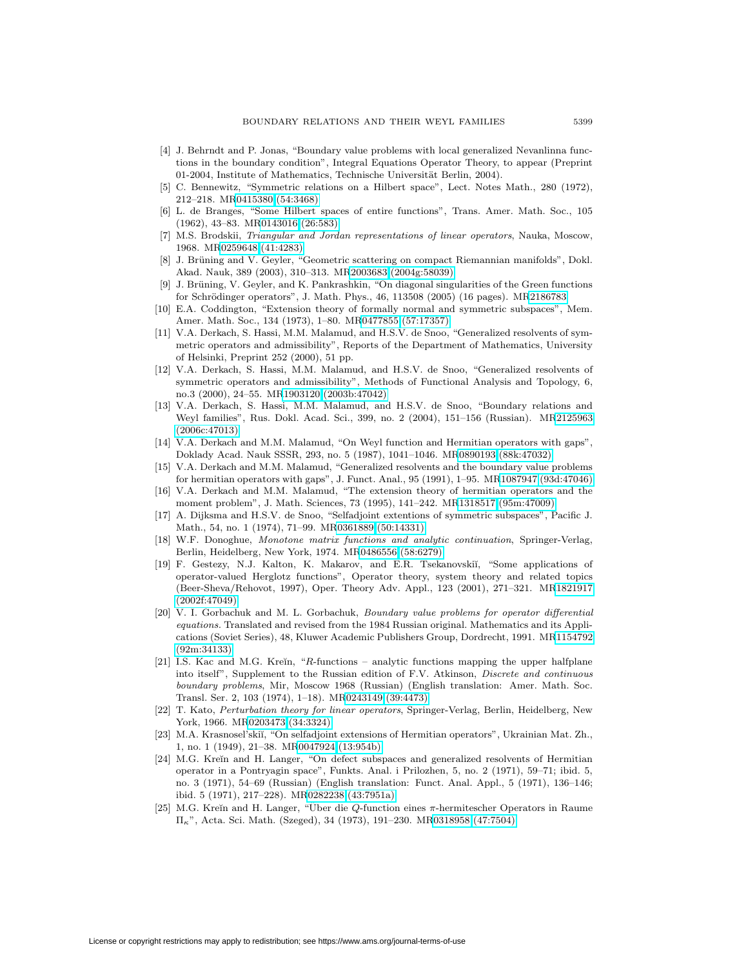- <span id="page-48-14"></span>[4] J. Behrndt and P. Jonas, "Boundary value problems with local generalized Nevanlinna functions in the boundary condition", Integral Equations Operator Theory, to appear (Preprint 01-2004, Institute of Mathematics, Technische Universität Berlin, 2004).
- <span id="page-48-18"></span>[5] C. Bennewitz, "Symmetric relations on a Hilbert space", Lect. Notes Math., 280 (1972), 212–218. M[R0415380 \(54:3468\)](http://www.ams.org/mathscinet-getitem?mr=0415380)
- <span id="page-48-9"></span>[6] L. de Branges, "Some Hilbert spaces of entire functions", Trans. Amer. Math. Soc., 105 (1962), 43–83. M[R0143016 \(26:583\)](http://www.ams.org/mathscinet-getitem?mr=0143016)
- <span id="page-48-8"></span>[7] M.S. Brodskii, Triangular and Jordan representations of linear operators, Nauka, Moscow, 1968. M[R0259648 \(41:4283\)](http://www.ams.org/mathscinet-getitem?mr=0259648)
- <span id="page-48-15"></span>[8] J. Brüning and V. Geyler, "Geometric scattering on compact Riemannian manifolds", Dokl. Akad. Nauk, 389 (2003), 310–313. M[R2003683 \(2004g:58039\)](http://www.ams.org/mathscinet-getitem?mr=2003683)
- <span id="page-48-16"></span>[9] J. Brüning, V. Geyler, and K. Pankrashkin, "On diagonal singularities of the Green functions for Schrödinger operators", J. Math. Phys., 46, 113508 (2005) (16 pages). M[R2186783](http://www.ams.org/mathscinet-getitem?mr=2186783)
- <span id="page-48-19"></span>[10] E.A. Coddington, "Extension theory of formally normal and symmetric subspaces", Mem. Amer. Math. Soc., 134 (1973), 1–80. M[R0477855 \(57:17357\)](http://www.ams.org/mathscinet-getitem?mr=0477855)
- <span id="page-48-13"></span>[11] V.A. Derkach, S. Hassi, M.M. Malamud, and H.S.V. de Snoo, "Generalized resolvents of symmetric operators and admissibility", Reports of the Department of Mathematics, University of Helsinki, Preprint 252 (2000), 51 pp.
- <span id="page-48-3"></span>[12] V.A. Derkach, S. Hassi, M.M. Malamud, and H.S.V. de Snoo, "Generalized resolvents of symmetric operators and admissibility", Methods of Functional Analysis and Topology, 6, no.3 (2000), 24–55. M[R1903120 \(2003b:47042\)](http://www.ams.org/mathscinet-getitem?mr=1903120)
- <span id="page-48-17"></span>[13] V.A. Derkach, S. Hassi, M.M. Malamud, and H.S.V. de Snoo, "Boundary relations and Weyl families", Rus. Dokl. Acad. Sci., 399, no. 2 (2004), 151–156 (Russian). M[R2125963](http://www.ams.org/mathscinet-getitem?mr=2125963) [\(2006c:47013\)](http://www.ams.org/mathscinet-getitem?mr=2125963)
- <span id="page-48-4"></span>[14] V.A. Derkach and M.M. Malamud, "On Weyl function and Hermitian operators with gaps", Doklady Acad. Nauk SSSR, 293, no. 5 (1987), 1041–1046. M[R0890193 \(88k:47032\)](http://www.ams.org/mathscinet-getitem?mr=0890193)
- <span id="page-48-1"></span>[15] V.A. Derkach and M.M. Malamud, "Generalized resolvents and the boundary value problems for hermitian operators with gaps", J. Funct. Anal., 95 (1991), 1–95. M[R1087947 \(93d:47046\)](http://www.ams.org/mathscinet-getitem?mr=1087947)
- <span id="page-48-2"></span>[16] V.A. Derkach and M.M. Malamud, "The extension theory of hermitian operators and the moment problem", J. Math. Sciences, 73 (1995), 141–242. M[R1318517 \(95m:47009\)](http://www.ams.org/mathscinet-getitem?mr=1318517)
- <span id="page-48-12"></span>[17] A. Dijksma and H.S.V. de Snoo, "Selfadjoint extentions of symmetric subspaces", Pacific J. Math., 54, no. 1 (1974), 71–99. M[R0361889 \(50:14331\)](http://www.ams.org/mathscinet-getitem?mr=0361889)
- <span id="page-48-5"></span>[18] W.F. Donoghue, Monotone matrix functions and analytic continuation, Springer-Verlag, Berlin, Heidelberg, New York, 1974. M[R0486556 \(58:6279\)](http://www.ams.org/mathscinet-getitem?mr=0486556)
- <span id="page-48-6"></span>[19] F. Gestezy, N.J. Kalton, K. Makarov, and E.R. Tsekanovskiı̆, "Some applications of operator-valued Herglotz functions", Operator theory, system theory and related topics (Beer-Sheva/Rehovot, 1997), Oper. Theory Adv. Appl., 123 (2001), 271–321. M[R1821917](http://www.ams.org/mathscinet-getitem?mr=1821917) [\(2002f:47049\)](http://www.ams.org/mathscinet-getitem?mr=1821917)
- <span id="page-48-0"></span>[20] V. I. Gorbachuk and M. L. Gorbachuk, Boundary value problems for operator differential equations. Translated and revised from the 1984 Russian original. Mathematics and its Applications (Soviet Series), 48, Kluwer Academic Publishers Group, Dordrecht, 1991. M[R1154792](http://www.ams.org/mathscinet-getitem?mr=1154792) [\(92m:34133\)](http://www.ams.org/mathscinet-getitem?mr=1154792)
- <span id="page-48-7"></span>[21] I.S. Kac and M.G. Kreĭn, "R-functions – analytic functions mapping the upper halfplane into itself", Supplement to the Russian edition of F.V. Atkinson, Discrete and continuous boundary problems, Mir, Moscow 1968 (Russian) (English translation: Amer. Math. Soc. Transl. Ser. 2, 103 (1974), 1–18). M[R0243149 \(39:4473\)](http://www.ams.org/mathscinet-getitem?mr=0243149)
- <span id="page-48-20"></span>[22] T. Kato, Perturbation theory for linear operators, Springer-Verlag, Berlin, Heidelberg, New York, 1966. M[R0203473 \(34:3324\)](http://www.ams.org/mathscinet-getitem?mr=0203473)
- <span id="page-48-21"></span>[23] M.A. Krasnosel'skiĭ, "On selfadjoint extensions of Hermitian operators", Ukrainian Mat. Zh., 1, no. 1 (1949), 21–38. M[R0047924 \(13:954b\)](http://www.ams.org/mathscinet-getitem?mr=0047924)
- <span id="page-48-11"></span>[24] M.G. Kreĭn and H. Langer, "On defect subspaces and generalized resolvents of Hermitian operator in a Pontryagin space", Funkts. Anal. i Prilozhen, 5, no. 2 (1971), 59–71; ibid. 5, no. 3 (1971), 54–69 (Russian) (English translation: Funct. Anal. Appl., 5 (1971), 136–146; ibid. 5 (1971), 217–228). M[R0282238 \(43:7951a\)](http://www.ams.org/mathscinet-getitem?mr=0282238)
- <span id="page-48-10"></span>[25] M.G. Kreĭn and H. Langer, "Uber die  $Q$ -function eines  $\pi$ -hermitescher Operators in Raume  $\Pi_{\kappa}$ ", Acta. Sci. Math. (Szeged), 34 (1973), 191–230. M[R0318958 \(47:7504\)](http://www.ams.org/mathscinet-getitem?mr=0318958)